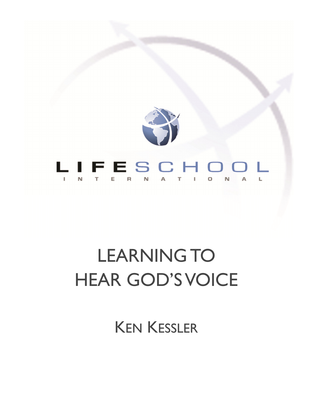

# LEARNING TO HEAR GOD'S VOICE

KEN KESSLER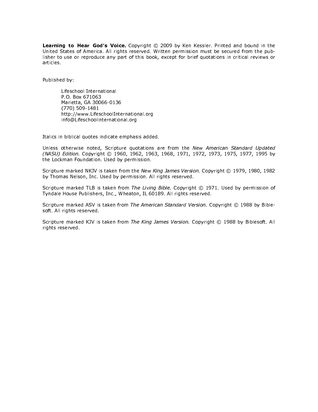Learning to Hear God's Voice. Copyright @ 2009 by Ken Kessler. Printed and bound in the United States of America. All rights reserved. Written permission must be secured from the publisher to use or reproduce any part of this book, except for brief quotations in critical reviews or articles.

Published by:

Lifeschool International P.O. Box 671063 Marietta, GA 30066-0136 (770) 509-1481 http://www.LifeschoolInternational.org info@Lifeschoolinternational.org

Italics in biblical quotes indicate emphasis added.

Unless otherwise noted, Scripture quotations are from the New American Standard Updated (NASU) Edition. Copyright © 1960, 1962, 1963, 1968, 1971, 1972, 1973, 1975, 1977, 1995 by the Lockman Foundation. Used by permission.

Scripture marked NKJV is taken from the New King James Version. Copyright © 1979, 1980, 1982 by Thomas Nelson, Inc. Used by permission. All rights reserved.

Scripture marked TLB is taken from The Living Bible. Copyright © 1971. Used by permission of Tyndale House Publishers, Inc., Wheaton, IL 60189. All rights reserved.

Scripture marked ASV is taken from The American Standard Version. Copyright © 1988 by Biblesoft. All rights reserved.

Scripture marked KJV is taken from The King James Version. Copyright © 1988 by Biblesoft. All rights reserved.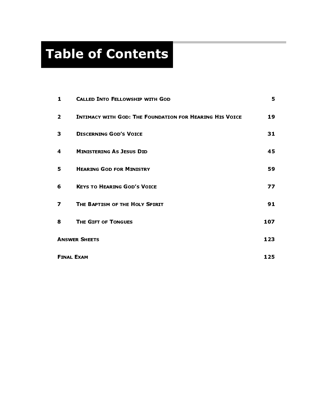# Table of Contents

| 1                        | <b>CALLED INTO FELLOWSHIP WITH GOD</b>                         | 5.  |
|--------------------------|----------------------------------------------------------------|-----|
| $\overline{2}$           | <b>INTIMACY WITH GOD: THE FOUNDATION FOR HEARING HIS VOICE</b> | 19  |
| 3                        | <b>DISCERNING GOD'S VOICE</b>                                  | 31  |
| 4                        | <b>MINISTERING AS JESUS DID</b>                                | 45  |
| 5                        | <b>HEARING GOD FOR MINISTRY</b>                                | 59  |
| 6                        | <b>KEYS TO HEARING GOD'S VOICE</b>                             | 77  |
| 7                        | THE BAPTISM OF THE HOLY SPIRIT                                 | 91  |
| 8                        | THE GIFT OF TONGUES                                            | 107 |
| <b>ANSWER SHEETS</b>     |                                                                | 123 |
| <b>FINAL EXAM</b><br>125 |                                                                |     |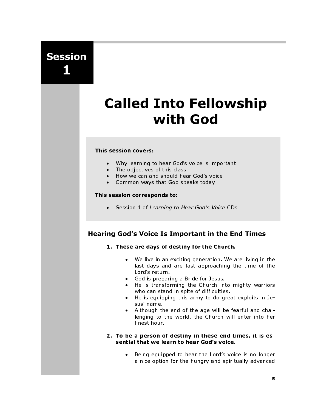Session 1

# Called Into Fellowship with God

#### This session covers:

- Why learning to hear God's voice is important
- The objectives of this class
- How we can and should hear God's voice
- Common ways that God speaks today

#### This session corresponds to:

• Session 1 of Learning to Hear God's Voice CDs

# Hearing God's Voice Is Important in the End Times

- 1. These are days of destiny for the Church.
	- We live in an exciting generation. We are living in the last days and are fast approaching the time of the Lord's return.
	- God is preparing a Bride for Jesus.<br>• He is transforming the Church int
	- He is transforming the Church into mighty warriors who can stand in spite of difficulties.
	- He is equipping this army to do great exploits in Jesus' name.
	- Although the end of the age will be fearful and challenging to the world, the Church will enter into her finest hour.

#### 2. To be a person of destiny in these end times, it is essential that we learn to hear God's voice.

• Being equipped to hear the Lord's voice is no longer a nice option for the hungry and spiritually advanced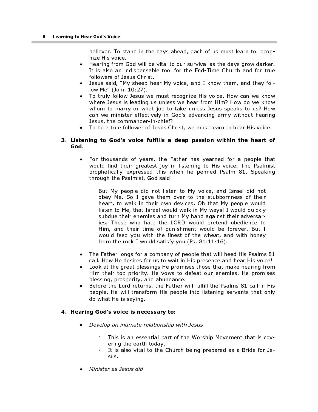believer. To stand in the days ahead, each of us must learn to recognize His voice.

- Hearing from God will be vital to our survival as the days grow darker. It is also an indispensable tool for the End-Time Church and for true followers of Jesus Christ.
- Jesus said, "My sheep hear My voice, and I know them, and they follow Me" (John 10:27).
- To truly follow Jesus we must recognize His voice. How can we know where Jesus is leading us unless we hear from Him? How do we know whom to marry or what job to take unless Jesus speaks to us? How can we minister effectively in God's advancing army without hearing Jesus, the commander-in-chief?
- To be a true follower of Jesus Christ, we must learn to hear His voice.

#### 3. Listening to God's voice fulfills a deep passion within the heart of God.

For thousands of years, the Father has yearned for a people that would find their greatest joy in listening to His voice. The Psalmist prophetically expressed this when he penned Psalm 81. Speaking through the Psalmist, God said:

But My people did not listen to My voice, and Israel did not obey Me. So I gave them over to the stubbornness of their heart, to walk in their own devices. Oh that My people would listen to Me, that Israel would walk in My ways! I would quickly subdue their enemies and turn My hand against their adversaries. Those who hate the LORD would pretend obedience to Him, and their time of punishment would be forever. But I would feed you with the finest of the wheat, and with honey from the rock I would satisfy you (Ps. 81:11-16).

- The Father longs for a company of people that will heed His Psalms 81 call. How He desires for us to wait in His presence and hear His voice!
- Look at the great blessings He promises those that make hearing from Him their top priority. He vows to defeat our enemies. He promises blessing, prosperity, and abundance.
- Before the Lord returns, the Father will fulfill the Psalms 81 call in His people. He will transform His people into listening servants that only do what He is saying.

#### 4. Hearing God's voice is necessary to:

- Develop an intimate relationship with Jesus
	- **This is an essential part of the Worship Movement that is cov**ering the earth today.
	- <sup>o</sup> It is also vital to the Church being prepared as a Bride for Jesus.
- Minister as Jesus did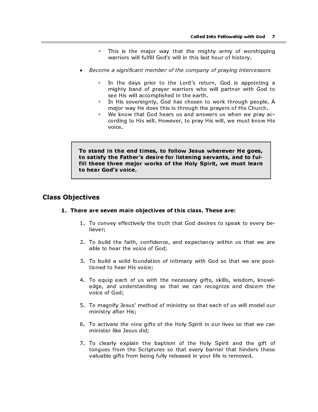- This is the major way that the mighty army of worshipping warriors will fulfill God's will in this last hour of history.
- Become a significant member of the company of praying intercessors
	- <sup>o</sup> In the days prior to the Lord's return, God is appointing a mighty band of prayer warriors who will partner with God to see His will accomplished in the earth.
	- In His sovereignty, God has chosen to work through people. A major way He does this is through the prayers of His Church.
	- We know that God hears us and answers us when we pray according to His will. However, to pray His will, we must know His voice.

To stand in the end times, to follow Jesus wherever He goes, to satisfy the Father's desire for listening servants, and to fulfill these three major works of the Holy Spirit, we must learn to hear God's voice.

### Class Objectives

#### 1. There are seven main objectives of this class. These are:

- 1. To convey effectively the truth that God desires to speak to every believer;
- 2. To build the faith, confidence, and expectancy within us that we are able to hear the voice of God;
- 3. To build a solid foundation of intimacy with God so that we are positioned to hear His voice;
- 4. To equip each of us with the necessary gifts, skills, wisdom, knowledge, and understanding so that we can recognize and discern the voice of God;
- 5. To magnify Jesus' method of ministry so that each of us will model our ministry after His;
- 6. To activate the nine gifts of the Holy Spirit in our lives so that we can minister like Jesus did;
- 7. To clearly explain the baptism of the Holy Spirit and the gift of tongues from the Scriptures so that every barrier that hinders these valuable gifts from being fully released in your life is removed.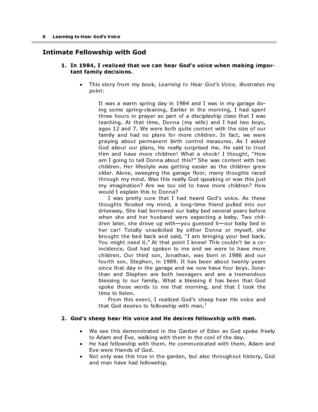# Intimate Fellowship with God

#### 1. In 1984, I realized that we can hear God's voice when making important family decisions.

This story from my book, Learning to Hear God's Voice, illustrates my point:

It was a warm spring day in 1984 and I was in my garage doing some spring-cleaning. Earlier in the morning, I had spent three hours in prayer as part of a discipleship class that I was teaching. At that time, Donna (my wife) and I had two boys, ages 12 and 7. We were both quite content with the size of our family and had no plans for more children. In fact, we were praying about permanent birth control measures. As I asked God about our plans, He really surprised me. He said to trust Him and have more children! What a shock! I thought, "How am I going to tell Donna about this?" She was content with two children. Her lifestyle was getting easier as the children grew older. Alone, sweeping the garage floor, many thoughts raced through my mind. Was this really God speaking or was this just my imagination? Are we too old to have more children? How would I explain this to Donna?

I was pretty sure that I had heard God's voice. As these thoughts flooded my mind, a long-time friend pulled into our driveway. She had borrowed our baby bed several years before when she and her husband were expecting a baby. Two children later, she drove up with—you guessed it—our baby bed in her car! Totally unsolicited by either Donna or myself, she brought the bed back and said, "I am bringing your bed back. You might need it." At that point I knew! This couldn't be a coincidence. God had spoken to me and we were to have more children. Our third son, Jonathan, was born in 1986 and our fourth son, Stephen, in 1989. It has been about twenty years since that day in the garage and we now have four boys. Jonathan and Stephen are both teenagers and are a tremendous blessing to our family. What a blessing it has been that God spoke those words to me that morning, and that I took the time to listen.

From this event, I realized God's sheep hear His voice and that God desires to fellowship with man. $^{\mathrm{+}}$ 

#### 2. God's sheep hear His voice and He desires fellowship with man.

- We see this demonstrated in the Garden of Eden as God spoke freely to Adam and Eve, walking with them in the cool of the day.
- He had fellowship with them. He communicated with them. Adam and Eve were friends of God.
- Not only was this true in the garden, but also throughout history, God and man have had fellowship.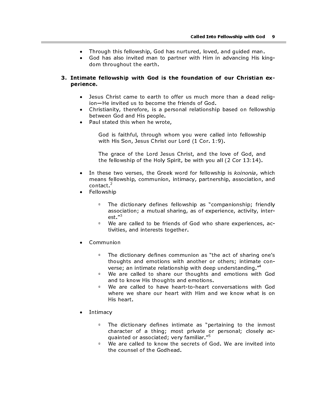- Through this fellowship, God has nurtured, loved, and guided man.
- God has also invited man to partner with Him in advancing His kingdom throughout the earth.

#### 3. Intimate fellowship with God is the foundation of our Christian experience.

- Jesus Christ came to earth to offer us much more than a dead religion—He invited us to become the friends of God.
- Christianity, therefore, is a personal relationship based on fellowship between God and His people.
- Paul stated this when he wrote,

God is faithful, through whom you were called into fellowship with His Son, Jesus Christ our Lord (1 Cor. 1:9).

The grace of the Lord Jesus Christ, and the love of God, and the fellowship of the Holy Spirit, be with you all (2 Cor 13:14).

- In these two verses, the Greek word for fellowship is koinonia, which means fellowship, communion, intimacy, partnership, association, and contact. $^{2}$
- Fellowship
	- **The dictionary defines fellowship as "companionship; friendly** association; a mutual sharing, as of experience, activity, interest."<sup>3</sup>
	- We are called to be friends of God who share experiences, activities, and interests together.
- Communion
	- The dictionary defines communion as "the act of sharing one's thoughts and emotions with another or others; intimate converse; an intimate relationship with deep understanding."<sup>4</sup>
	- **EXECT** We are called to share our thoughts and emotions with God and to know His thoughts and emotions.
	- We are called to have heart-to-heart conversations with God where we share our heart with Him and we know what is on His heart.
- **Intimacy** 
	- The dictionary defines intimate as "pertaining to the inmost character of a thing; most private or personal; closely acquainted or associated; very familiar."<sup>5</sup>
	- **We are called to know the secrets of God. We are invited into** the counsel of the Godhead.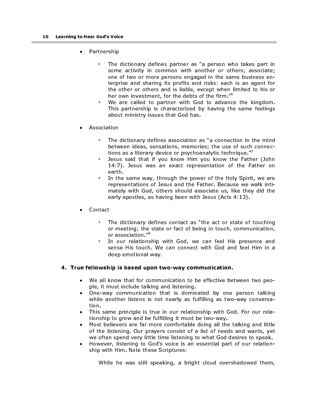- Partnership
	- The dictionary defines partner as "a person who takes part in some activity in common with another or others; associate; one of two or more persons engaged in the same business enterprise and sharing its profits and risks: each is an agent for the other or others and is liable, except when limited to his or her own investment, for the debts of the firm."6
	- We are called to partner with God to advance the kingdom. This partnership is characterized by having the same feelings about ministry issues that God has.
- **Association** 
	- The dictionary defines association as "a connection in the mind between ideas, sensations, memories; the use of such connections as a literary device or psychoanalytic technique."'
	- Jesus said that if you know Him you know the Father (John 14:7). Jesus was an exact representation of the Father on earth.
	- **In the same way, through the power of the Holy Spirit, we are** representations of Jesus and the Father. Because we walk intimately with God, others should associate us, like they did the early apostles, as having been with Jesus (Acts 4:13).
- Contact
	- The dictionary defines contact as "the act or state of touching or meeting; the state or fact of being in touch, communication, or association."<sup>8</sup>
	- <sup>o</sup> In our relationship with God, we can feel His presence and sense His touch. We can connect with God and feel Him in a deep emotional way.

#### 4. True fellowship is based upon two-way communication.

- We all know that for communication to be effective between two people, it must include talking and listening.
- One-way communication that is dominated by one person talking while another listens is not nearly as fulfilling as two-way conversation.
- This same principle is true in our relationship with God. For our relationship to grow and be fulfilling it must be two-way.
- Most believers are far more comfortable doing all the talking and little of the listening. Our prayers consist of a list of needs and wants, yet we often spend very little time listening to what God desires to speak.
- However, listening to God's voice is an essential part of our relationship with Him. Note these Scriptures:

While he was still speaking, a bright cloud overshadowed them,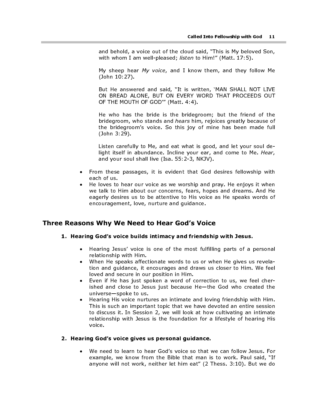and behold, a voice out of the cloud said, "This is My beloved Son, with whom I am well-pleased; listen to Him!" (Matt. 17:5).

My sheep hear My voice, and I know them, and they follow Me (John 10:27).

But He answered and said, "It is written, 'MAN SHALL NOT LIVE ON BREAD ALONE, BUT ON EVERY WORD THAT PROCEEDS OUT OF THE MOUTH OF GOD'" (Matt. 4:4).

He who has the bride is the bridegroom; but the friend of the bridegroom, who stands and hears him, rejoices greatly because of the bridegroom's voice. So this joy of mine has been made full (John 3:29).

Listen carefully to Me, and eat what is good, and let your soul delight itself in abundance. Incline your ear, and come to Me. Hear, and your soul shall live (Isa. 55:2-3, NKJV).

- From these passages, it is evident that God desires fellowship with each of us.
- He loves to hear our voice as we worship and pray. He enjoys it when we talk to Him about our concerns, fears, hopes and dreams. And He eagerly desires us to be attentive to His voice as He speaks words of encouragement, love, nurture and guidance.

# Three Reasons Why We Need to Hear God's Voice

#### 1. Hearing God's voice builds intimacy and friendship with Jesus.

- Hearing Jesus' voice is one of the most fulfilling parts of a personal relationship with Him.
- When He speaks affectionate words to us or when He gives us revelation and guidance, it encourages and draws us closer to Him. We feel loved and secure in our position in Him.
- Even if He has just spoken a word of correction to us, we feel cherished and close to Jesus just because He—the God who created the universe—spoke to us.
- Hearing His voice nurtures an intimate and loving friendship with Him. This is such an important topic that we have devoted an entire session to discuss it. In Session 2, we will look at how cultivating an intimate relationship with Jesus is the foundation for a lifestyle of hearing His voice.

#### 2. Hearing God's voice gives us personal guidance.

• We need to learn to hear God's voice so that we can follow Jesus. For example, we know from the Bible that man is to work. Paul said, "If anyone will not work, neither let him eat" (2 Thess. 3:10). But we do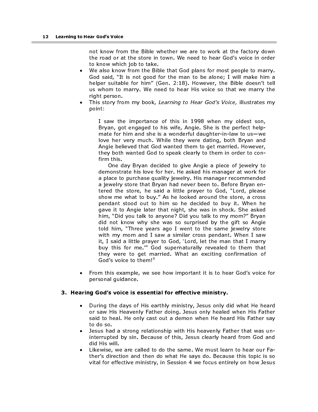not know from the Bible whether we are to work at the factory down the road or at the store in town. We need to hear God's voice in order to know which job to take.

- We also know from the Bible that God plans for most people to marry. God said, "It is not good for the man to be alone; I will make him a helper suitable for him" (Gen. 2:18). However, the Bible doesn't tell us whom to marry. We need to hear His voice so that we marry the right person.
- This story from my book, Learning to Hear God's Voice, illustrates my point:

I saw the importance of this in 1998 when my oldest son, Bryan, got engaged to his wife, Angie. She is the perfect helpmate for him and she is a wonderful daughter-in-law to us—we love her very much. While they were dating, both Bryan and Angie believed that God wanted them to get married. However, they both wanted God to speak clearly to them in order to confirm this.

One day Bryan decided to give Angie a piece of jewelry to demonstrate his love for her. He asked his manager at work for a place to purchase quality jewelry. His manager recommended a jewelry store that Bryan had never been to. Before Bryan entered the store, he said a little prayer to God, "Lord, please show me what to buy." As he looked around the store, a cross pendant stood out to him so he decided to buy it. When he gave it to Angie later that night, she was in shock. She asked him, "Did you talk to anyone? Did you talk to my mom?" Bryan did not know why she was so surprised by the gift so Angie told him, "Three years ago I went to the same jewelry store with my mom and I saw a similar cross pendant. When I saw it, I said a little prayer to God, 'Lord, let the man that I marry buy this for me.'" God supernaturally revealed to them that they were to get married. What an exciting confirmation of God's voice to them!<sup>9</sup>

• From this example, we see how important it is to hear God's voice for personal guidance.

#### 3. Hearing God's voice is essential for effective ministry.

- During the days of His earthly ministry, Jesus only did what He heard or saw His Heavenly Father doing. Jesus only healed when His Father said to heal. He only cast out a demon when He heard His Father say to do so.
- Jesus had a strong relationship with His heavenly Father that was uninterrupted by sin. Because of this, Jesus clearly heard from God and did His will.
- Likewise, we are called to do the same. We must learn to hear our Father's direction and then do what He says do. Because this topic is so vital for effective ministry, in Session 4 we focus entirely on how Jesus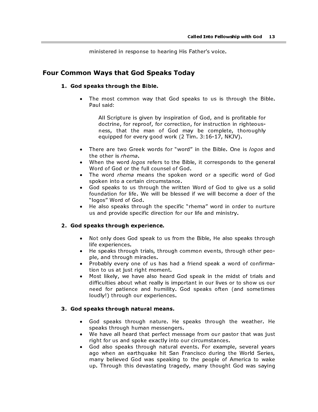ministered in response to hearing His Father's voice.

# Four Common Ways that God Speaks Today

#### 1. God speaks through the Bible.

The most common way that God speaks to us is through the Bible. Paul said:

All Scripture is given by inspiration of God, and is profitable for doctrine, for reproof, for correction, for instruction in righteousness, that the man of God may be complete, thoroughly equipped for every good work (2 Tim. 3:16-17, NKJV).

- There are two Greek words for "word" in the Bible. One is logos and the other is rhema.
- When the word logos refers to the Bible, it corresponds to the general Word of God or the full counsel of God.
- The word *rhema* means the spoken word or a specific word of God spoken into a certain circumstance.
- God speaks to us through the written Word of God to give us a solid foundation for life. We will be blessed if we will become a doer of the "logos" Word of God.
- He also speaks through the specific "rhema" word in order to nurture us and provide specific direction for our life and ministry.

#### 2. God speaks through experience.

- Not only does God speak to us from the Bible, He also speaks through life experiences.
- He speaks through trials, through common events, through other people, and through miracles.
- Probably every one of us has had a friend speak a word of confirmation to us at just right moment.
- Most likely, we have also heard God speak in the midst of trials and difficulties about what really is important in our lives or to show us our need for patience and humility. God speaks often (and sometimes loudly!) through our experiences.

#### 3. God speaks through natural means.

- God speaks through nature. He speaks through the weather. He speaks through human messengers.
- We have all heard that perfect message from our pastor that was just right for us and spoke exactly into our circumstances.
- God also speaks through natural events. For example, several years ago when an earthquake hit San Francisco during the World Series, many believed God was speaking to the people of America to wake up. Through this devastating tragedy, many thought God was saying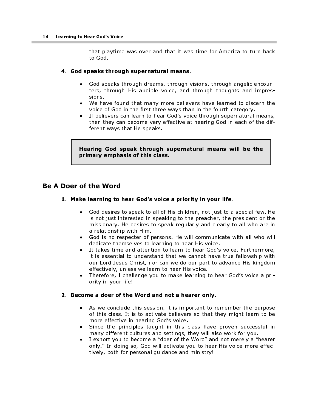that playtime was over and that it was time for America to turn back to God.

#### 4. God speaks through supernatural means.

- God speaks through dreams, through visions, through angelic encounters, through His audible voice, and through thoughts and impressions.
- We have found that many more believers have learned to discern the voice of God in the first three ways than in the fourth category.
- If believers can learn to hear God's voice through supernatural means, then they can become very effective at hearing God in each of the different ways that He speaks.

Hearing God speak through supernatural means will be the primary emphasis of this class.

### Be A Doer of the Word

#### 1. Make learning to hear God's voice a priority in your life.

- God desires to speak to all of His children, not just to a special few. He is not just interested in speaking to the preacher, the president or the missionary. He desires to speak regularly and clearly to all who are in a relationship with Him.
- God is no respecter of persons. He will communicate with all who will dedicate themselves to learning to hear His voice.
- It takes time and attention to learn to hear God's voice. Furthermore, it is essential to understand that we cannot have true fellowship with our Lord Jesus Christ, nor can we do our part to advance His kingdom effectively, unless we learn to hear His voice.
- Therefore, I challenge you to make learning to hear God's voice a priority in your life!

#### 2. Become a doer of the Word and not a hearer only.

- As we conclude this session, it is important to remember the purpose of this class. It is to activate believers so that they might learn to be more effective in hearing God's voice.
- Since the principles taught in this class have proven successful in many different cultures and settings, they will also work for you.
- I exhort you to become a "doer of the Word" and not merely a "hearer only." In doing so, God will activate you to hear His voice more effectively, both for personal guidance and ministry!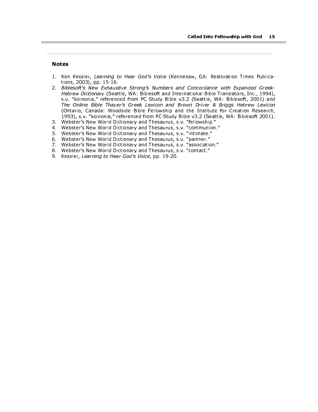#### Notes

ı

- 1. Ken Kessler, Learning to Hear God's Voice (Kennesaw, GA: Restoration Times Publications, 2003), pp. 15-16.
- 2. Biblesoft's New Exhaustive Strong's Numbers and Concordance with Expanded Greek-Hebrew Dictionary (Seattle, WA: Biblesoft and International Bible Translators, Inc., 1994), s.v. "koinonia," referenced from PC Study Bible v3.2 (Seattle, WA: Biblesoft, 2001) and The Online Bible Thayer's Greek Lexicon and Brown Driver & Briggs Hebrew Lexicon (Ontario, Canada: Woodside Bible Fellowship and the Institute for Creation Research, 1993), s.v. "koinonia," referenced from PC Study Bible v3.2 (Seattle, WA: Biblesoft 2001).
- 3. Webster's New World Dictionary and Thesaurus, s.v. "fellowship."
- 4. Webster's New World Dictionary and Thesaurus, s.v. "communion."
- 5. Webster's New World Dictionary and Thesaurus, s.v. "intimate."
- 6. Webster's New World Dictionary and Thesaurus, s.v. "partner."
- 7. Webster's New World Dictionary and Thesaurus, s.v. "association."
- 8. Webster's New World Dictionary and Thesaurus, s.v. "contact."
- 9. Kessler, Learning to Hear God's Voice, pp. 19-20.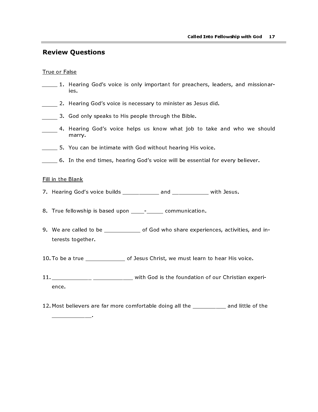### Review Questions

#### True or False

- 1. Hearing God's voice is only important for preachers, leaders, and missionaries.
- 2. Hearing God's voice is necessary to minister as Jesus did.
- 3. God only speaks to His people through the Bible.
- 4. Hearing God's voice helps us know what job to take and who we should marry.
- 5. You can be intimate with God without hearing His voice.
- 6. In the end times, hearing God's voice will be essential for every believer.

#### Fill in the Blank

\_\_\_\_\_\_\_\_\_\_\_\_.

- 7. Hearing God's voice builds \_\_\_\_\_\_\_\_\_\_\_ and \_\_\_\_\_\_\_\_\_\_\_ with Jesus.
- 8. True fellowship is based upon \_\_\_\_- communication.
- 9. We are called to be \_\_\_\_\_\_\_\_\_\_ of God who share experiences, activities, and interests together.
- 10. To be a true \_\_\_\_\_\_\_\_\_\_\_\_\_ of Jesus Christ, we must learn to hear His voice.
- 11. \_\_\_\_\_\_\_\_\_\_\_\_ \_\_\_\_\_\_\_\_\_\_\_\_ with God is the foundation of our Christian experience.
- 12. Most believers are far more comfortable doing all the \_\_\_\_\_\_\_\_\_\_ and little of the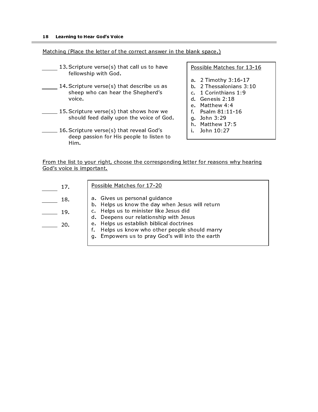#### Matching (Place the letter of the correct answer in the blank space.)

- 13. Scripture verse(s) that call us to have fellowship with God.
- 14. Scripture verse(s) that describe us as sheep who can hear the Shepherd's voice.
- 15. Scripture verse(s) that shows how we should feed daily upon the voice of God.
- 16. Scripture verse(s) that reveal God's deep passion for His people to listen to Him.

Possible Matches for 13-16

- a. 2 Timothy 3:16-17
- b. 2 Thessalonians 3:10
- c. 1 Corinthians 1:9
- d. Genesis 2:18
- e. Matthew 4:4
- f. Psalm 81:11-16
- g. John 3:29
- h. Matthew 17:5
- i. John 10:27

From the list to your right, choose the corresponding letter for reasons why hearing God's voice is important.

| 17 <sub>1</sub> | Possible Matches for 17-20                                                                                                                     |
|-----------------|------------------------------------------------------------------------------------------------------------------------------------------------|
| 18.             | a. Gives us personal guidance<br>b. Helps us know the day when Jesus will return                                                               |
| 19.             | Helps us to minister like Jesus did<br>d. Deepens our relationship with Jesus                                                                  |
| -20             | e. Helps us establish biblical doctrines<br>Helps us know who other people should marry<br>Empowers us to pray God's will into the earth<br>q. |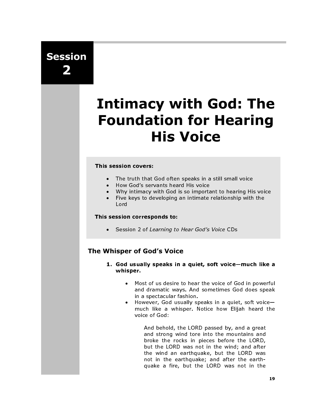Session 2

# Intimacy with God: The Foundation for Hearing His Voice

#### This session covers:

- The truth that God often speaks in a still small voice
- How God's servants heard His voice
- Why intimacy with God is so important to hearing His voice<br>• Five keys to developing an intimate relationship with the
- Five keys to developing an intimate relationship with the Lord

#### This session corresponds to:

• Session 2 of Learning to Hear God's Voice CDs

# The Whisper of God's Voice

- 1. God usually speaks in a quiet, soft voice—much like a whisper.
	- Most of us desire to hear the voice of God in powerful and dramatic ways. And sometimes God does speak in a spectacular fashion.
	- However, God usually speaks in a quiet, soft voice much like a whisper. Notice how Elijah heard the voice of God:

And behold, the LORD passed by, and a great and strong wind tore into the mountains and broke the rocks in pieces before the LORD, but the LORD was not in the wind; and after the wind an earthquake, but the LORD was not in the earthquake; and after the earthquake a fire, but the LORD was not in the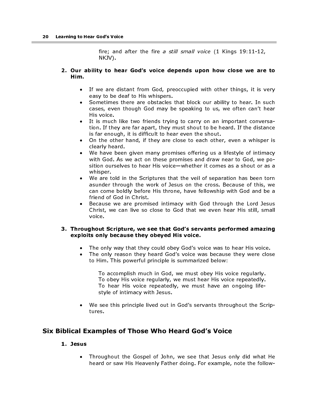fire; and after the fire a still small voice (1 Kings 19:11-12, NKJV).

#### 2. Our ability to hear God's voice depends upon how close we are to Him.

- If we are distant from God, preoccupied with other things, it is very easy to be deaf to His whispers.
- Sometimes there are obstacles that block our ability to hear. In such cases, even though God may be speaking to us, we often can't hear His voice.
- It is much like two friends trying to carry on an important conversation. If they are far apart, they must shout to be heard. If the distance is far enough, it is difficult to hear even the shout.
- On the other hand, if they are close to each other, even a whisper is clearly heard.
- We have been given many promises offering us a lifestyle of intimacy with God. As we act on these promises and draw near to God, we position ourselves to hear His voice—whether it comes as a shout or as a whisper.
- We are told in the Scriptures that the veil of separation has been torn asunder through the work of Jesus on the cross. Because of this, we can come boldly before His throne, have fellowship with God and be a friend of God in Christ.
- Because we are promised intimacy with God through the Lord Jesus Christ, we can live so close to God that we even hear His still, small voice.

#### 3. Throughout Scripture, we see that God's servants performed amazing exploits only because they obeyed His voice.

- The only way that they could obey God's voice was to hear His voice.
- The only reason they heard God's voice was because they were close to Him. This powerful principle is summarized below:

To accomplish much in God, we must obey His voice regularly. To obey His voice regularly, we must hear His voice repeatedly. To hear His voice repeatedly, we must have an ongoing lifestyle of intimacy with Jesus.

• We see this principle lived out in God's servants throughout the Scriptures.

# Six Biblical Examples of Those Who Heard God's Voice

#### 1. Jesus

• Throughout the Gospel of John, we see that Jesus only did what He heard or saw His Heavenly Father doing. For example, note the follow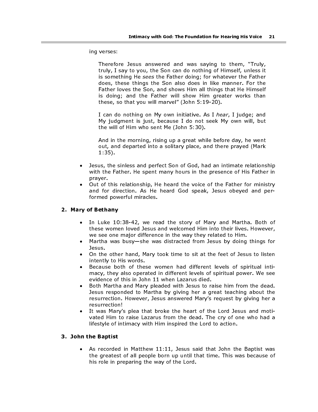ing verses:

Therefore Jesus answered and was saying to them, "Truly, truly, I say to you, the Son can do nothing of Himself, unless it is something He sees the Father doing; for whatever the Father does, these things the Son also does in like manner. For the Father loves the Son, and shows Him all things that He Himself is doing; and the Father will show Him greater works than these, so that you will marvel" (John 5:19-20).

I can do nothing on My own initiative. As I hear, I judge; and My judgment is just, because I do not seek My own will, but the will of Him who sent Me (John 5:30).

And in the morning, rising up a great while before day, he went out, and departed into a solitary place, and there prayed (Mark 1:35).

- Jesus, the sinless and perfect Son of God, had an intimate relationship with the Father. He spent many hours in the presence of His Father in prayer.
- Out of this relationship, He heard the voice of the Father for ministry and for direction. As He heard God speak, Jesus obeyed and performed powerful miracles.

#### 2. Mary of Bethany

- In Luke 10:38-42, we read the story of Mary and Martha. Both of these women loved Jesus and welcomed Him into their lives. However, we see one major difference in the way they related to Him.
- Martha was busy—she was distracted from Jesus by doing things for Jesus.
- On the other hand, Mary took time to sit at the feet of Jesus to listen intently to His words.
- Because both of these women had different levels of spiritual intimacy, they also operated in different levels of spiritual power. We see evidence of this in John 11 when Lazarus died.
- Both Martha and Mary pleaded with Jesus to raise him from the dead. Jesus responded to Martha by giving her a great teaching about the resurrection. However, Jesus answered Mary's request by giving her a resurrection!
- It was Mary's plea that broke the heart of the Lord Jesus and motivated Him to raise Lazarus from the dead. The cry of one who had a lifestyle of intimacy with Him inspired the Lord to action.

#### 3. John the Baptist

• As recorded in Matthew 11:11, Jesus said that John the Baptist was the greatest of all people born up until that time. This was because of his role in preparing the way of the Lord.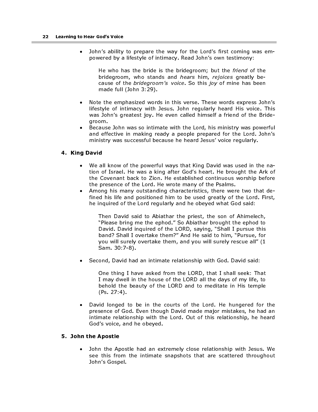• John's ability to prepare the way for the Lord's first coming was empowered by a lifestyle of intimacy. Read John's own testimony:

He who has the bride is the bridegroom; but the *friend* of the bridegroom, who stands and hears him, rejoices greatly because of the bridegroom's voice. So this joy of mine has been made full (John 3:29).

- Note the emphasized words in this verse. These words express John's lifestyle of intimacy with Jesus. John regularly heard His voice. This was John's greatest joy. He even called himself a friend of the Bridegroom.
- Because John was so intimate with the Lord, his ministry was powerful and effective in making ready a people prepared for the Lord. John's ministry was successful because he heard Jesus' voice regularly.

#### 4. King David

- We all know of the powerful ways that King David was used in the nation of Israel. He was a king after God's heart. He brought the Ark of the Covenant back to Zion. He established continuous worship before the presence of the Lord. He wrote many of the Psalms.
- Among his many outstanding characteristics, there were two that defined his life and positioned him to be used greatly of the Lord. First, he inquired of the Lord regularly and he obeyed what God said:

Then David said to Abiathar the priest, the son of Ahimelech, "Please bring me the ephod." So Abiathar brought the ephod to David. David inquired of the LORD, saying, "Shall I pursue this band? Shall I overtake them?" And He said to him, "Pursue, for you will surely overtake them, and you will surely rescue all" (1 Sam. 30:7-8).

• Second, David had an intimate relationship with God. David said:

One thing I have asked from the LORD, that I shall seek: That I may dwell in the house of the LORD all the days of my life, to behold the beauty of the LORD and to meditate in His temple (Ps. 27:4).

• David longed to be in the courts of the Lord. He hungered for the presence of God. Even though David made major mistakes, he had an intimate relationship with the Lord. Out of this relationship, he heard God's voice, and he obeyed.

#### 5. John the Apostle

• John the Apostle had an extremely close relationship with Jesus. We see this from the intimate snapshots that are scattered throughout John's Gospel.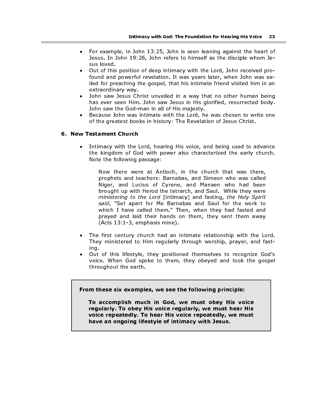- For example, in John 13:25, John is seen leaning against the heart of Jesus. In John 19:26, John refers to himself as the disciple whom Jesus loved.
- Out of this position of deep intimacy with the Lord, John received profound and powerful revelation. It was years later, when John was exiled for preaching the gospel, that his intimate friend visited him in an extraordinary way.
- John saw Jesus Christ unveiled in a way that no other human being has ever seen Him. John saw Jesus in His glorified, resurrected body. John saw the God-man in all of His majesty.
- Because John was intimate with the Lord, he was chosen to write one of the greatest books in history: The Revelation of Jesus Christ.

#### 6. New Testament Church

• Intimacy with the Lord, hearing His voice, and being used to advance the kingdom of God with power also characterized the early church. Note the following passage:

Now there were at Antioch, in the church that was there, prophets and teachers: Barnabas, and Simeon who was called Niger, and Lucius of Cyrene, and Manaen who had been brought up with Herod the tetrarch, and Saul. While they were ministering to the Lord [intimacy] and fasting, the Holy Spirit said, "Set apart for Me Barnabas and Saul for the work to which I have called them." Then, when they had fasted and prayed and laid their hands on them, they sent them away (Acts 13:1-3, emphasis mine).

- The first century church had an intimate relationship with the Lord. They ministered to Him regularly through worship, prayer, and fasting.
- Out of this lifestyle, they positioned themselves to recognize God's voice. When God spoke to them, they obeyed and took the gospel throughout the earth.

From these six examples, we see the following principle:

To accomplish much in God, we must obey His voice regularly. To obey His voice regularly, we must hear His voice repeatedly. To hear His voice repeatedly, we must have an ongoing lifestyle of intimacy with Jesus.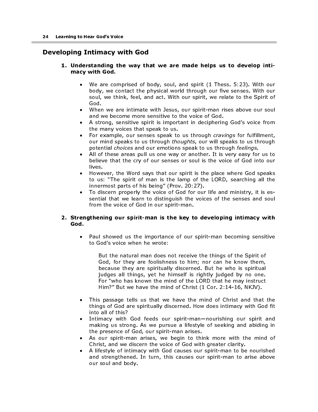# Developing Intimacy with God

#### 1. Understanding the way that we are made helps us to develop intimacy with God.

- We are comprised of body, soul, and spirit (1 Thess. 5:23). With our body, we contact the physical world through our five senses. With our soul, we think, feel, and act. With our spirit, we relate to the Spirit of God.
- When we are intimate with Jesus, our spirit-man rises above our soul and we become more sensitive to the voice of God.
- A strong, sensitive spirit is important in deciphering God's voice from the many voices that speak to us.
- For example, our senses speak to us through *cravings* for fulfillment, our mind speaks to us through *thoughts*, our will speaks to us through potential choices and our emotions speak to us through feelings.
- All of these areas pull us one way or another. It is very easy for us to believe that the cry of our senses or soul is the voice of God into our lives.
- However, the Word says that our spirit is the place where God speaks to us: "The spirit of man is the lamp of the LORD, searching all the innermost parts of his being" (Prov. 20:27).
- To discern properly the voice of God for our life and ministry, it is essential that we learn to distinguish the voices of the senses and soul from the voice of God in our spirit-man.

#### 2. Strengthening our spirit-man is the key to developing intimacy with God.

• Paul showed us the importance of our spirit-man becoming sensitive to God's voice when he wrote:

But the natural man does not receive the things of the Spirit of God, for they are foolishness to him; nor can he know them, because they are spiritually discerned. But he who is spiritual judges all things, yet he himself is rightly judged by no one. For "who has known the mind of the LORD that he may instruct Him?" But we have the mind of Christ (1 Cor. 2:14-16, NKJV).

- This passage tells us that we have the mind of Christ and that the things of God are spiritually discerned. How does intimacy with God fit into all of this?
- Intimacy with God feeds our spirit-man—nourishing our spirit and making us strong. As we pursue a lifestyle of seeking and abiding in the presence of God, our spirit-man arises.
- As our spirit-man arises, we begin to think more with the mind of Christ, and we discern the voice of God with greater clarity.
- A lifestyle of intimacy with God causes our spirit-man to be nourished and strengthened. In turn, this causes our spirit-man to arise above our soul and body.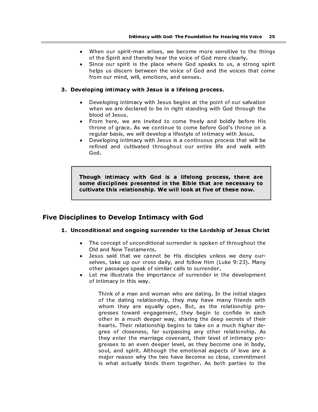- When our spirit-man arises, we become more sensitive to the things of the Spirit and thereby hear the voice of God more clearly.
- Since our spirit is the place where God speaks to us, a strong spirit helps us discern between the voice of God and the voices that come from our mind, will, emotions, and senses.

#### 3. Developing intimacy with Jesus is a lifelong process.

- Developing intimacy with Jesus begins at the point of our salvation when we are declared to be in right standing with God through the blood of Jesus.
- From here, we are invited to come freely and boldly before His throne of grace. As we continue to come before God's throne on a regular basis, we will develop a lifestyle of intimacy with Jesus.
- Developing intimacy with Jesus is a continuous process that will be refined and cultivated throughout our entire life and walk with God.

Though intimacy with God is a lifelong process, there are some disciplines presented in the Bible that are necessary to cultivate this relationship. We will look at five of these now.

# Five Disciplines to Develop Intimacy with God

#### 1. Unconditional and ongoing surrender to the Lordship of Jesus Christ

- The concept of unconditional surrender is spoken of throughout the Old and New Testaments.
- Jesus said that we cannot be His disciples unless we deny ourselves, take up our cross daily, and follow Him (Luke 9:23). Many other passages speak of similar calls to surrender.
- Let me illustrate the importance of surrender in the development of intimacy in this way.

Think of a man and woman who are dating. In the initial stages of the dating relationship, they may have many friends with whom they are equally open. But, as the relationship progresses toward engagement, they begin to confide in each other in a much deeper way, sharing the deep secrets of their hearts. Their relationship begins to take on a much higher degree of closeness, far surpassing any other relationship. As they enter the marriage covenant, their level of intimacy progresses to an even deeper level, as they become one in body, soul, and spirit. Although the emotional aspects of love are a major reason why the two have become so close, commitment is what actually binds them together. As both parties to the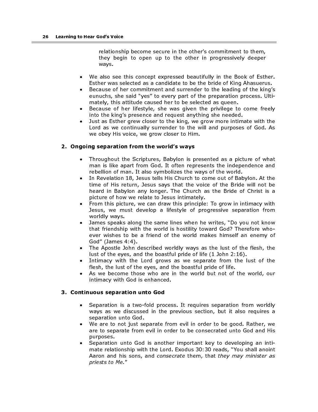relationship become secure in the other's commitment to them, they begin to open up to the other in progressively deeper ways.

- We also see this concept expressed beautifully in the Book of Esther. Esther was selected as a candidate to be the bride of King Ahasuerus.
- Because of her commitment and surrender to the leading of the king's eunuchs, she said "yes" to every part of the preparation process. Ultimately, this attitude caused her to be selected as queen.
- Because of her lifestyle, she was given the privilege to come freely into the king's presence and request anything she needed.
- Just as Esther grew closer to the king, we grow more intimate with the Lord as we continually surrender to the will and purposes of God. As we obey His voice, we grow closer to Him.

#### 2. Ongoing separation from the world's ways

- Throughout the Scriptures, Babylon is presented as a picture of what man is like apart from God. It often represents the independence and rebellion of man. It also symbolizes the ways of the world.
- In Revelation 18, Jesus tells His Church to come out of Babylon. At the time of His return, Jesus says that the voice of the Bride will not be heard in Babylon any longer. The Church as the Bride of Christ is a picture of how we relate to Jesus intimately.
- From this picture, we can draw this principle: To grow in intimacy with Jesus, we must develop a lifestyle of progressive separation from worldly ways.
- James speaks along the same lines when he writes, "Do you not know that friendship with the world is hostility toward God? Therefore whoever wishes to be a friend of the world makes himself an enemy of God" (James 4:4).
- The Apostle John described worldly ways as the lust of the flesh, the lust of the eyes, and the boastful pride of life (1 John 2:16).
- Intimacy with the Lord grows as we separate from the lust of the flesh, the lust of the eyes, and the boastful pride of life.
- As we become those who are in the world but not of the world, our intimacy with God is enhanced.

#### 3. Continuous separation unto God

- Separation is a two-fold process. It requires separation from worldly ways as we discussed in the previous section, but it also requires a separation unto God.
- We are to not just separate from evil in order to be good. Rather, we are to separate from evil in order to be consecrated unto God and His purposes.
- Separation unto God is another important key to developing an intimate relationship with the Lord. Exodus 30:30 reads, "You shall anoint Aaron and his sons, and consecrate them, that they may minister as priests to Me."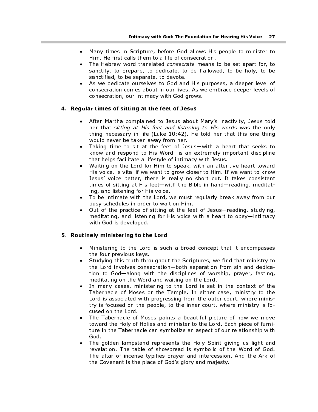- Many times in Scripture, before God allows His people to minister to Him, He first calls them to a life of consecration.
- The Hebrew word translated consecrate means to be set apart for, to sanctify, to prepare, to dedicate, to be hallowed, to be holy, to be sanctified, to be separate, to devote.
- As we dedicate ourselves to God and His purposes, a deeper level of consecration comes about in our lives. As we embrace deeper levels of consecration, our intimacy with God grows.

#### 4. Regular times of sitting at the feet of Jesus

- After Martha complained to Jesus about Mary's inactivity, Jesus told her that sitting at His feet and listening to His words was the only thing necessary in life (Luke 10:42). He told her that this one thing would never be taken away from her.
- Taking time to sit at the feet of Jesus—with a heart that seeks to know and respond to His Word—is an extremely important discipline that helps facilitate a lifestyle of intimacy with Jesus.
- Waiting on the Lord for Him to speak, with an attentive heart toward His voice, is vital if we want to grow closer to Him. If we want to know Jesus' voice better, there is really no short cut. It takes consistent times of sitting at His feet—with the Bible in hand—reading, meditating, and listening for His voice.
- To be intimate with the Lord, we must regularly break away from our busy schedules in order to wait on Him.
- Out of the practice of sitting at the feet of Jesus—reading, studying, meditating, and listening for His voice with a heart to obey—intimacy with God is developed.

#### 5. Routinely ministering to the Lord

- Ministering to the Lord is such a broad concept that it encompasses the four previous keys.
- Studying this truth throughout the Scriptures, we find that ministry to the Lord involves consecration—both separation from sin and dedication to God—along with the disciplines of worship, prayer, fasting, meditating on the Word and waiting on the Lord.
- In many cases, ministering to the Lord is set in the context of the Tabernacle of Moses or the Temple. In either case, ministry to the Lord is associated with progressing from the outer court, where ministry is focused on the people, to the inner court, where ministry is focused on the Lord.
- The Tabernacle of Moses paints a beautiful picture of how we move toward the Holy of Holies and minister to the Lord. Each piece of furniture in the Tabernacle can symbolize an aspect of our relationship with God.
- The golden lampstand represents the Holy Spirit giving us light and revelation. The table of showbread is symbolic of the Word of God. The altar of incense typifies prayer and intercession. And the Ark of the Covenant is the place of God's glory and majesty.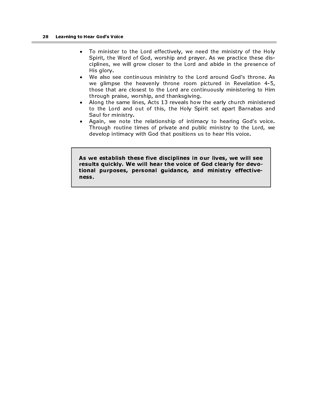- To minister to the Lord effectively, we need the ministry of the Holy Spirit, the Word of God, worship and prayer. As we practice these disciplines, we will grow closer to the Lord and abide in the presence of His glory.
- We also see continuous ministry to the Lord around God's throne. As we glimpse the heavenly throne room pictured in Revelation 4-5, those that are closest to the Lord are continuously ministering to Him through praise, worship, and thanksgiving.
- Along the same lines, Acts 13 reveals how the early church ministered to the Lord and out of this, the Holy Spirit set apart Barnabas and Saul for ministry.
- Again, we note the relationship of intimacy to hearing God's voice. Through routine times of private and public ministry to the Lord, we develop intimacy with God that positions us to hear His voice.

As we establish these five disciplines in our lives, we will see results quickly. We will hear the voice of God clearly for devotional purposes, personal guidance, and ministry effectiveness.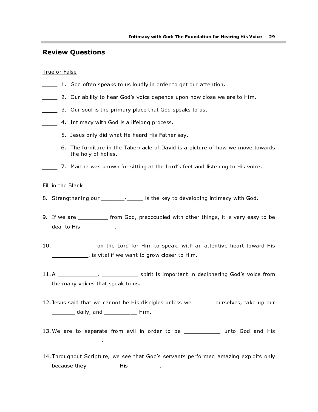### Review Questions

#### True or False

- 1. God often speaks to us loudly in order to get our attention.
- 2. Our ability to hear God's voice depends upon how close we are to Him.
- 3. Our soul is the primary place that God speaks to us.
- **4.** Intimacy with God is a lifelong process.
- 5. Jesus only did what He heard His Father say.
- 6. The furniture in the Tabernacle of David is a picture of how we move towards the holy of holies.
- 7. Martha was known for sitting at the Lord's feet and listening to His voice.

#### Fill in the Blank

\_\_\_\_\_\_\_\_\_\_\_\_\_\_\_.

- 8. Strengthening our \_\_\_\_\_\_\_\_- \_\_\_\_\_\_ is the key to developing intimacy with God.
- 9. If we are \_\_\_\_\_\_\_\_\_ from God, preoccupied with other things, it is very easy to be deaf to His \_\_\_\_\_\_\_\_\_\_\_.
- 10. \_\_\_\_\_\_\_\_\_\_\_\_\_ on the Lord for Him to speak, with an attentive heart toward His \_\_\_\_\_\_\_\_\_\_\_, is vital if we want to grow closer to Him.
- 11. A \_\_\_\_\_\_\_\_\_\_\_\_, \_\_\_\_\_\_\_\_\_\_\_ spirit is important in deciphering God's voice from the many voices that speak to us.
- 12. Jesus said that we cannot be His disciples unless we \_\_\_\_\_\_ ourselves, take up our \_\_\_\_\_\_\_ daily, and \_\_\_\_\_\_\_\_\_\_ Him.
- 13. We are to separate from evil in order to be \_\_\_\_\_\_\_\_\_\_ unto God and His
- 14. Throughout Scripture, we see that God's servants performed amazing exploits only because they \_\_\_\_\_\_\_\_\_\_\_ His \_\_\_\_\_\_\_\_\_\_.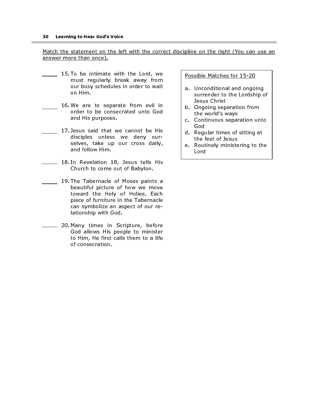#### Match the statement on the left with the correct discipline on the right (You can use an answer more than once).

- 15. To be intimate with the Lord, we must regularly break away from our busy schedules in order to wait on Him.
	- 16. We are to separate from evil in order to be consecrated unto God and His purposes.
- 17. Jesus said that we cannot be His disciples unless we deny ourselves, take up our cross daily, and follow Him.
- 18. In Revelation 18, Jesus tells His Church to come out of Babylon.
- 19. The Tabernacle of Moses paints a beautiful picture of how we move toward the Holy of Holies. Each piece of furniture in the Tabernacle can symbolize an aspect of our relationship with God.
- **20. Many times in Scripture, before** God allows His people to minister to Him, He first calls them to a life of consecration.

#### Possible Matches for 15-20

- a. Unconditional and ongoing surrender to the Lordship of Jesus Christ
- b. Ongoing separation from the world's ways
- c. Continuous separation unto God
- d. Regular times of sitting at the feet of Jesus
- e. Routinely ministering to the Lord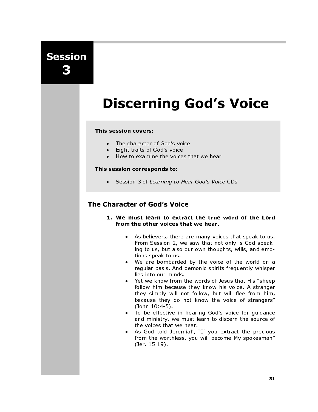Session 3

# Discerning God's Voice

#### This session covers:

- The character of God's voice<br>• Fight traits of God's voice
- Eight traits of God's voice
- How to examine the voices that we hear

#### This session corresponds to:

• Session 3 of Learning to Hear God's Voice CDs

# The Character of God's Voice

- 1. We must learn to extract the true word of the Lord from the other voices that we hear.
	- As believers, there are many voices that speak to us. From Session 2, we saw that not only is God speaking to us, but also our own thoughts, wills, and emotions speak to us.
	- We are bombarded by the voice of the world on a regular basis. And demonic spirits frequently whisper lies into our minds.
	- Yet we know from the words of Jesus that His "sheep follow him because they know his voice. A stranger they simply will not follow, but will flee from him, because they do not know the voice of strangers" (John 10:4-5).
	- To be effective in hearing God's voice for guidance and ministry, we must learn to discern the source of the voices that we hear.
	- As God told Jeremiah, "If you extract the precious from the worthless, you will become My spokesman" (Jer. 15:19).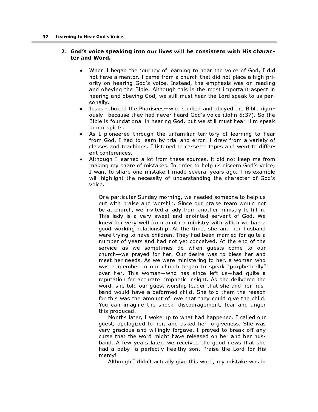#### 2. God's voice speaking into our lives will be consistent with His character and Word.

- When I began the journey of learning to hear the voice of God, I did not have a mentor. I came from a church that did not place a high priority on hearing God's voice. Instead, the emphasis was on reading and obeying the Bible. Although this is the most important aspect in hearing and obeying God, we still must hear the Lord speak to us personally.
- Jesus rebuked the Pharisees—who studied and obeyed the Bible rigorously—because they had never heard God's voice (John 5:37). So the Bible is foundational in hearing God, but we still must hear Him speak to our spirits.
- As I pioneered through the unfamiliar territory of learning to hear from God, I had to learn by trial and error. I drew from a variety of classes and teachings. I listened to cassette tapes and went to different conferences.
- Although I learned a lot from these sources, it did not keep me from making my share of mistakes. In order to help us discern God's voice, I want to share one mistake I made several years ago. This example will highlight the necessity of understanding the character of God's voice.

One particular Sunday morning, we needed someone to help us out with praise and worship. Since our praise team would not be at church, we invited a lady from another ministry to fill in. This lady is a very sweet and anointed servant of God. We knew her very well from another ministry with which we had a good working relationship. At the time, she and her husband were trying to have children. They had been married for quite a number of years and had not yet conceived. At the end of the service—as we sometimes do when guests come to our church—we prayed for her. Our desire was to bless her and meet her needs. As we were ministering to her, a woman who was a member in our church began to speak "prophetically" over her. This woman—who has since left us—had quite a reputation for accurate prophetic insight. As she delivered the word, she told our guest worship leader that she and her husband would have a deformed child. She told them the reason for this was the amount of love that they could give the child. You can imagine the shock, discouragement, fear and anger this produced.

Months later, I woke up to what had happened. I called our guest, apologized to her, and asked her forgiveness. She was very gracious and willingly forgave. I prayed to break off any curse that the word might have released on her and her husband. A few years later, we received the good news that she had a baby—a perfectly healthy son. Praise the Lord for His mercy!

Although I didn't actually give this word, my mistake was in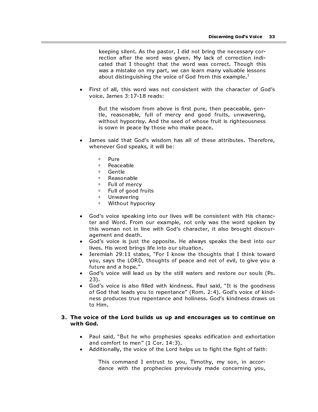keeping silent. As the pastor, I did not bring the necessary correction after the word was given. My lack of correction indicated that I thought that the word was correct. Though this was a mistake on my part, we can learn many valuable lessons about distinguishing the voice of God from this example. $^\perp$ 

• First of all, this word was not consistent with the character of God's voice. James 3:17-18 reads:

But the wisdom from above is first pure, then peaceable, gentle, reasonable, full of mercy and good fruits, unwavering, without hypocrisy. And the seed of whose fruit is righteousness is sown in peace by those who make peace.

- James said that God's wisdom has all of these attributes. Therefore, whenever God speaks, it will be:
	- <sup>P</sup> Pure<br>Peace
	- □ Peaceable<br>□ Gentle
	-
	- □ Gentle<br>□ Reason □ Reasonable<br>□ Full of mercy
	- **EUL of mercy**
	- **EUL of good fruits**
	- Unwavering
	- Without hypocrisy
- God's voice speaking into our lives will be consistent with His character and Word. From our example, not only was the word spoken by this woman not in line with God's character, it also brought discouragement and death.
- God's voice is just the opposite. He always speaks the best into our lives. His word brings life into our situation.
- Jeremiah 29:11 states, "For I know the thoughts that I think toward you, says the LORD, thoughts of peace and not of evil, to give you a future and a hope."
- God's voice will lead us by the still waters and restore our souls (Ps. 23).
- God's voice is also filled with kindness. Paul said, "It is the goodness of God that leads you to repentance" (Rom. 2:4). God's voice of kindness produces true repentance and holiness. God's kindness draws us to Him.

#### 3. The voice of the Lord builds us up and encourages us to continue on with God.

- Paul said, "But he who prophesies speaks edification and exhortation and comfort to men" (1 Cor. 14:3).
- Additionally, the voice of the Lord helps us to fight the fight of faith:

This command I entrust to you, Timothy, my son, in accordance with the prophecies previously made concerning you,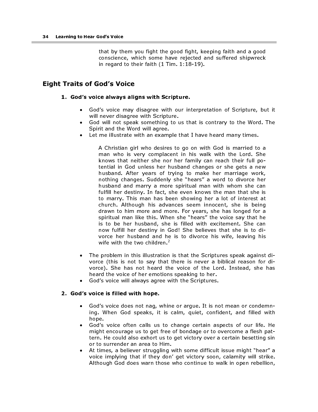that by them you fight the good fight, keeping faith and a good conscience, which some have rejected and suffered shipwreck in regard to their faith (1 Tim. 1:18-19).

# Eight Traits of God's Voice

#### 1. God's voice always aligns with Scripture.

- God's voice may disagree with our interpretation of Scripture, but it will never disagree with Scripture.
- God will not speak something to us that is contrary to the Word. The Spirit and the Word will agree.
- Let me illustrate with an example that I have heard many times.

A Christian girl who desires to go on with God is married to a man who is very complacent in his walk with the Lord. She knows that neither she nor her family can reach their full potential in God unless her husband changes or she gets a new husband. After years of trying to make her marriage work, nothing changes. Suddenly she "hears" a word to divorce her husband and marry a more spiritual man with whom she can fulfill her destiny. In fact, she even knows the man that she is to marry. This man has been showing her a lot of interest at church. Although his advances seem innocent, she is being drawn to him more and more. For years, she has longed for a spiritual man like this. When she "hears" the voice say that he is to be her husband, she is filled with excitement. She can now fulfill her destiny in God! She believes that she is to divorce her husband and he is to divorce his wife, leaving his wife with the two children. $2$ 

- The problem in this illustration is that the Scriptures speak against divorce (this is not to say that there is never a biblical reason for divorce). She has not heard the voice of the Lord. Instead, she has heard the voice of her emotions speaking to her.
- God's voice will always agree with the Scriptures.

#### 2. God's voice is filled with hope.

- God's voice does not nag, whine or argue. It is not mean or condemning. When God speaks, it is calm, quiet, confident, and filled with hope.
- God's voice often calls us to change certain aspects of our life. He might encourage us to get free of bondage or to overcome a flesh pattern. He could also exhort us to get victory over a certain besetting sin or to surrender an area to Him.
- At times, a believer struggling with some difficult issue might "hear" a voice implying that if they don' get victory soon, calamity will strike. Although God does warn those who continue to walk in open rebellion,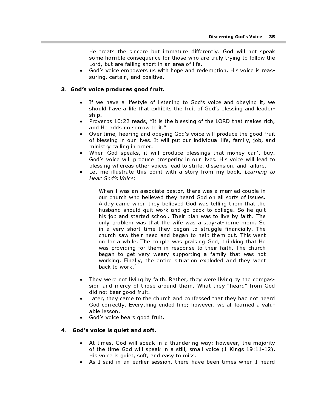He treats the sincere but immature differently. God will not speak some horrible consequence for those who are truly trying to follow the Lord, but are falling short in an area of life.

• God's voice empowers us with hope and redemption. His voice is reassuring, certain, and positive.

#### 3. God's voice produces good fruit.

- If we have a lifestyle of listening to God's voice and obeying it, we should have a life that exhibits the fruit of God's blessing and leadership.
- Proverbs 10:22 reads, "It is the blessing of the LORD that makes rich, and He adds no sorrow to it."
- Over time, hearing and obeying God's voice will produce the good fruit of blessing in our lives. It will put our individual life, family, job, and ministry calling in order.
- When God speaks, it will produce blessings that money can't buy. God's voice will produce prosperity in our lives. His voice will lead to blessing whereas other voices lead to strife, dissension, and failure.
- Let me illustrate this point with a story from my book, Learning to Hear God's Voice:

When I was an associate pastor, there was a married couple in our church who believed they heard God on all sorts of issues. A day came when they believed God was telling them that the husband should quit work and go back to college. So he quit his job and started school. Their plan was to live by faith. The only problem was that the wife was a stay-at-home mom. So in a very short time they began to struggle financially. The church saw their need and began to help them out. This went on for a while. The couple was praising God, thinking that He was providing for them in response to their faith. The church began to get very weary supporting a family that was not working. Finally, the entire situation exploded and they went back to work. $3$ 

- They were not living by faith. Rather, they were living by the compassion and mercy of those around them. What they "heard" from God did not bear good fruit.
- Later, they came to the church and confessed that they had not heard God correctly. Everything ended fine; however, we all learned a valuable lesson.
- God's voice bears good fruit.

#### 4. God's voice is quiet and soft.

- At times, God will speak in a thundering way; however, the majority of the time God will speak in a still, small voice (1 Kings 19:11-12). His voice is quiet, soft, and easy to miss.
- As I said in an earlier session, there have been times when I heard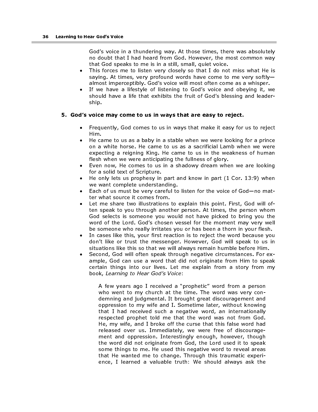God's voice in a thundering way. At those times, there was absolutely no doubt that I had heard from God. However, the most common way that God speaks to me is in a still, small, quiet voice.

- This forces me to listen very closely so that I do not miss what He is saying. At times, very profound words have come to me very softly almost imperceptibly. God's voice will most often come as a whisper.
- If we have a lifestyle of listening to God's voice and obeying it, we should have a life that exhibits the fruit of God's blessing and leadership.

#### 5. God's voice may come to us in ways that are easy to reject.

- Frequently, God comes to us in ways that make it easy for us to reject Him.
- He came to us as a baby in a stable when we were looking for a prince on a white horse. He came to us as a sacrificial Lamb when we were expecting a reigning King. He came to us in the weakness of human flesh when we were anticipating the fullness of glory.
- Even now, He comes to us in a shadowy dream when we are looking for a solid text of Scripture.
- He only lets us prophesy in part and know in part (1 Cor. 13:9) when we want complete understanding.
- Each of us must be very careful to listen for the voice of God—no matter what source it comes from.
- Let me share two illustrations to explain this point. First, God will often speak to you through another person. At times, the person whom God selects is someone you would not have picked to bring you the word of the Lord. God's chosen vessel for the moment may very well be someone who really irritates you or has been a thorn in your flesh.
- In cases like this, your first reaction is to reject the word because you don't like or trust the messenger. However, God will speak to us in situations like this so that we will always remain humble before Him.
- Second, God will often speak through negative circumstances. For example, God can use a word that did not originate from Him to speak certain things into our lives. Let me explain from a story from my book, Learning to Hear God's Voice:

A few years ago I received a "prophetic" word from a person who went to my church at the time. The word was very condemning and judgmental. It brought great discouragement and oppression to my wife and I. Sometime later, without knowing that I had received such a negative word, an internationally respected prophet told me that the word was not from God. He, my wife, and I broke off the curse that this false word had released over us. Immediately, we were free of discouragement and oppression. Interestingly enough, however, though the word did not originate from God, the Lord used it to speak some things to me. He used this negative word to reveal areas that He wanted me to change. Through this traumatic experience, I learned a valuable truth: We should always ask the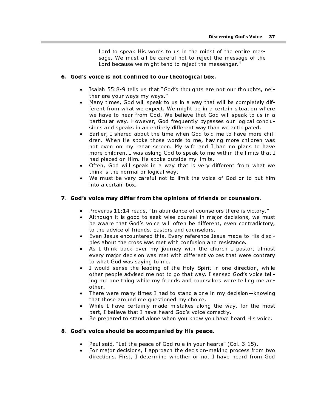Lord to speak His words to us in the midst of the entire message. We must all be careful not to reject the message of the Lord because we might tend to reject the messenger.<sup>4</sup>

#### 6. God's voice is not confined to our theological box.

- Isaiah 55:8-9 tells us that "God's thoughts are not our thoughts, neither are your ways my ways."
- Many times, God will speak to us in a way that will be completely different from what we expect. We might be in a certain situation where we have to hear from God. We believe that God will speak to us in a particular way. However, God frequently bypasses our logical conclusions and speaks in an entirely different way than we anticipated.
- Earlier, I shared about the time when God told me to have more children. When He spoke those words to me, having more children was not even on my radar screen. My wife and I had no plans to have more children. I was asking God to speak to me within the limits that I had placed on Him. He spoke outside my limits.
- Often, God will speak in a way that is very different from what we think is the normal or logical way.
- We must be very careful not to limit the voice of God or to put him into a certain box.

#### 7. God's voice may differ from the opinions of friends or counselors.

- Proverbs 11:14 reads, "In abundance of counselors there is victory."<br>• Although it is good to seek wise counsel in major decisions, we mu
- Although it is good to seek wise counsel in major decisions, we must be aware that God's voice will often be different, even contradictory, to the advice of friends, pastors and counselors.
- Even Jesus encountered this. Every reference Jesus made to His disciples about the cross was met with confusion and resistance.
- As I think back over my journey with the church I pastor, almost every major decision was met with different voices that were contrary to what God was saying to me.
- I would sense the leading of the Holy Spirit in one direction, while other people advised me not to go that way. I sensed God's voice telling me one thing while my friends and counselors were telling me another.
- There were many times I had to stand alone in my decision—knowing that those around me questioned my choice.
- While I have certainly made mistakes along the way, for the most part, I believe that I have heard God's voice correctly.
- Be prepared to stand alone when you know you have heard His voice.

#### 8. God's voice should be accompanied by His peace.

- Paul said, "Let the peace of God rule in your hearts" (Col. 3:15).
- For major decisions, I approach the decision-making process from two directions. First, I determine whether or not I have heard from God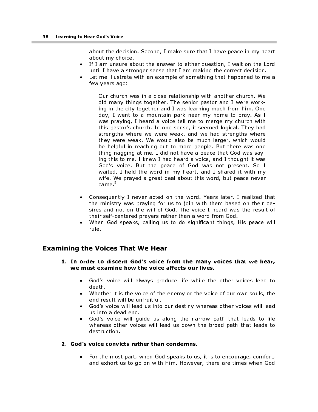about the decision. Second, I make sure that I have peace in my heart about my choice.

- If I am unsure about the answer to either question, I wait on the Lord until I have a stronger sense that I am making the correct decision.
- Let me illustrate with an example of something that happened to me a few years ago:

Our church was in a close relationship with another church. We did many things together. The senior pastor and I were working in the city together and I was learning much from him. One day, I went to a mountain park near my home to pray. As I was praying, I heard a voice tell me to merge my church with this pastor's church. In one sense, it seemed logical. They had strengths where we were weak, and we had strengths where they were weak. We would also be much larger, which would be helpful in reaching out to more people. But there was one thing nagging at me. I did not have a peace that God was saying this to me. I knew I had heard a voice, and I thought it was God's voice. But the peace of God was not present. So I waited. I held the word in my heart, and I shared it with my wife. We prayed a great deal about this word, but peace never came.<sup>5</sup>

- Consequently I never acted on the word. Years later, I realized that the ministry was praying for us to join with them based on their desires and not on the will of God. The voice I heard was the result of their self-centered prayers rather than a word from God.
- When God speaks, calling us to do significant things, His peace will rule.

# Examining the Voices That We Hear

- 1. In order to discern God's voice from the many voices that we hear, we must examine how the voice affects our lives.
	- God's voice will always produce life while the other voices lead to death.
	- Whether it is the voice of the enemy or the voice of our own souls, the end result will be unfruitful.
	- God's voice will lead us into our destiny whereas other voices will lead us into a dead end.
	- God's voice will quide us along the narrow path that leads to life whereas other voices will lead us down the broad path that leads to destruction.

#### 2. God's voice convicts rather than condemns.

• For the most part, when God speaks to us, it is to encourage, comfort, and exhort us to go on with Him. However, there are times when God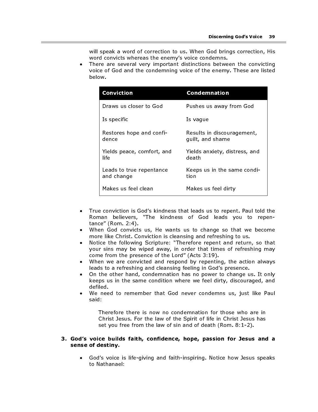will speak a word of correction to us. When God brings correction, His word convicts whereas the enemy's voice condemns.

There are several very important distinctions between the convicting voice of God and the condemning voice of the enemy. These are listed below.

| Conviction                             | <b>Condemnation</b>                            |
|----------------------------------------|------------------------------------------------|
| Draws us closer to God                 | Pushes us away from God                        |
| Is specific                            | Is vague                                       |
| Restores hope and confi-<br>dence      | Results in discouragement,<br>quilt, and shame |
| Yields peace, comfort, and<br>life     | Yields anxiety, distress, and<br>death         |
| Leads to true repentance<br>and change | Keeps us in the same condi-<br>tion            |
| Makes us feel clean                    | Makes us feel dirty                            |

- True conviction is God's kindness that leads us to repent. Paul told the Roman believers, "The kindness of God leads you to repentance" (Rom. 2:4).
- When God convicts us, He wants us to change so that we become more like Christ. Conviction is cleansing and refreshing to us.
- Notice the following Scripture: "Therefore repent and return, so that your sins may be wiped away, in order that times of refreshing may come from the presence of the Lord" (Acts 3:19).
- When we are convicted and respond by repenting, the action always leads to a refreshing and cleansing feeling in God's presence.
- On the other hand, condemnation has no power to change us. It only keeps us in the same condition where we feel dirty, discouraged, and defiled.
- We need to remember that God never condemns us, just like Paul said:

Therefore there is now no condemnation for those who are in Christ Jesus. For the law of the Spirit of life in Christ Jesus has set you free from the law of sin and of death (Rom. 8:1-2).

#### 3. God's voice builds faith, confidence, hope, passion for Jesus and a sense of destiny.

• God's voice is life-giving and faith-inspiring. Notice how Jesus speaks to Nathanael: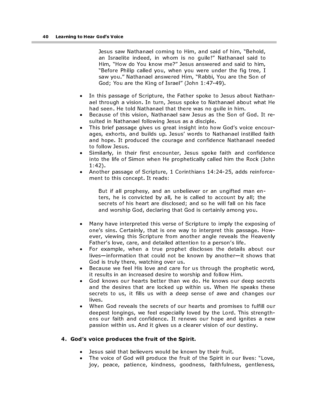Jesus saw Nathanael coming to Him, and said of him, "Behold, an Israelite indeed, in whom is no guile!" Nathanael said to Him, "How do You know me?" Jesus answered and said to him, "Before Philip called you, when you were under the fig tree, I saw you." Nathanael answered Him, "Rabbi, You are the Son of God; You are the King of Israel" (John 1:47-49).

- In this passage of Scripture, the Father spoke to Jesus about Nathanael through a vision. In turn, Jesus spoke to Nathanael about what He had seen. He told Nathanael that there was no guile in him.
- Because of this vision, Nathanael saw Jesus as the Son of God. It resulted in Nathanael following Jesus as a disciple.
- This brief passage gives us great insight into how God's voice encourages, exhorts, and builds up. Jesus' words to Nathanael instilled faith and hope. It produced the courage and confidence Nathanael needed to follow Jesus.
- Similarly, in their first encounter, Jesus spoke faith and confidence into the life of Simon when He prophetically called him the Rock (John 1:42).
- Another passage of Scripture, 1 Corinthians 14:24-25, adds reinforcement to this concept. It reads:

But if all prophesy, and an unbeliever or an ungifted man enters, he is convicted by all, he is called to account by all; the secrets of his heart are disclosed; and so he will fall on his face and worship God, declaring that God is certainly among you.

- Many have interpreted this verse of Scripture to imply the exposing of one's sins. Certainly, that is one way to interpret this passage. However, viewing this Scripture from another angle reveals the Heavenly Father's love, care, and detailed attention to a person's life.
- For example, when a true prophet discloses the details about our lives—information that could not be known by another—it shows that God is truly there, watching over us.
- Because we feel His love and care for us through the prophetic word, it results in an increased desire to worship and follow Him.
- God knows our hearts better than we do. He knows our deep secrets and the desires that are locked up within us. When He speaks these secrets to us, it fills us with a deep sense of awe and changes our lives.
- When God reveals the secrets of our hearts and promises to fulfill our deepest longings, we feel especially loved by the Lord. This strengthens our faith and confidence. It renews our hope and ignites a new passion within us. And it gives us a clearer vision of our destiny.

#### 4. God's voice produces the fruit of the Spirit.

- Jesus said that believers would be known by their fruit.
- The voice of God will produce the fruit of the Spirit in our lives: "Love, joy, peace, patience, kindness, goodness, faithfulness, gentleness,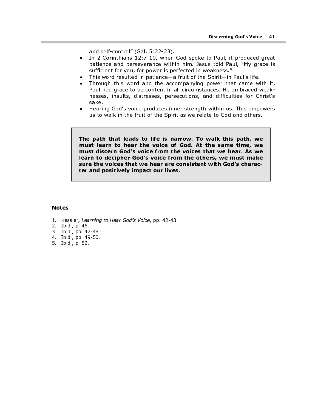and self-control" (Gal. 5:22-23).

- In 2 Corinthians 12:7-10, when God spoke to Paul, it produced great patience and perseverance within him. Jesus told Paul, "My grace is sufficient for you, for power is perfected in weakness."
- This word resulted in patience—a fruit of the Spirit—in Paul's life.
- Through this word and the accompanying power that came with it, Paul had grace to be content in all circumstances. He embraced weaknesses, insults, distresses, persecutions, and difficulties for Christ's sake.
- Hearing God's voice produces inner strength within us. This empowers us to walk in the fruit of the Spirit as we relate to God and others.

The path that leads to life is narrow. To walk this path, we must learn to hear the voice of God. At the same time, we must discern God's voice from the voices that we hear. As we learn to decipher God's voice from the others, we must make sure the voices that we hear are consistent with God's character and positively impact our lives.

#### Notes

- 1. Kessler, Learning to Hear God's Voice, pp. 42-43.
- 2. Ibid., p. 46.
- 3. Ibid., pp. 47-48.
- 4. Ibid., pp. 49-50.
- 5. Ibid., p. 52.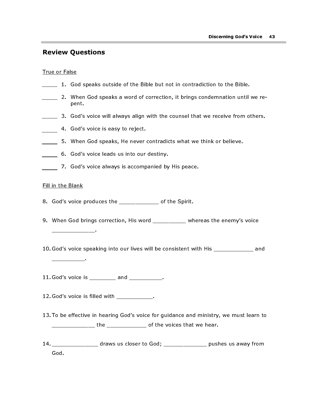# Review Questions

#### True or False

- 1. God speaks outside of the Bible but not in contradiction to the Bible.
- 2. When God speaks a word of correction, it brings condemnation until we repent.
- **3.** God's voice will always align with the counsel that we receive from others.
- 4. God's voice is easy to reject.
- 5. When God speaks, He never contradicts what we think or believe.
- 6. God's voice leads us into our destiny.
- 7. God's voice always is accompanied by His peace.

#### Fill in the Blank

- 8. God's voice produces the endless of the Spirit.
- 9. When God brings correction, His word \_\_\_\_\_\_\_\_\_ whereas the enemy's voice \_\_\_\_\_\_\_\_\_\_\_\_\_.
- 10. God's voice speaking into our lives will be consistent with His \_\_\_\_\_\_\_\_\_\_\_\_ and

\_\_\_\_\_\_\_\_\_\_.

11. God's voice is \_\_\_\_\_\_\_\_\_ and \_\_\_\_\_\_\_\_\_\_\_.

- 12. God's voice is filled with the set of the set of the set of the set of the set of the set of the set of th
- 13. To be effective in hearing God's voice for guidance and ministry, we must learn to \_\_\_\_\_\_\_\_\_\_\_\_\_\_\_\_\_ the \_\_\_\_\_\_\_\_\_\_\_\_\_\_\_\_ of the voices that we hear.
- 14. \_\_\_\_\_\_\_\_\_\_\_\_\_\_ draws us closer to God; \_\_\_\_\_\_\_\_\_\_\_\_\_ pushes us away from God.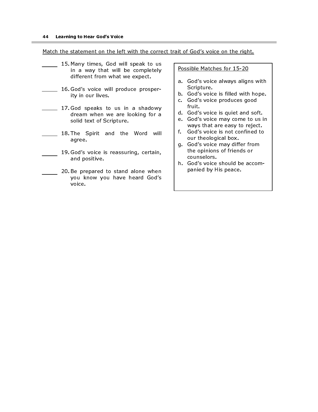Match the statement on the left with the correct trait of God's voice on the right.

- 15. Many times, God will speak to us in a way that will be completely different from what we expect.
- 16. God's voice will produce prosperity in our lives.
- 17. God speaks to us in a shadowy dream when we are looking for a solid text of Scripture.
- 18. The Spirit and the Word will agree.
- 19. God's voice is reassuring, certain, and positive.
- 20. Be prepared to stand alone when you know you have heard God's voice.

#### Possible Matches for 15-20

- a. God's voice always aligns with Scripture.
- b. God's voice is filled with hope.
- c. God's voice produces good fruit.
- d. God's voice is quiet and soft.
- e. God's voice may come to us in ways that are easy to reject.
- f. God's voice is not confined to our theological box.
- g. God's voice may differ from the opinions of friends or counselors.
- h. God's voice should be accompanied by His peace.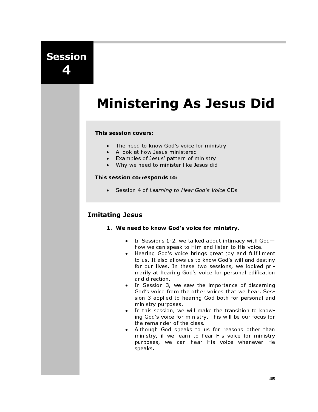# Session 4

# Ministering As Jesus Did

#### This session covers:

- The need to know God's voice for ministry
- A look at how Jesus ministered
- Examples of Jesus' pattern of ministry
- Why we need to minister like Jesus did

#### This session corresponds to:

• Session 4 of Learning to Hear God's Voice CDs

# Imitating Jesus

- 1. We need to know God's voice for ministry.
	- In Sessions 1-2, we talked about intimacy with God how we can speak to Him and listen to His voice.
	- Hearing God's voice brings great joy and fulfillment to us. It also allows us to know God's will and destiny for our lives. In these two sessions, we looked primarily at hearing God's voice for personal edification and direction.
	- In Session 3, we saw the importance of discerning God's voice from the other voices that we hear. Session 3 applied to hearing God both for personal and ministry purposes.
	- In this session, we will make the transition to knowing God's voice for ministry. This will be our focus for the remainder of the class.
	- Although God speaks to us for reasons other than ministry, if we learn to hear His voice for ministry purposes, we can hear His voice whenever He speaks.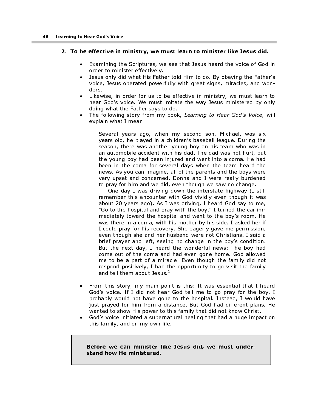#### 2. To be effective in ministry, we must learn to minister like Jesus did.

- Examining the Scriptures, we see that Jesus heard the voice of God in order to minister effectively.
- Jesus only did what His Father told Him to do. By obeying the Father's voice, Jesus operated powerfully with great signs, miracles, and wonders.
- Likewise, in order for us to be effective in ministry, we must learn to hear God's voice. We must imitate the way Jesus ministered by only doing what the Father says to do.
- The following story from my book, Learning to Hear God's Voice, will explain what I mean:

Several years ago, when my second son, Michael, was six years old, he played in a children's baseball league. During the season, there was another young boy on his team who was in an automobile accident with his dad. The dad was not hurt, but the young boy had been injured and went into a coma. He had been in the coma for several days when the team heard the news. As you can imagine, all of the parents and the boys were very upset and concerned. Donna and I were really burdened to pray for him and we did, even though we saw no change.

One day I was driving down the interstate highway (I still remember this encounter with God vividly even though it was about 20 years ago). As I was driving, I heard God say to me, "Go to the hospital and pray with the boy." I turned the car immediately toward the hospital and went to the boy's room. He was there in a coma, with his mother by his side. I asked her if I could pray for his recovery. She eagerly gave me permission, even though she and her husband were not Christians. I said a brief prayer and left, seeing no change in the boy's condition. But the next day, I heard the wonderful news: The boy had come out of the coma and had even gone home. God allowed me to be a part of a miracle! Even though the family did not respond positively, I had the opportunity to go visit the family and tell them about Jesus.<sup>1</sup>

- From this story, my main point is this: It was essential that I heard God's voice. If I did not hear God tell me to go pray for the boy, I probably would not have gone to the hospital. Instead, I would have just prayed for him from a distance. But God had different plans. He wanted to show His power to this family that did not know Christ.
- God's voice initiated a supernatural healing that had a huge impact on this family, and on my own life.

 Before we can minister like Jesus did, we must understand how He ministered.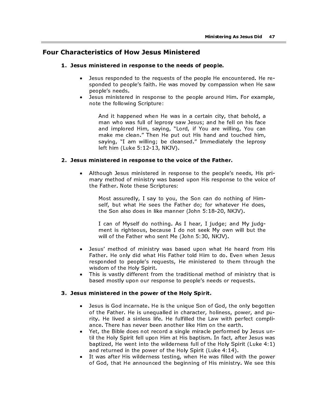# Four Characteristics of How Jesus Ministered

#### 1. Jesus ministered in response to the needs of people.

- Jesus responded to the requests of the people He encountered. He responded to people's faith. He was moved by compassion when He saw people's needs.
- Jesus ministered in response to the people around Him. For example, note the following Scripture:

And it happened when He was in a certain city, that behold, a man who was full of leprosy saw Jesus; and he fell on his face and implored Him, saying, "Lord, if You are willing, You can make me clean." Then He put out His hand and touched him, saying, "I am willing; be cleansed." Immediately the leprosy left him (Luke 5:12-13, NKJV).

#### 2. Jesus ministered in response to the voice of the Father.

• Although Jesus ministered in response to the people's needs, His primary method of ministry was based upon His response to the voice of the Father. Note these Scriptures:

Most assuredly, I say to you, the Son can do nothing of Himself, but what He sees the Father do; for whatever He does, the Son also does in like manner (John 5:18-20, NKJV).

I can of Myself do nothing. As I hear, I judge; and My judgment is righteous, because I do not seek My own will but the will of the Father who sent Me (John 5:30, NKJV).

- Jesus' method of ministry was based upon what He heard from His Father. He only did what His Father told Him to do. Even when Jesus responded to people's requests, He ministered to them through the wisdom of the Holy Spirit.
- This is vastly different from the traditional method of ministry that is based mostly upon our response to people's needs or requests.

#### 3. Jesus ministered in the power of the Holy Spirit.

- Jesus is God incarnate. He is the unique Son of God, the only begotten of the Father. He is unequalled in character, holiness, power, and purity. He lived a sinless life. He fulfilled the Law with perfect compliance. There has never been another like Him on the earth.
- Yet, the Bible does not record a single miracle performed by Jesus until the Holy Spirit fell upon Him at His baptism. In fact, after Jesus was baptized, He went into the wilderness full of the Holy Spirit (Luke 4:1) and returned in the power of the Holy Spirit (Luke 4:14).
- It was after His wilderness testing, when He was filled with the power of God, that He announced the beginning of His ministry. We see this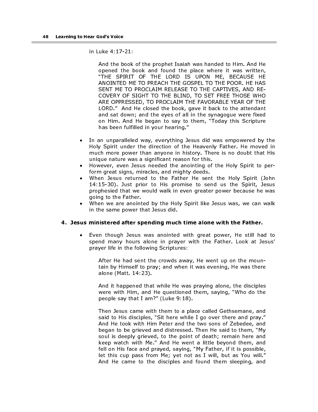in Luke 4:17-21:

And the book of the prophet Isaiah was handed to Him. And He opened the book and found the place where it was written, "THE SPIRIT OF THE LORD IS UPON ME, BECAUSE HE ANOINTED ME TO PREACH THE GOSPEL TO THE POOR. HE HAS SENT ME TO PROCLAIM RELEASE TO THE CAPTIVES, AND RE-COVERY OF SIGHT TO THE BLIND, TO SET FREE THOSE WHO ARE OPPRESSED, TO PROCLAIM THE FAVORABLE YEAR OF THE LORD." And He closed the book, gave it back to the attendant and sat down; and the eyes of all in the synagogue were fixed on Him. And He began to say to them, "Today this Scripture has been fulfilled in your hearing."

- In an unparalleled way, everything Jesus did was empowered by the Holy Spirit under the direction of the Heavenly Father. He moved in much more power than anyone in history. There is no doubt that His unique nature was a significant reason for this.
- However, even Jesus needed the anointing of the Holy Spirit to perform great signs, miracles, and mighty deeds.
- When Jesus returned to the Father He sent the Holy Spirit (John 14:15-30). Just prior to His promise to send us the Spirit, Jesus prophesied that we would walk in even greater power because he was going to the Father.
- When we are anointed by the Holy Spirit like Jesus was, we can walk in the same power that Jesus did.

#### 4. Jesus ministered after spending much time alone with the Father.

• Even though Jesus was anointed with great power, He still had to spend many hours alone in prayer with the Father. Look at Jesus' prayer life in the following Scriptures:

After He had sent the crowds away, He went up on the mountain by Himself to pray; and when it was evening, He was there alone (Matt. 14:23).

And it happened that while He was praying alone, the disciples were with Him, and He questioned them, saying, "Who do the people say that I am?" (Luke 9:18).

Then Jesus came with them to a place called Gethsemane, and said to His disciples, "Sit here while I go over there and pray." And He took with Him Peter and the two sons of Zebedee, and began to be grieved and distressed. Then He said to them, "My soul is deeply grieved, to the point of death; remain here and keep watch with Me." And He went a little beyond them, and fell on His face and prayed, saying, "My Father, if it is possible, let this cup pass from Me; yet not as I will, but as You will." And He came to the disciples and found them sleeping, and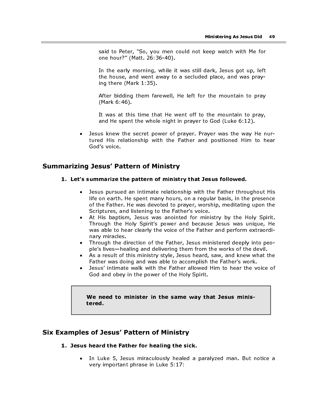said to Peter, "So, you men could not keep watch with Me for one hour?" (Matt. 26:36-40).

In the early morning, while it was still dark, Jesus got up, left the house, and went away to a secluded place, and was praying there (Mark 1:35).

After bidding them farewell, He left for the mountain to pray (Mark 6:46).

It was at this time that He went off to the mountain to pray, and He spent the whole night in prayer to God (Luke 6:12).

• Jesus knew the secret power of prayer. Prayer was the way He nurtured His relationship with the Father and positioned Him to hear God's voice.

# Summarizing Jesus' Pattern of Ministry

#### 1. Let's summarize the pattern of ministry that Jesus followed.

- Jesus pursued an intimate relationship with the Father throughout His life on earth. He spent many hours, on a regular basis, in the presence of the Father. He was devoted to prayer, worship, meditating upon the Scriptures, and listening to the Father's voice.
- At His baptism, Jesus was anointed for ministry by the Holy Spirit. Through the Holy Spirit's power and because Jesus was unique, He was able to hear clearly the voice of the Father and perform extraordinary miracles.
- Through the direction of the Father, Jesus ministered deeply into people's lives—healing and delivering them from the works of the devil.
- As a result of this ministry style, Jesus heard, saw, and knew what the Father was doing and was able to accomplish the Father's work.
- Jesus' intimate walk with the Father allowed Him to hear the voice of God and obey in the power of the Holy Spirit.

#### We need to minister in the same way that Jesus ministered.

# Six Examples of Jesus' Pattern of Ministry

- 1. Jesus heard the Father for healing the sick.
	- In Luke 5, Jesus miraculously healed a paralyzed man. But notice a very important phrase in Luke 5:17: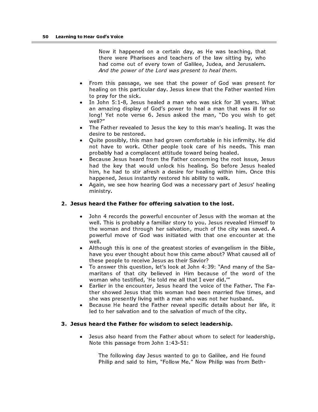Now it happened on a certain day, as He was teaching, that there were Pharisees and teachers of the law sitting by, who had come out of every town of Galilee, Judea, and Jerusalem. And the power of the Lord was present to heal them.

- From this passage, we see that the power of God was present for healing on this particular day. Jesus knew that the Father wanted Him to pray for the sick.
- In John 5:1-8, Jesus healed a man who was sick for 38 years. What an amazing display of God's power to heal a man that was ill for so long! Yet note verse 6. Jesus asked the man, "Do you wish to get well?"
- The Father revealed to Jesus the key to this man's healing. It was the desire to be restored.
- Quite possibly, this man had grown comfortable in his infirmity. He did not have to work. Other people took care of his needs. This man probably had a complacent attitude toward being healed.
- Because Jesus heard from the Father concerning the root issue, Jesus had the key that would unlock his healing. So before Jesus healed him, he had to stir afresh a desire for healing within him. Once this happened, Jesus instantly restored his ability to walk.
- Again, we see how hearing God was a necessary part of Jesus' healing ministry.

#### 2. Jesus heard the Father for offering salvation to the lost.

- John 4 records the powerful encounter of Jesus with the woman at the well. This is probably a familiar story to you. Jesus revealed Himself to the woman and through her salvation, much of the city was saved. A powerful move of God was initiated with that one encounter at the well.
- Although this is one of the greatest stories of evangelism in the Bible, have you ever thought about how this came about? What caused all of these people to receive Jesus as their Savior?
- To answer this question, let's look at John 4:39: "And many of the Samaritans of that city believed in Him because of the word of the woman who testified, 'He told me all that I ever did.'"
- Earlier in the encounter, Jesus heard the voice of the Father. The Father showed Jesus that this woman had been married five times, and she was presently living with a man who was not her husband.
- Because He heard the Father reveal specific details about her life, it led to her salvation and to the salvation of much of the city.

#### 3. Jesus heard the Father for wisdom to select leadership.

• Jesus also heard from the Father about whom to select for leadership. Note this passage from John 1:43-51:

The following day Jesus wanted to go to Galilee, and He found Philip and said to him, "Follow Me." Now Philip was from Beth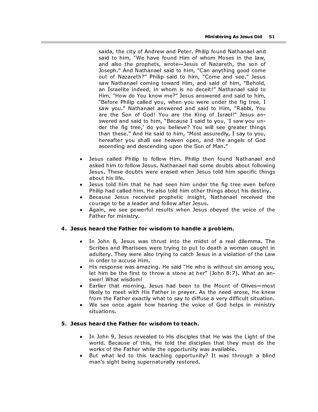saida, the city of Andrew and Peter. Philip found Nathanael and said to him, "We have found Him of whom Moses in the law, and also the prophets, wrote—Jesus of Nazareth, the son of Joseph." And Nathanael said to him, "Can anything good come out of Nazareth?" Philip said to him, "Come and see." Jesus saw Nathanael coming toward Him, and said of him, "Behold, an Israelite indeed, in whom is no deceit!" Nathanael said to Him, "How do You know me?" Jesus answered and said to him, "Before Philip called you, when you were under the fig tree, I saw you." Nathanael answered and said to Him, "Rabbi, You are the Son of God! You are the King of Israel!" Jesus answered and said to him, "Because I said to you, 'I saw you under the fig tree,' do you believe? You will see greater things than these." And He said to him, "Most assuredly, I say to you, hereafter you shall see heaven open, and the angels of God ascending and descending upon the Son of Man."

- Jesus called Philip to follow Him. Philip then found Nathanael and asked him to follow Jesus. Nathanael had some doubts about following Jesus. These doubts were erased when Jesus told him specific things about his life.
- Jesus told him that he had seen him under the fig tree even before Philip had called him. He also told him other things about his destiny.
- Because Jesus received prophetic insight, Nathanael received the courage to be a leader and follow after Jesus.
- Again, we see powerful results when Jesus obeyed the voice of the Father for ministry.

#### 4. Jesus heard the Father for wisdom to handle a problem.

- In John 8, Jesus was thrust into the midst of a real dilemma. The Scribes and Pharisees were trying to put to death a woman caught in adultery. They were also trying to catch Jesus in a violation of the Law in order to accuse Him.
- His response was amazing. He said "He who is without sin among you, let him be the first to throw a stone at her" (John 8:7). What an answer! What wisdom!
- Earlier that morning, Jesus had been to the Mount of Olives—most likely to meet with His Father in prayer. As the need arose, He knew from the Father exactly what to say to diffuse a very difficult situation.
- We see once again how hearing the voice of God helps in ministry situations.

### 5. Jesus heard the Father for wisdom to teach.

- In John 9, Jesus revealed to His disciples that He was the Light of the world. Because of this, He told the disciples that they must do the works of the Father while the opportunity was available.
- But what led to this teaching opportunity? It was through a blind man's sight being supernaturally restored.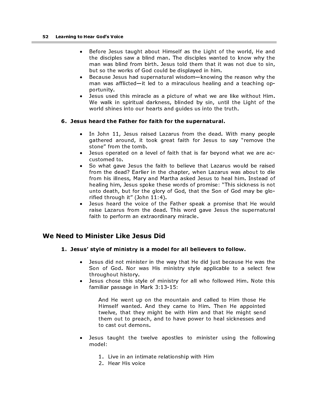- Before Jesus taught about Himself as the Light of the world, He and the disciples saw a blind man. The disciples wanted to know why the man was blind from birth. Jesus told them that it was not due to sin, but so the works of God could be displayed in him.
- Because Jesus had supernatural wisdom—knowing the reason why the man was afflicted—it led to a miraculous healing and a teaching opportunity.
- Jesus used this miracle as a picture of what we are like without Him. We walk in spiritual darkness, blinded by sin, until the Light of the world shines into our hearts and guides us into the truth.

#### 6. Jesus heard the Father for faith for the supernatural.

- In John 11, Jesus raised Lazarus from the dead. With many people gathered around, it took great faith for Jesus to say "remove the stone" from the tomb.
- Jesus operated on a level of faith that is far beyond what we are accustomed to.
- So what gave Jesus the faith to believe that Lazarus would be raised from the dead? Earlier in the chapter, when Lazarus was about to die from his illness, Mary and Martha asked Jesus to heal him. Instead of healing him, Jesus spoke these words of promise: "This sickness is not unto death, but for the glory of God, that the Son of God may be glorified through it" (John 11:4).
- Jesus heard the voice of the Father speak a promise that He would raise Lazarus from the dead. This word gave Jesus the supernatural faith to perform an extraordinary miracle.

# We Need to Minister Like Jesus Did

- 1. Jesus' style of ministry is a model for all believers to follow.
	- Jesus did not minister in the way that He did just because He was the Son of God. Nor was His ministry style applicable to a select few throughout history.
	- Jesus chose this style of ministry for all who followed Him. Note this familiar passage in Mark 3:13-15:

And He went up on the mountain and called to Him those He Himself wanted. And they came to Him. Then He appointed twelve, that they might be with Him and that He might send them out to preach, and to have power to heal sicknesses and to cast out demons.

- Jesus taught the twelve apostles to minister using the following model:
	- 1. Live in an intimate relationship with Him
	- 2. Hear His voice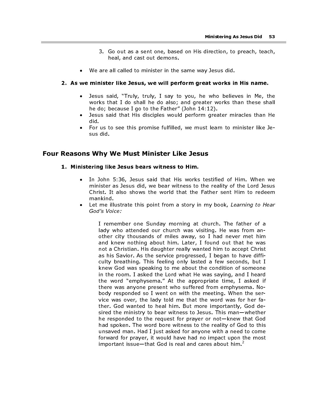- 3. Go out as a sent one, based on His direction, to preach, teach, heal, and cast out demons.
- We are all called to minister in the same way Jesus did.

#### 2. As we minister like Jesus, we will perform great works in His name.

- Jesus said, "Truly, truly, I say to you, he who believes in Me, the works that I do shall he do also; and greater works than these shall he do; because I go to the Father" (John 14:12).
- Jesus said that His disciples would perform greater miracles than He did.
- For us to see this promise fulfilled, we must learn to minister like Jesus did.

#### Four Reasons Why We Must Minister Like Jesus

#### 1. Ministering like Jesus bears witness to Him.

- In John 5:36, Jesus said that His works testified of Him. When we minister as Jesus did, we bear witness to the reality of the Lord Jesus Christ. It also shows the world that the Father sent Him to redeem mankind.
- Let me illustrate this point from a story in my book, Learning to Hear God's Voice:

I remember one Sunday morning at church. The father of a lady who attended our church was visiting. He was from another city thousands of miles away, so I had never met him and knew nothing about him. Later, I found out that he was not a Christian. His daughter really wanted him to accept Christ as his Savior. As the service progressed, I began to have difficulty breathing. This feeling only lasted a few seconds, but I knew God was speaking to me about the condition of someone in the room. I asked the Lord what He was saying, and I heard the word "emphysema." At the appropriate time, I asked if there was anyone present who suffered from emphysema. Nobody responded so I went on with the meeting. When the service was over, the lady told me that the word was for her father. God wanted to heal him. But more importantly, God desired the ministry to bear witness to Jesus. This man—whether he responded to the request for prayer or not—knew that God had spoken. The word bore witness to the reality of God to this unsaved man. Had I just asked for anyone with a need to come forward for prayer, it would have had no impact upon the most important issue—that God is real and cares about him. $\frac{2}{3}$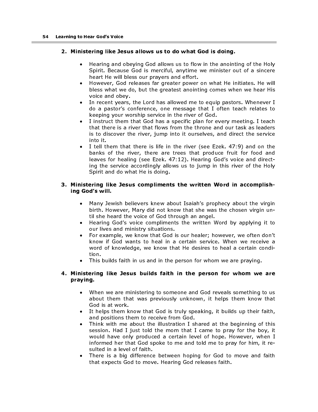#### 2. Ministering like Jesus allows us to do what God is doing.

- Hearing and obeying God allows us to flow in the anointing of the Holy Spirit. Because God is merciful, anytime we minister out of a sincere heart He will bless our prayers and effort.
- However, God releases far greater power on what He initiates. He will bless what we do, but the greatest anointing comes when we hear His voice and obey.
- In recent years, the Lord has allowed me to equip pastors. Whenever I do a pastor's conference, one message that I often teach relates to keeping your worship service in the river of God.
- I instruct them that God has a specific plan for every meeting. I teach that there is a river that flows from the throne and our task as leaders is to discover the river, jump into it ourselves, and direct the service into it.
- I tell them that there is life in the river (see Ezek. 47:9) and on the banks of the river, there are trees that produce fruit for food and leaves for healing (see Ezek. 47:12). Hearing God's voice and directing the service accordingly allows us to jump in this river of the Holy Spirit and do what He is doing.

#### 3. Ministering like Jesus compliments the written Word in accomplishing God's will.

- Many Jewish believers knew about Isaiah's prophecy about the virgin birth. However, Mary did not know that she was the chosen virgin until she heard the voice of God through an angel.
- Hearing God's voice compliments the written Word by applying it to our lives and ministry situations.
- For example, we know that God is our healer; however, we often don't know if God wants to heal in a certain service. When we receive a word of knowledge, we know that He desires to heal a certain condition.
- This builds faith in us and in the person for whom we are praying.

### 4. Ministering like Jesus builds faith in the person for whom we are praying.

- When we are ministering to someone and God reveals something to us about them that was previously unknown, it helps them know that God is at work.
- It helps them know that God is truly speaking, it builds up their faith, and positions them to receive from God.
- Think with me about the illustration I shared at the beginning of this session. Had I just told the mom that I came to pray for the boy, it would have only produced a certain level of hope. However, when I informed her that God spoke to me and told me to pray for him, it resulted in a level of faith.
- There is a big difference between hoping for God to move and faith that expects God to move. Hearing God releases faith.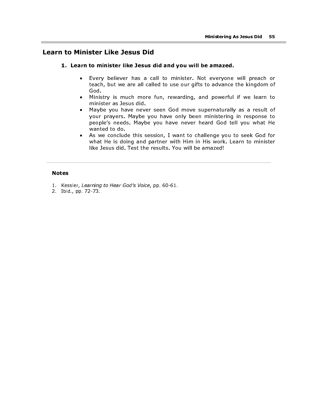# Learn to Minister Like Jesus Did

#### 1. Learn to minister like Jesus did and you will be amazed.

- Every believer has a call to minister. Not everyone will preach or teach, but we are all called to use our gifts to advance the kingdom of God.
- Ministry is much more fun, rewarding, and powerful if we learn to minister as Jesus did.
- Maybe you have never seen God move supernaturally as a result of your prayers. Maybe you have only been ministering in response to people's needs. Maybe you have never heard God tell you what He wanted to do.
- As we conclude this session, I want to challenge you to seek God for what He is doing and partner with Him in His work. Learn to minister like Jesus did. Test the results. You will be amazed!

#### Notes

- 1. Kessler, Learning to Hear God's Voice, pp. 60-61.
- 2. Ibid., pp. 72-73.

ı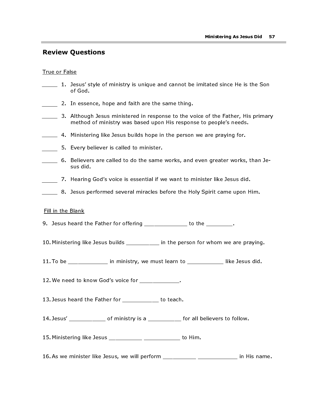# Review Questions

#### True or False

- 1. Jesus' style of ministry is unique and cannot be imitated since He is the Son of God.
- 2. In essence, hope and faith are the same thing.
- $\frac{1}{2}$  3. Although Jesus ministered in response to the voice of the Father, His primary method of ministry was based upon His response to people's needs.
- 4. Ministering like Jesus builds hope in the person we are praying for.
- 5. Every believer is called to minister.
- 6. Believers are called to do the same works, and even greater works, than Jesus did.
- 7. Hearing God's voice is essential if we want to minister like Jesus did.
- 8. Jesus performed several miracles before the Holy Spirit came upon Him.

#### Fill in the Blank

- 9. Jesus heard the Father for offering \_\_\_\_\_\_\_\_\_\_\_\_\_\_\_ to the \_\_\_\_\_\_\_\_\_.
- 10. Ministering like Jesus builds \_\_\_\_\_\_\_\_\_\_ in the person for whom we are praying.
- 11. To be  $\frac{1}{\frac{1}{\sqrt{1-\frac{1}{\sqrt{1-\frac{1}{\sqrt{1-\frac{1}{\sqrt{1-\frac{1}{\sqrt{1-\frac{1}{\sqrt{1-\frac{1}{\sqrt{1-\frac{1}{\sqrt{1-\frac{1}{\sqrt{1-\frac{1}{\sqrt{1-\frac{1}{\sqrt{1-\frac{1}{\sqrt{1-\frac{1}{\sqrt{1-\frac{1}{\sqrt{1-\frac{1}{\sqrt{1-\frac{1}{\sqrt{1-\frac{1}{\sqrt{1-\frac{1}{\sqrt{1-\frac{1}{\sqrt{1-\frac{1}{\sqrt{1-\frac{1}{\sqrt{1-\frac{1}{\sqrt{1-\frac{1}{\sqrt$
- 12. We need to know God's voice for \_\_\_\_\_\_\_\_\_\_\_\_.
- 13. Jesus heard the Father for \_\_\_\_\_\_\_\_\_\_\_ to teach.
- 14. Jesus' \_\_\_\_\_\_\_\_\_\_\_\_\_ of ministry is a \_\_\_\_\_\_\_\_\_\_\_ for all believers to follow.
- 15. Ministering like Jesus \_\_\_\_\_\_\_\_\_\_ \_\_\_\_\_\_\_\_\_\_\_ to Him.
- 16. As we minister like Jesus, we will perform \_\_\_\_\_\_\_\_\_\_ \_\_\_\_\_\_\_\_\_\_\_\_\_\_\_ in His name.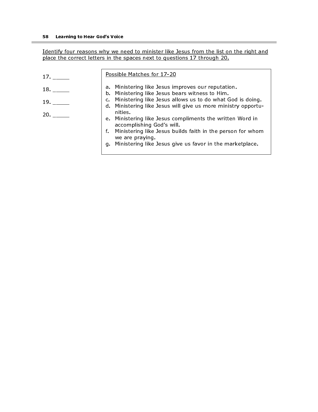Identify four reasons why we need to minister like Jesus from the list on the right and place the correct letters in the spaces next to questions 17 through 20.

| 17 <sup>2</sup> | Possible Matches for 17-20                                                                                                    |
|-----------------|-------------------------------------------------------------------------------------------------------------------------------|
| 18.             | a. Ministering like Jesus improves our reputation.<br>b. Ministering like Jesus bears witness to Him.                         |
| 19.             | c. Ministering like Jesus allows us to do what God is doing.<br>d. Ministering like Jesus will give us more ministry opportu- |
| 20.             | nities.<br>e. Ministering like Jesus compliments the written Word in<br>accomplishing God's will.                             |
|                 | f. Ministering like Jesus builds faith in the person for whom<br>we are praying.                                              |
|                 | Ministering like Jesus give us favor in the marketplace.<br>q.                                                                |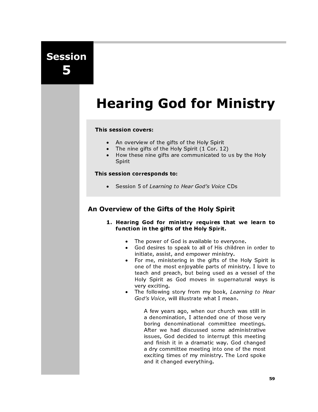Session 5

# Hearing God for Ministry

#### This session covers:

- An overview of the gifts of the Holy Spirit
- The nine gifts of the Holy Spirit  $(1 \text{ Cor. } 12)$ <br>• How these nine gifts are communicated to
- How these nine gifts are communicated to us by the Holy Spirit

#### This session corresponds to:

• Session 5 of Learning to Hear God's Voice CDs

# An Overview of the Gifts of the Holy Spirit

- 1. Hearing God for ministry requires that we learn to function in the gifts of the Holy Spirit.
	- The power of God is available to everyone.
	- God desires to speak to all of His children in order to initiate, assist, and empower ministry.
	- For me, ministering in the gifts of the Holy Spirit is one of the most enjoyable parts of ministry. I love to teach and preach, but being used as a vessel of the Holy Spirit as God moves in supernatural ways is very exciting.
	- The following story from my book, Learning to Hear God's Voice, will illustrate what I mean.

A few years ago, when our church was still in a denomination, I attended one of those very boring denominational committee meetings. After we had discussed some administrative issues, God decided to interrupt this meeting and finish it in a dramatic way. God changed a dry committee meeting into one of the most exciting times of my ministry. The Lord spoke and it changed everything.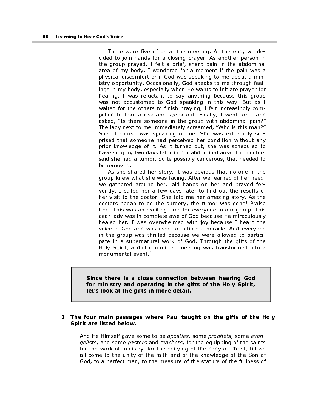There were five of us at the meeting. At the end, we decided to join hands for a closing prayer. As another person in the group prayed, I felt a brief, sharp pain in the abdominal area of my body. I wondered for a moment if the pain was a physical discomfort or if God was speaking to me about a ministry opportunity. Occasionally, God speaks to me through feelings in my body, especially when He wants to initiate prayer for healing. I was reluctant to say anything because this group was not accustomed to God speaking in this way. But as I waited for the others to finish praying, I felt increasingly compelled to take a risk and speak out. Finally, I went for it and asked, "Is there someone in the group with abdominal pain?" The lady next to me immediately screamed, "Who is this man?" She of course was speaking of me. She was extremely surprised that someone had perceived her condition without any prior knowledge of it. As it turned out, she was scheduled to have surgery two days later in her abdominal area. The doctors said she had a tumor, quite possibly cancerous, that needed to be removed.

As she shared her story, it was obvious that no one in the group knew what she was facing. After we learned of her need, we gathered around her, laid hands on her and prayed fervently. I called her a few days later to find out the results of her visit to the doctor. She told me her amazing story. As the doctors began to do the surgery, the tumor was gone! Praise God! This was an exciting time for everyone in our group. This dear lady was in complete awe of God because He miraculously healed her. I was overwhelmed with joy because I heard the voice of God and was used to initiate a miracle. And everyone in the group was thrilled because we were allowed to participate in a supernatural work of God. Through the gifts of the Holy Spirit, a dull committee meeting was transformed into a monumental event. $<sup>1</sup>$ </sup>

Since there is a close connection between hearing God for ministry and operating in the gifts of the Holy Spirit, let's look at the gifts in more detail.

#### 2. The four main passages where Paul taught on the gifts of the Holy Spirit are listed below.

And He Himself gave some to be *apostles*, some *prophets*, some *evan*gelists, and some pastors and teachers, for the equipping of the saints for the work of ministry, for the edifying of the body of Christ, till we all come to the unity of the faith and of the knowledge of the Son of God, to a perfect man, to the measure of the stature of the fullness of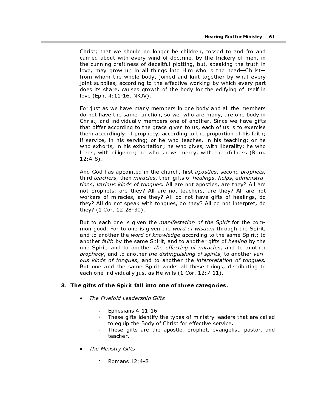Christ; that we should no longer be children, tossed to and fro and carried about with every wind of doctrine, by the trickery of men, in the cunning craftiness of deceitful plotting, but, speaking the truth in love, may grow up in all things into Him who is the head—Christ from whom the whole body, joined and knit together by what every joint supplies, according to the effective working by which every part does its share, causes growth of the body for the edifying of itself in love (Eph. 4:11-16, NKJV).

For just as we have many members in one body and all the members do not have the same function, so we, who are many, are one body in Christ, and individually members one of another. Since we have gifts that differ according to the grace given to us, each of us is to exercise them accordingly: if prophecy, according to the proportion of his faith; if service, in his serving; or he who teaches, in his teaching; or he who exhorts, in his exhortation; he who gives, with liberality; he who leads, with diligence; he who shows mercy, with cheerfulness (Rom. 12:4-8).

And God has appointed in the church, first apostles, second prophets, third teachers, then miracles, then gifts of healings, helps, administrations, various kinds of tongues. All are not apostles, are they? All are not prophets, are they? All are not teachers, are they? All are not workers of miracles, are they? All do not have gifts of healings, do they? All do not speak with tongues, do they? All do not interpret, do they? (1 Cor. 12:28-30).

But to each one is given the *manifestation of the Spirit* for the common good. For to one is given the word of wisdom through the Spirit, and to another the word of knowledge according to the same Spirit; to another faith by the same Spirit, and to another gifts of healing by the one Spirit, and to another the effecting of miracles, and to another prophecy, and to another the distinguishing of spirits, to another various kinds of tongues, and to another the interpretation of tongues. But one and the same Spirit works all these things, distributing to each one individually just as He wills (1 Cor. 12:7-11).

#### 3. The gifts of the Spirit fall into one of three categories.

- The Fivefold Leadership Gifts
	- **Ephesians 4:11-16**
	- These gifts identify the types of ministry leaders that are called to equip the Body of Christ for effective service.
	- These gifts are the apostle, prophet, evangelist, pastor, and teacher.
- The Ministry Gifts
	- Romans 12:4-8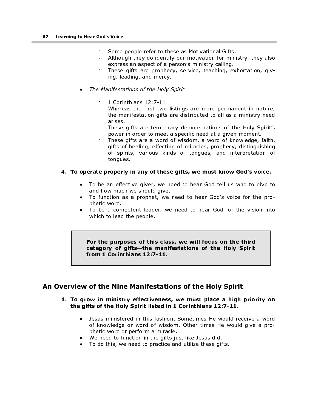- Some people refer to these as Motivational Gifts.<br>• Although they do identify our motivation for mini
- Although they do identify our motivation for ministry, they also express an aspect of a person's ministry calling.
- <sup>o</sup> These gifts are prophecy, service, teaching, exhortation, giving, leading, and mercy.
- The Manifestations of the Holy Spirit
	- □ 1 Corinthians 12:7-11<br>□ Whereas\_the\_first\_two
	- If whereas the first two listings are more permanent in nature,<br>the manifestation gifts are distributed to all as a ministry need the manifestation gifts are distributed to all as a ministry need arises.
	- **These gifts are temporary demonstrations of the Holy Spirit's** power in order to meet a specific need at a given moment.
	- These gifts are a word of wisdom, a word of knowledge, faith, gifts of healing, effecting of miracles, prophecy, distinguishing of spirits, various kinds of tongues, and interpretation of tongues.

#### 4. To operate properly in any of these gifts, we must know God's voice.

- To be an effective giver, we need to hear God tell us who to give to and how much we should give.
- To function as a prophet, we need to hear God's voice for the prophetic word.
- To be a competent leader, we need to hear God for the vision into which to lead the people.

For the purposes of this class, we will focus on the third category of gifts—the manifestations of the Holy Spirit from 1 Corinthians 12:7-11.

# An Overview of the Nine Manifestations of the Holy Spirit

#### 1. To grow in ministry effectiveness, we must place a high priority on the gifts of the Holy Spirit listed in 1 Corinthians 12:7-11.

- Jesus ministered in this fashion. Sometimes He would receive a word of knowledge or word of wisdom. Other times He would give a prophetic word or perform a miracle.
- We need to function in the gifts just like Jesus did.
- To do this, we need to practice and utilize these gifts.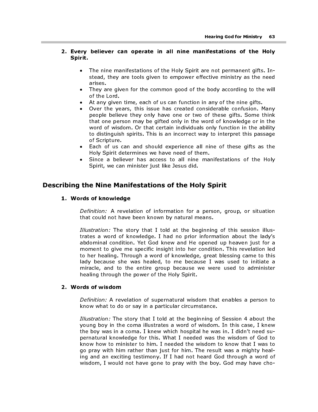#### 2. Every believer can operate in all nine manifestations of the Holy Spirit.

- The nine manifestations of the Holy Spirit are not permanent gifts. Instead, they are tools given to empower effective ministry as the need arises.
- They are given for the common good of the body according to the will of the Lord.
- At any given time, each of us can function in any of the nine gifts.
- Over the years, this issue has created considerable confusion. Many people believe they only have one or two of these gifts. Some think that one person may be gifted only in the word of knowledge or in the word of wisdom. Or that certain individuals only function in the ability to distinguish spirits. This is an incorrect way to interpret this passage of Scripture.
- Each of us can and should experience all nine of these gifts as the Holy Spirit determines we have need of them.
- Since a believer has access to all nine manifestations of the Holy Spirit, we can minister just like Jesus did.

# Describing the Nine Manifestations of the Holy Spirit

#### 1. Words of knowledge

Definition: A revelation of information for a person, group, or situation that could not have been known by natural means.

Definition: A revelation of information for a person, group, or situation that could not have been known by natural means.<br>
Illustration: The story that 1 told at the beginning of this session illus-<br>
Irlustration: Yet God Illustration: The story that I told at the beginning of this session illustrates a word of knowledge. I had no prior information about the lady's abdominal condition. Yet God knew and He opened up heaven just for a moment to give me specific insight into her condition. This revelation led to her healing. Through a word of knowledge, great blessing came to this lady because she was healed, to me because I was used to initiate a miracle, and to the entire group because we were used to administer healing through the power of the Holy Spirit.

#### 2. Words of wisdom

Definition: A revelation of supernatural wisdom that enables a person to know what to do or say in a particular circumstance.

Illustration: The story that I told at the beginning of Session 4 about the young boy in the coma illustrates a word of wisdom. In this case, I knew the boy was in a coma. I knew which hospital he was in. I didn't need supernatural knowledge for this. What I needed was the wisdom of God to know how to minister to him. I needed the wisdom to know that I was to go pray with him rather than just for him. The result was a mighty healing and an exciting testimony. If I had not heard God through a word of wisdom, I would not have gone to pray with the boy. God may have cho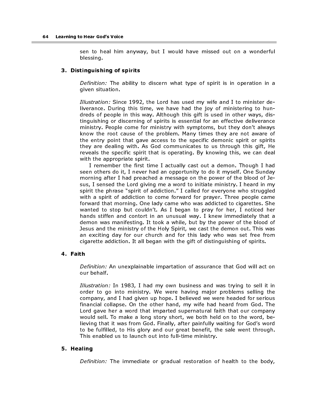sen to heal him anyway, but I would have missed out on a wonderful blessing.

#### 3. Distinguishing of spirits

Definition: The ability to discern what type of spirit is in operation in a given situation.

Illustration: Since 1992, the Lord has used my wife and I to minister deliverance. During this time, we have had the joy of ministering to hundreds of people in this way. Although this gift is used in other ways, distinguishing or discerning of spirits is essential for an effective deliverance ministry. People come for ministry with symptoms, but they don't always know the root cause of the problem. Many times they are not aware of the entry point that gave access to the specific demonic spirit or spirits they are dealing with. As God communicates to us through this gift, He reveals the specific spirit that is operating. By knowing this, we can deal with the appropriate spirit.

I remember the first time I actually cast out a demon. Though I had seen others do it, I never had an opportunity to do it myself. One Sunday morning after I had preached a message on the power of the blood of Jesus, I sensed the Lord giving me a word to initiate ministry. I heard in my spirit the phrase "spirit of addiction." I called for everyone who struggled with a spirit of addiction to come forward for prayer. Three people came forward that morning. One lady came who was addicted to cigarettes. She wanted to stop but couldn't. As I began to pray for her, I noticed her hands stiffen and contort in an unusual way. I knew immediately that a demon was manifesting. It took a while, but by the power of the blood of Jesus and the ministry of the Holy Spirit, we cast the demon out. This was an exciting day for our church and for this lady who was set free from cigarette addiction. It all began with the gift of distinguishing of spirits.

#### 4. Faith

Definition: An unexplainable impartation of assurance that God will act on our behalf.

Illustration: In 1983, I had my own business and was trying to sell it in order to go into ministry. We were having major problems selling the company, and I had given up hope. I believed we were headed for serious financial collapse. On the other hand, my wife had heard from God. The Lord gave her a word that imparted supernatural faith that our company would sell. To make a long story short, we both held on to the word, believing that it was from God. Finally, after painfully waiting for God's word to be fulfilled, to His glory and our great benefit, the sale went through. This enabled us to launch out into full-time ministry.

#### 5. Healing

Definition: The immediate or gradual restoration of health to the body,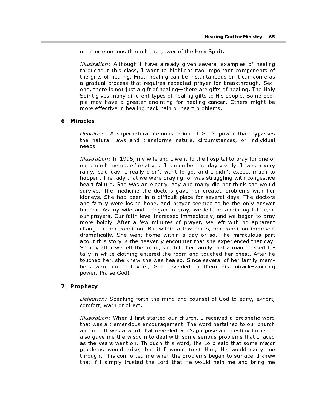mind or emotions through the power of the Holy Spirit.

Illustration: Although I have already given several examples of healing throughout this class, I want to highlight two important components of the gifts of healing. First, healing can be instantaneous or it can come as a gradual process that requires repeated prayer for breakthrough. Second, there is not just a gift of healing—there are gifts of healing. The Holy Spirit gives many different types of healing gifts to His people. Some people may have a greater anointing for healing cancer. Others might be more effective in healing back pain or heart problems.

#### 6. Miracles

Definition: A supernatural demonstration of God's power that bypasses the natural laws and transforms nature, circumstances, or individual needs.

Illustration: In 1995, my wife and I went to the hospital to pray for one of our church members' relatives. I remember the day vividly. It was a very rainy, cold day. I really didn't want to go, and I didn't expect much to happen. The lady that we were praying for was struggling with congestive heart failure. She was an elderly lady and many did not think she would survive. The medicine the doctors gave her created problems with her kidneys. She had been in a difficult place for several days. The doctors and family were losing hope, and prayer seemed to be the only answer for her. As my wife and I began to pray, we felt the anointing fall upon our prayers. Our faith level increased immediately, and we began to pray more boldly. After a few minutes of prayer, we left with no apparent change in her condition. But within a few hours, her condition improved dramatically. She went home within a day or so. The miraculous part about this story is the heavenly encounter that she experienced that day. Shortly after we left the room, she told her family that a man dressed totally in white clothing entered the room and touched her chest. After he touched her, she knew she was healed. Since several of her family members were not believers, God revealed to them His miracle-working power. Praise God!

#### 7. Prophecy

Definition: Speaking forth the mind and counsel of God to edify, exhort, comfort, warn or direct.

Illustration: When I first started our church, I received a prophetic word that was a tremendous encouragement. The word pertained to our church and me. It was a word that revealed God's purpose and destiny for us. It also gave me the wisdom to deal with some serious problems that I faced as the years went on. Through this word, the Lord said that some major problems would arise, but if I would trust Him, He would carry me through. This comforted me when the problems began to surface. I knew that if I simply trusted the Lord that He would help me and bring me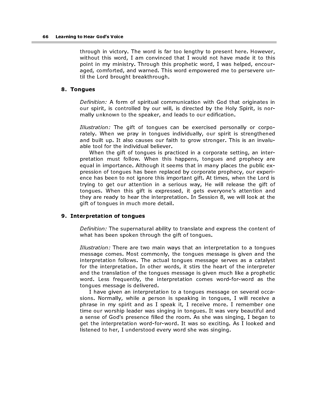through in victory. The word is far too lengthy to present here. However, without this word, I am convinced that I would not have made it to this point in my ministry. Through this prophetic word, I was helped, encouraged, comforted, and warned. This word empowered me to persevere until the Lord brought breakthrough.

#### 8. Tongues

Definition: A form of spiritual communication with God that originates in our spirit, is controlled by our will, is directed by the Holy Spirit, is normally unknown to the speaker, and leads to our edification.

Illustration: The gift of tongues can be exercised personally or corporately. When we pray in tongues individually, our spirit is strengthened and built up. It also causes our faith to grow stronger. This is an invaluable tool for the individual believer.

When the gift of tongues is practiced in a corporate setting, an interpretation must follow. When this happens, tongues and prophecy are equal in importance. Although it seems that in many places the public expression of tongues has been replaced by corporate prophecy, our experience has been to not ignore this important gift. At times, when the Lord is trying to get our attention in a serious way, He will release the gift of tongues. When this gift is expressed, it gets everyone's attention and they are ready to hear the interpretation. In Session 8, we will look at the gift of tongues in much more detail.

#### 9. Interpretation of tongues

Definition: The supernatural ability to translate and express the content of what has been spoken through the gift of tongues.

Illustration: There are two main ways that an interpretation to a tongues message comes. Most commonly, the tongues message is given and the interpretation follows. The actual tongues message serves as a catalyst for the interpretation. In other words, it stirs the heart of the interpreter and the translation of the tongues message is given much like a prophetic word. Less frequently, the interpretation comes word-for-word as the tongues message is delivered.

I have given an interpretation to a tongues message on several occasions. Normally, while a person is speaking in tongues, I will receive a phrase in my spirit and as I speak it, I receive more. I remember one time our worship leader was singing in tongues. It was very beautiful and a sense of God's presence filled the room. As she was singing, I began to get the interpretation word-for-word. It was so exciting. As I looked and listened to her, I understood every word she was singing.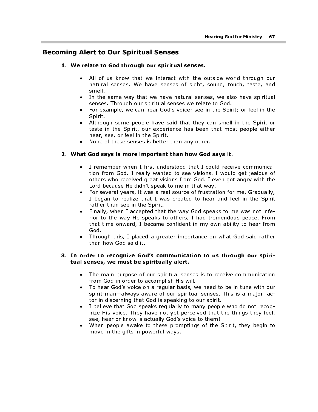# Becoming Alert to Our Spiritual Senses

#### 1. We relate to God through our spiritual senses.

- All of us know that we interact with the outside world through our natural senses. We have senses of sight, sound, touch, taste, and smell.
- In the same way that we have natural senses, we also have spiritual senses. Through our spiritual senses we relate to God.
- For example, we can hear God's voice; see in the Spirit; or feel in the Spirit.
- Although some people have said that they can smell in the Spirit or taste in the Spirit, our experience has been that most people either hear, see, or feel in the Spirit.
- None of these senses is better than any other.

#### 2. What God says is more important than how God says it.

- I remember when I first understood that I could receive communication from God. I really wanted to see visions. I would get jealous of others who received great visions from God. I even got angry with the Lord because He didn't speak to me in that way.
- For several years, it was a real source of frustration for me. Gradually, I began to realize that I was created to hear and feel in the Spirit rather than see in the Spirit.
- Finally, when I accepted that the way God speaks to me was not inferior to the way He speaks to others, I had tremendous peace. From that time onward, I became confident in my own ability to hear from God.
- Through this, I placed a greater importance on what God said rather than how God said it.

#### 3. In order to recognize God's communication to us through our spiritual senses, we must be spiritually alert.

- The main purpose of our spiritual senses is to receive communication from God in order to accomplish His will.
- To hear God's voice on a regular basis, we need to be in tune with our spirit-man—always aware of our spiritual senses. This is a major factor in discerning that God is speaking to our spirit.
- I believe that God speaks regularly to many people who do not recognize His voice. They have not yet perceived that the things they feel, see, hear or know is actually God's voice to them!
- When people awake to these promptings of the Spirit, they begin to move in the gifts in powerful ways.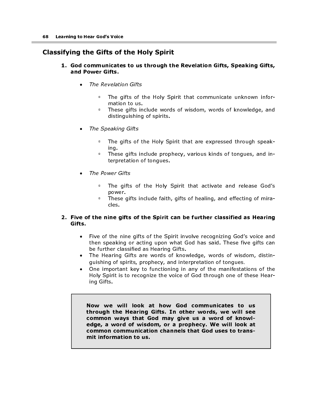# Classifying the Gifts of the Holy Spirit

#### 1. God communicates to us through the Revelation Gifts, Speaking Gifts, and Power Gifts.

- The Revelation Gifts
	- The gifts of the Holy Spirit that communicate unknown information to us.
	- **These gifts include words of wisdom, words of knowledge, and** distinguishing of spirits.
- The Speaking Gifts
	- The gifts of the Holy Spirit that are expressed through speaking.
	- These gifts include prophecy, various kinds of tongues, and interpretation of tongues.
- The Power Gifts
	- . The gifts of the Holy Spirit that activate and release God's power.
	- These gifts include faith, gifts of healing, and effecting of miracles.

#### 2. Five of the nine gifts of the Spirit can be further classified as Hearing Gifts.

- Five of the nine gifts of the Spirit involve recognizing God's voice and then speaking or acting upon what God has said. These five gifts can be further classified as Hearing Gifts.
- The Hearing Gifts are words of knowledge, words of wisdom, distinguishing of spirits, prophecy, and interpretation of tongues.
- One important key to functioning in any of the manifestations of the Holy Spirit is to recognize the voice of God through one of these Hearing Gifts.

Now we will look at how God communicates to us through the Hearing Gifts. In other words, we will see common ways that God may give us a word of knowledge, a word of wisdom, or a prophecy. We will look at common communication channels that God uses to transmit information to us.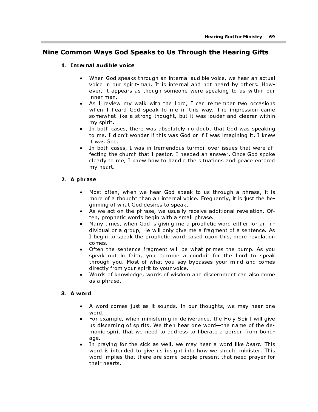# Nine Common Ways God Speaks to Us Through the Hearing Gifts

#### 1. Internal audible voice

- When God speaks through an internal audible voice, we hear an actual voice in our spirit-man. It is internal and not heard by others. However, it appears as though someone were speaking to us within our inner man.
- As I review my walk with the Lord, I can remember two occasions when I heard God speak to me in this way. The impression came somewhat like a strong thought, but it was louder and clearer within my spirit.
- In both cases, there was absolutely no doubt that God was speaking to me. I didn't wonder if this was God or if I was imagining it. I knew it was God.
- In both cases, I was in tremendous turmoil over issues that were affecting the church that I pastor. I needed an answer. Once God spoke clearly to me, I knew how to handle the situations and peace entered my heart.

#### 2. A phrase

- Most often, when we hear God speak to us through a phrase, it is more of a thought than an internal voice. Frequently, it is just the beginning of what God desires to speak.
- As we act on the phrase, we usually receive additional revelation. Often, prophetic words begin with a small phrase.
- Many times, when God is giving me a prophetic word either for an individual or a group, He will only give me a fragment of a sentence. As I begin to speak the prophetic word based upon this, more revelation comes.
- Often the sentence fragment will be what primes the pump. As you speak out in faith, you become a conduit for the Lord to speak through you. Most of what you say bypasses your mind and comes directly from your spirit to your voice.
- Words of knowledge, words of wisdom and discernment can also come as a phrase.

#### 3. A word

- A word comes just as it sounds. In our thoughts, we may hear one word.
- For example, when ministering in deliverance, the Holy Spirit will give us discerning of spirits. We then hear one word—the name of the demonic spirit that we need to address to liberate a person from bondage.
- In praying for the sick as well, we may hear a word like *heart*. This word is intended to give us insight into how we should minister. This word implies that there are some people present that need prayer for their hearts.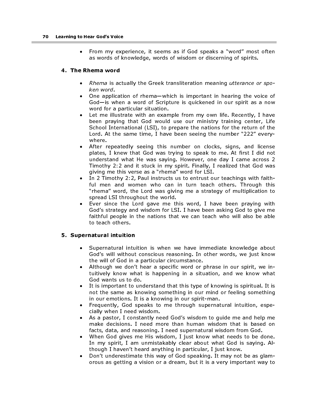• From my experience, it seems as if God speaks a "word" most often as words of knowledge, words of wisdom or discerning of spirits.

#### 4. The Rhema word

- Rhema is actually the Greek transliteration meaning utterance or spoken word.
- One application of rhema—which is important in hearing the voice of God—is when a word of Scripture is quickened in our spirit as a now word for a particular situation.
- Let me illustrate with an example from my own life. Recently, I have been praying that God would use our ministry training center, Life School International (LSI), to prepare the nations for the return of the Lord. At the same time, I have been seeing the number "222" everywhere.
- After repeatedly seeing this number on clocks, signs, and license plates, I knew that God was trying to speak to me. At first I did not understand what He was saying. However, one day I came across 2 Timothy 2:2 and it stuck in my spirit. Finally, I realized that God was giving me this verse as a "rhema" word for LSI.
- In 2 Timothy 2:2, Paul instructs us to entrust our teachings with faithful men and women who can in turn teach others. Through this "rhema" word, the Lord was giving me a strategy of multiplication to spread LSI throughout the world.
- Ever since the Lord gave me this word, I have been praying with God's strategy and wisdom for LSI. I have been asking God to give me faithful people in the nations that we can teach who will also be able to teach others.

#### 5. Supernatural intuition

- Supernatural intuition is when we have immediate knowledge about God's will without conscious reasoning. In other words, we just know the will of God in a particular circumstance.
- Although we don't hear a specific word or phrase in our spirit, we intuitively know what is happening in a situation, and we know what God wants us to do.
- It is important to understand that this type of knowing is spiritual. It is not the same as knowing something in our mind or feeling something in our emotions. It is a knowing in our spirit-man.
- Frequently, God speaks to me through supernatural intuition, especially when I need wisdom.
- As a pastor, I constantly need God's wisdom to guide me and help me make decisions. I need more than human wisdom that is based on facts, data, and reasoning. I need supernatural wisdom from God.
- When God gives me His wisdom, I just know what needs to be done. In my spirit, I am unmistakably clear about what God is saying. Although I haven't heard anything in particular, I just know.
- Don't underestimate this way of God speaking. It may not be as glamorous as getting a vision or a dream, but it is a very important way to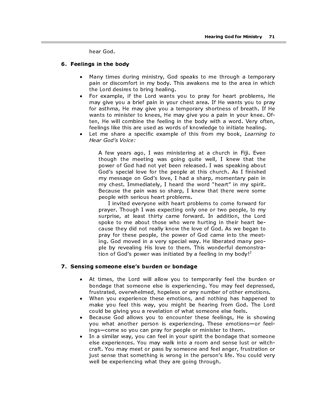hear God.

#### 6. Feelings in the body

- Many times during ministry, God speaks to me through a temporary pain or discomfort in my body. This awakens me to the area in which the Lord desires to bring healing.
- For example, if the Lord wants you to pray for heart problems, He may give you a brief pain in your chest area. If He wants you to pray for asthma, He may give you a temporary shortness of breath. If He wants to minister to knees, He may give you a pain in your knee. Often, He will combine the feeling in the body with a word. Very often, feelings like this are used as words of knowledge to initiate healing.
- Let me share a specific example of this from my book, Learning to Hear God's Voice:

A few years ago, I was ministering at a church in Fiji. Even though the meeting was going quite well, I knew that the power of God had not yet been released. I was speaking about God's special love for the people at this church. As I finished my message on God's love, I had a sharp, momentary pain in my chest. Immediately, I heard the word "heart" in my spirit. Because the pain was so sharp, I knew that there were some people with serious heart problems.

I invited everyone with heart problems to come forward for prayer. Though I was expecting only one or two people, to my surprise, at least thirty came forward. In addition, the Lord spoke to me about those who were hurting in their heart because they did not really know the love of God. As we began to pray for these people, the power of God came into the meeting. God moved in a very special way. He liberated many people by revealing His love to them. This wonderful demonstration of God's power was initiated by a feeling in my body!<sup>2</sup>

#### 7. Sensing someone else's burden or bondage

- At times, the Lord will allow you to temporarily feel the burden or bondage that someone else is experiencing. You may feel depressed, frustrated, overwhelmed, hopeless or any number of other emotions.
- When you experience these emotions, and nothing has happened to make you feel this way, you might be hearing from God. The Lord could be giving you a revelation of what someone else feels.
- Because God allows you to encounter these feelings, He is showing you what another person is experiencing. These emotions—or feelings—come so you can pray for people or minister to them.
- In a similar way, you can feel in your spirit the bondage that someone else experiences. You may walk into a room and sense lust or witchcraft. You may meet or pass by someone and feel anger, frustration or just sense that something is wrong in the person's life. You could very well be experiencing what they are going through.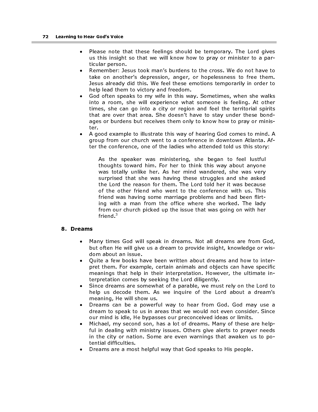- Please note that these feelings should be temporary. The Lord gives us this insight so that we will know how to pray or minister to a particular person.
- Remember: Jesus took man's burdens to the cross. We do not have to take on another's depression, anger, or hopelessness to free them. Jesus already did this. We feel these emotions temporarily in order to help lead them to victory and freedom.
- God often speaks to my wife in this way. Sometimes, when she walks into a room, she will experience what someone is feeling. At other times, she can go into a city or region and feel the territorial spirits that are over that area. She doesn't have to stay under these bondages or burdens but receives them only to know how to pray or minister.
- A good example to illustrate this way of hearing God comes to mind. A group from our church went to a conference in downtown Atlanta. After the conference, one of the ladies who attended told us this story:

As the speaker was ministering, she began to feel lustful thoughts toward him. For her to think this way about anyone was totally unlike her. As her mind wandered, she was very surprised that she was having these struggles and she asked the Lord the reason for them. The Lord told her it was because of the other friend who went to the conference with us. This friend was having some marriage problems and had been flirting with a man from the office where she worked. The lady from our church picked up the issue that was going on with her friend $3$ 

#### 8. Dreams

- Many times God will speak in dreams. Not all dreams are from God, but often He will give us a dream to provide insight, knowledge or wisdom about an issue.
- Quite a few books have been written about dreams and how to interpret them. For example, certain animals and objects can have specific meanings that help in their interpretation. However, the ultimate interpretation comes by seeking the Lord diligently.
- Since dreams are somewhat of a parable, we must rely on the Lord to help us decode them. As we inquire of the Lord about a dream's meaning, He will show us.
- Dreams can be a powerful way to hear from God. God may use a dream to speak to us in areas that we would not even consider. Since our mind is idle, He bypasses our preconceived ideas or limits.
- Michael, my second son, has a lot of dreams. Many of these are helpful in dealing with ministry issues. Others give alerts to prayer needs in the city or nation. Some are even warnings that awaken us to potential difficulties.
- Dreams are a most helpful way that God speaks to His people.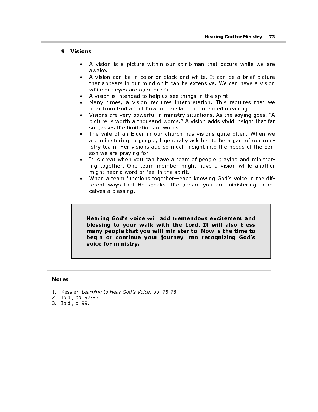### 9. Visions

- A vision is a picture within our spirit-man that occurs while we are awake.
- A vision can be in color or black and white. It can be a brief picture that appears in our mind or it can be extensive. We can have a vision while our eyes are open or shut.
- A vision is intended to help us see things in the spirit.
- Many times, a vision requires interpretation. This requires that we hear from God about how to translate the intended meaning.
- Visions are very powerful in ministry situations. As the saying goes, "A picture is worth a thousand words." A vision adds vivid insight that far surpasses the limitations of words.
- The wife of an Elder in our church has visions quite often. When we are ministering to people, I generally ask her to be a part of our ministry team. Her visions add so much insight into the needs of the person we are praying for.
- It is great when you can have a team of people praying and ministering together. One team member might have a vision while another might hear a word or feel in the spirit.
- When a team functions together—each knowing God's voice in the different ways that He speaks—the person you are ministering to receives a blessing.

Hearing God's voice will add tremendous excitement and blessing to your walk with the Lord. It will also bless many people that you will minister to. Now is the time to begin or continue your journey into recognizing God's voice for ministry.

### Notes

- 1. Kessler, Learning to Hear God's Voice, pp. 76-78.
- 2. Ibid., pp. 97-98.
- 3. Ibid., p. 99.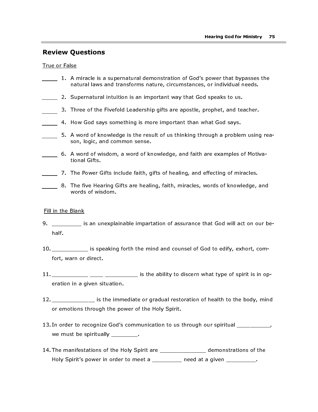# Review Questions

True or False

- 1. A miracle is a supernatural demonstration of God's power that bypasses the natural laws and transforms nature, circumstances, or individual needs.
- 2. Supernatural intuition is an important way that God speaks to us.
- 3. Three of the Fivefold Leadership gifts are apostle, prophet, and teacher.
- 4. How God says something is more important than what God says.
- 5. A word of knowledge is the result of us thinking through a problem using reason, logic, and common sense.
- 6. A word of wisdom, a word of knowledge, and faith are examples of Motivational Gifts.
- 7. The Power Gifts include faith, gifts of healing, and effecting of miracles.
- 8. The five Hearing Gifts are healing, faith, miracles, words of knowledge, and words of wisdom.

### Fill in the Blank

- 9. \_\_\_\_\_\_\_\_\_ is an unexplainable impartation of assurance that God will act on our behalf.
- 10. \_\_\_\_\_\_\_\_\_\_\_ is speaking forth the mind and counsel of God to edify, exhort, comfort, warn or direct.
- 11. \_\_\_\_\_\_\_\_\_\_\_ \_\_\_\_ \_\_\_\_\_\_\_\_\_\_ is the ability to discern what type of spirit is in operation in a given situation.
- 12. \_\_\_\_\_\_\_\_\_\_\_\_\_ is the immediate or gradual restoration of health to the body, mind or emotions through the power of the Holy Spirit.
- 13. In order to recognize God's communication to us through our spiritual \_\_\_\_\_\_\_\_\_\_, we must be spiritually \_\_\_\_\_\_\_\_.
- 14. The manifestations of the Holy Spirit are \_\_\_\_\_\_\_\_\_\_\_\_\_\_ demonstrations of the Holy Spirit's power in order to meet a \_\_\_\_\_\_\_\_\_ need at a given \_\_\_\_\_\_\_\_\_.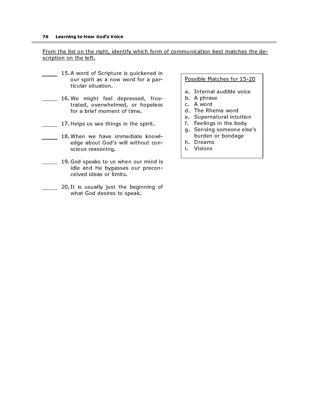From the list on the right, identify which form of communication best matches the description on the left.

- 15. A word of Scripture is quickened in our spirit as a now word for a particular situation.
- 16. We might feel depressed, frustrated, overwhelmed, or hopeless for a brief moment of time.
- 17. Helps us see things in the spirit.
- 18. When we have immediate knowledge about God's will without conscious reasoning.
- 19. God speaks to us when our mind is idle and He bypasses our preconceived ideas or limits.
	- 20. It is usually just the beginning of what God desires to speak.

### Possible Matches for 15-20

- a. Internal audible voice
- b. A phrase
- c. A word
- d. The Rhema word
- e. Supernatural intuition
- f. Feelings in the body
- g. Sensing someone else's burden or bondage
- h. Dreams
- i. Visions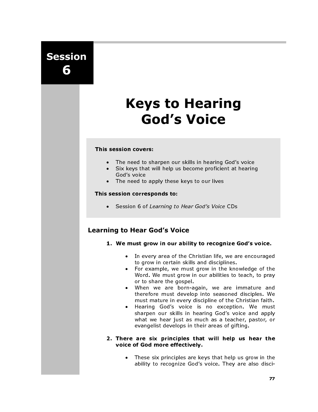Session 6

# Keys to Hearing God's Voice

### This session covers:

- The need to sharpen our skills in hearing God's voice
- Six keys that will help us become proficient at hearing God's voice
- The need to apply these keys to our lives

### This session corresponds to:

• Session 6 of Learning to Hear God's Voice CDs

# Learning to Hear God's Voice

- 1. We must grow in our ability to recognize God's voice.
	- In every area of the Christian life, we are encouraged to grow in certain skills and disciplines.
	- For example, we must grow in the knowledge of the Word. We must grow in our abilities to teach, to pray or to share the gospel.
	- When we are born-again, we are immature and therefore must develop into seasoned disciples. We must mature in every discipline of the Christian faith.
	- Hearing God's voice is no exception. We must sharpen our skills in hearing God's voice and apply what we hear just as much as a teacher, pastor, or evangelist develops in their areas of gifting.

### 2. There are six principles that will help us hear the voice of God more effectively.

These six principles are keys that help us grow in the ability to recognize God's voice. They are also disci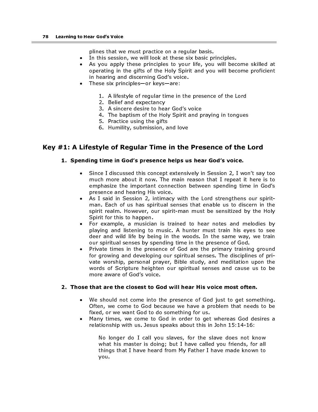plines that we must practice on a regular basis.

- In this session, we will look at these six basic principles.
- As you apply these principles to your life, you will become skilled at operating in the gifts of the Holy Spirit and you will become proficient in hearing and discerning God's voice.
- These six principles—or keys—are:
	- 1. A lifestyle of regular time in the presence of the Lord
	- 2. Belief and expectancy
	- 3. A sincere desire to hear God's voice
	- 4. The baptism of the Holy Spirit and praying in tongues
	- 5. Practice using the gifts
	- 6. Humility, submission, and love

# Key #1: A Lifestyle of Regular Time in the Presence of the Lord

### 1. Spending time in God's presence helps us hear God's voice.

- Since I discussed this concept extensively in Session 2, I won't say too much more about it now. The main reason that I repeat it here is to emphasize the important connection between spending time in God's presence and hearing His voice.
- As I said in Session 2, intimacy with the Lord strengthens our spiritman. Each of us has spiritual senses that enable us to discern in the spirit realm. However, our spirit-man must be sensitized by the Holy Spirit for this to happen.
- For example, a musician is trained to hear notes and melodies by playing and listening to music. A hunter must train his eyes to see deer and wild life by being in the woods. In the same way, we train our spiritual senses by spending time in the presence of God.
- Private times in the presence of God are the primary training ground for growing and developing our spiritual senses. The disciplines of private worship, personal prayer, Bible study, and meditation upon the words of Scripture heighten our spiritual senses and cause us to be more aware of God's voice.

### 2. Those that are the closest to God will hear His voice most often.

- We should not come into the presence of God just to get something. Often, we come to God because we have a problem that needs to be fixed, or we want God to do something for us.
- Many times, we come to God in order to get whereas God desires a relationship with us. Jesus speaks about this in John 15:14-16:

No longer do I call you slaves, for the slave does not know what his master is doing; but I have called you friends, for all things that I have heard from My Father I have made known to you.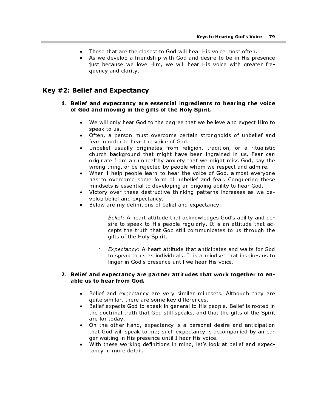- Those that are the closest to God will hear His voice most often.
- As we develop a friendship with God and desire to be in His presence just because we love Him, we will hear His voice with greater frequency and clarity.

### Key #2: Belief and Expectancy

### 1. Belief and expectancy are essential ingredients to hearing the voice of God and moving in the gifts of the Holy Spirit.

- We will only hear God to the degree that we believe and expect Him to speak to us.
- Often, a person must overcome certain strongholds of unbelief and fear in order to hear the voice of God.
- Unbelief usually originates from religion, tradition, or a ritualistic church background that might have been ingrained in us. Fear can originate from an unhealthy anxiety that we might miss God, say the wrong thing, or be rejected by people whom we respect and admire.
- When I help people learn to hear the voice of God, almost everyone has to overcome some form of unbelief and fear. Conquering these mindsets is essential to developing an ongoing ability to hear God.
- Victory over these destructive thinking patterns increases as we develop belief and expectancy.
- Below are my definitions of belief and expectancy:
	- Belief: A heart attitude that acknowledges God's ability and desire to speak to His people regularly. It is an attitude that accepts the truth that God still communicates to us through the gifts of the Holy Spirit.
	- **Expectancy:** A heart attitude that anticipates and waits for God to speak to us as individuals. It is a mindset that inspires us to linger in God's presence until we hear His voice.

### 2. Belief and expectancy are partner attitudes that work together to enable us to hear from God.

- Belief and expectancy are very similar mindsets. Although they are quite similar, there are some key differences.
- Belief expects God to speak in general to His people. Belief is rooted in the doctrinal truth that God still speaks, and that the gifts of the Spirit are for today.
- On the other hand, expectancy is a personal desire and anticipation that God will speak to me; such expectancy is accompanied by an eager waiting in His presence until I hear His voice.
- With these working definitions in mind, let's look at belief and expectancy in more detail.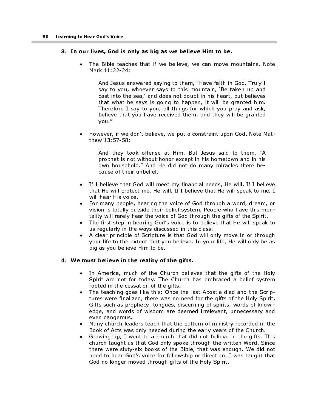### 3. In our lives, God is only as big as we believe Him to be.

The Bible teaches that if we believe, we can move mountains. Note Mark 11:22-24:

And Jesus answered saying to them, "Have faith in God. Truly I say to you, whoever says to this mountain, 'Be taken up and cast into the sea,' and does not doubt in his heart, but believes that what he says is going to happen, it will be granted him. Therefore I say to you, all things for which you pray and ask, believe that you have received them, and they will be granted you."

• However, if we don't believe, we put a constraint upon God. Note Matthew 13:57-58:

And they took offense at Him. But Jesus said to them, "A prophet is not without honor except in his hometown and in his own household." And He did not do many miracles there because of their unbelief.

- If I believe that God will meet my financial needs, He will. If I believe that He will protect me, He will. If I believe that He will speak to me, I will hear His voice.
- For many people, hearing the voice of God through a word, dream, or vision is totally outside their belief system. People who have this mentality will rarely hear the voice of God through the gifts of the Spirit.
- The first step in hearing God's voice is to believe that He will speak to us regularly in the ways discussed in this class.
- A clear principle of Scripture is that God will only move in or through your life to the extent that you believe. In your life, He will only be as big as you believe Him to be.

### 4. We must believe in the reality of the gifts.

- In America, much of the Church believes that the gifts of the Holy Spirit are not for today. The Church has embraced a belief system rooted in the cessation of the gifts.
- The teaching goes like this: Once the last Apostle died and the Scriptures were finalized, there was no need for the gifts of the Holy Spirit. Gifts such as prophecy, tongues, discerning of spirits, words of knowledge, and words of wisdom are deemed irrelevant, unnecessary and even dangerous.
- Many church leaders teach that the pattern of ministry recorded in the Book of Acts was only needed during the early years of the Church.
- Growing up, I went to a church that did not believe in the gifts. This church taught us that God only spoke through the written Word. Since there were sixty-six books of the Bible, that was enough. We did not need to hear God's voice for fellowship or direction. I was taught that God no longer moved through gifts of the Holy Spirit.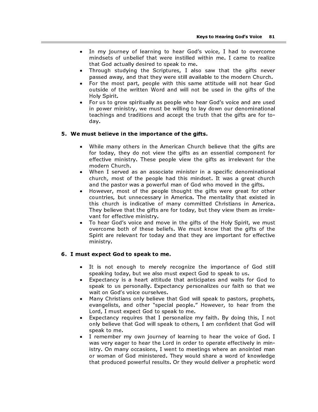- In my journey of learning to hear God's voice, I had to overcome mindsets of unbelief that were instilled within me. I came to realize that God actually desired to speak to me.
- Through studying the Scriptures, I also saw that the gifts never passed away, and that they were still available to the modern Church.
- For the most part, people with this same attitude will not hear God outside of the written Word and will not be used in the gifts of the Holy Spirit.
- For us to grow spiritually as people who hear God's voice and are used in power ministry, we must be willing to lay down our denominational teachings and traditions and accept the truth that the gifts are for today.

### 5. We must believe in the importance of the gifts.

- While many others in the American Church believe that the gifts are for today, they do not view the gifts as an essential component for effective ministry. These people view the gifts as irrelevant for the modern Church.
- When I served as an associate minister in a specific denominational church, most of the people had this mindset. It was a great church and the pastor was a powerful man of God who moved in the gifts.
- However, most of the people thought the gifts were great for other countries, but unnecessary in America. The mentality that existed in this church is indicative of many committed Christians in America. They believe that the gifts are for today, but they view them as irrelevant for effective ministry.
- To hear God's voice and move in the gifts of the Holy Spirit, we must overcome both of these beliefs. We must know that the gifts of the Spirit are relevant for today and that they are important for effective ministry.

### 6. I must expect God to speak to me.

- It is not enough to merely recognize the importance of God still speaking today, but we also must expect God to speak to us.
- Expectancy is a heart attitude that anticipates and waits for God to speak to us personally. Expectancy personalizes our faith so that we wait on God's voice ourselves.
- Many Christians only believe that God will speak to pastors, prophets, evangelists, and other "special people." However, to hear from the Lord, I must expect God to speak to me.
- Expectancy requires that I personalize my faith. By doing this, I not only believe that God will speak to others, I am confident that God will speak to me.
- I remember my own journey of learning to hear the voice of God. I was very eager to hear the Lord in order to operate effectively in ministry. On many occasions, I went to meetings where an anointed man or woman of God ministered. They would share a word of knowledge that produced powerful results. Or they would deliver a prophetic word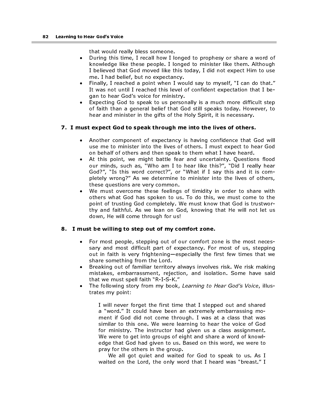that would really bless someone.

- During this time, I recall how I longed to prophesy or share a word of knowledge like these people. I longed to minister like them. Although I believed that God moved like this today, I did not expect Him to use me. I had belief, but no expectancy.
- Finally, I reached a point when I would say to myself, "I can do that." It was not until I reached this level of confident expectation that I began to hear God's voice for ministry.
- Expecting God to speak to us personally is a much more difficult step of faith than a general belief that God still speaks today. However, to hear and minister in the gifts of the Holy Spirit, it is necessary.

### 7. I must expect God to speak through me into the lives of others.

- Another component of expectancy is having confidence that God will use me to minister into the lives of others. I must expect to hear God on behalf of others and then speak to them what I have heard.
- At this point, we might battle fear and uncertainty. Questions flood our minds, such as, "Who am I to hear like this?", "Did I really hear God?", "Is this word correct?", or "What if I say this and it is completely wrong?" As we determine to minister into the lives of others, these questions are very common.
- We must overcome these feelings of timidity in order to share with others what God has spoken to us. To do this, we must come to the point of trusting God completely. We must know that God is trustworthy and faithful. As we lean on God, knowing that He will not let us down, He will come through for us!

### 8. I must be willing to step out of my comfort zone.

- For most people, stepping out of our comfort zone is the most necessary and most difficult part of expectancy. For most of us, stepping out in faith is very frightening—especially the first few times that we share something from the Lord.
- Breaking out of familiar territory always involves risk. We risk making mistakes, embarrassment, rejection, and isolation. Some have said that we must spell faith "R-I-S-K."
- The following story from my book, Learning to Hear God's Voice, illustrates my point:

I will never forget the first time that I stepped out and shared a "word." It could have been an extremely embarrassing moment if God did not come through. I was at a class that was similar to this one. We were learning to hear the voice of God for ministry. The instructor had given us a class assignment. We were to get into groups of eight and share a word of knowledge that God had given to us. Based on this word, we were to pray for the others in the group.

We all got quiet and waited for God to speak to us. As I waited on the Lord, the only word that I heard was "breast." I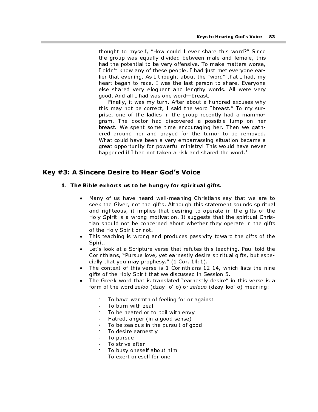thought to myself, "How could I ever share this word?" Since the group was equally divided between male and female, this had the potential to be very offensive. To make matters worse, I didn't know any of these people. I had just met everyone earlier that evening. As I thought about the "word" that I had, my heart began to race. I was the last person to share. Everyone else shared very eloquent and lengthy words. All were very good. And all I had was one word—breast.

Finally, it was my turn. After about a hundred excuses why this may not be correct, I said the word "breast." To my surprise, one of the ladies in the group recently had a mammogram. The doctor had discovered a possible lump on her breast. We spent some time encouraging her. Then we gathered around her and prayed for the tumor to be removed. What could have been a very embarrassing situation became a great opportunity for powerful ministry! This would have never happened if I had not taken a risk and shared the word.<sup>1</sup>

## Key #3: A Sincere Desire to Hear God's Voice

### 1. The Bible exhorts us to be hungry for spiritual gifts.

- Many of us have heard well-meaning Christians say that we are to seek the Giver, not the gifts. Although this statement sounds spiritual and righteous, it implies that desiring to operate in the gifts of the Holy Spirit is a wrong motivation. It suggests that the spiritual Christian should not be concerned about whether they operate in the gifts of the Holy Spirit or not.
- This teaching is wrong and produces passivity toward the gifts of the Spirit.
- Let's look at a Scripture verse that refutes this teaching. Paul told the Corinthians, "Pursue love, yet earnestly desire spiritual gifts, but especially that you may prophesy." (1 Cor. 14:1).
- The context of this verse is 1 Corinthians 12-14, which lists the nine gifts of the Holy Spirit that we discussed in Session 5.
- The Greek word that is translated "earnestly desire" in this verse is a form of the word zeloo (dzay-lo'-o) or zeleuo (dzay-loo'-o) meaning:
	- To have warmth of feeling for or against<br>■ To burn with zeal
	- **To burn with zeal**<br>**To be beated or to**
	- □ To be heated or to boil with envy<br>□ Hatred, anger (in a good sense)
	- **EXT** Hatred, anger (in a good sense)<br>**EXT** on he zealous in the pursuit of a
	- □ To be zealous in the pursuit of good<br>□ To desire earnestly
	- **To desire earnestly**<br>**E** To pursue
	- □ To pursue<br>□ To strive a
	- To strive after
	- **To busy oneself about him**<br>**EXECUTE CONSELENT** TO exert oneself for one
	- To exert oneself for one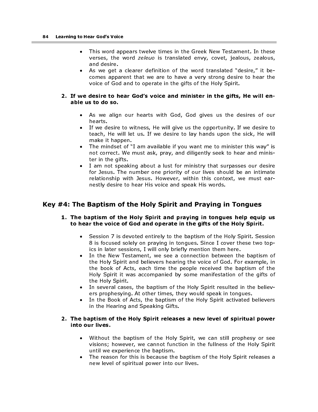- This word appears twelve times in the Greek New Testament. In these verses, the word zeleuo is translated envy, covet, jealous, zealous, and desire.
- As we get a clearer definition of the word translated "desire," it becomes apparent that we are to have a very strong desire to hear the voice of God and to operate in the gifts of the Holy Spirit.

### 2. If we desire to hear God's voice and minister in the gifts, He will enable us to do so.

- As we align our hearts with God, God gives us the desires of our hearts.
- If we desire to witness, He will give us the opportunity. If we desire to teach, He will let us. If we desire to lay hands upon the sick, He will make it happen.
- The mindset of "I am available if you want me to minister this way" is not correct. We must ask, pray, and diligently seek to hear and minister in the gifts.
- I am not speaking about a lust for ministry that surpasses our desire for Jesus. The number one priority of our lives should be an intimate relationship with Jesus. However, within this context, we must earnestly desire to hear His voice and speak His words.

# Key #4: The Baptism of the Holy Spirit and Praying in Tongues

### 1. The baptism of the Holy Spirit and praying in tongues help equip us to hear the voice of God and operate in the gifts of the Holy Spirit.

- Session 7 is devoted entirely to the baptism of the Holy Spirit. Session 8 is focused solely on praying in tongues. Since I cover these two topics in later sessions, I will only briefly mention them here.
- In the New Testament, we see a connection between the baptism of the Holy Spirit and believers hearing the voice of God. For example, in the book of Acts, each time the people received the baptism of the Holy Spirit it was accompanied by some manifestation of the gifts of the Holy Spirit.
- In several cases, the baptism of the Holy Spirit resulted in the believers prophesying. At other times, they would speak in tongues.
- In the Book of Acts, the baptism of the Holy Spirit activated believers in the Hearing and Speaking Gifts.

### 2. The baptism of the Holy Spirit releases a new level of spiritual power into our lives.

- Without the baptism of the Holy Spirit, we can still prophesy or see visions; however, we cannot function in the fullness of the Holy Spirit until we experience the baptism.
- The reason for this is because the baptism of the Holy Spirit releases a new level of spiritual power into our lives.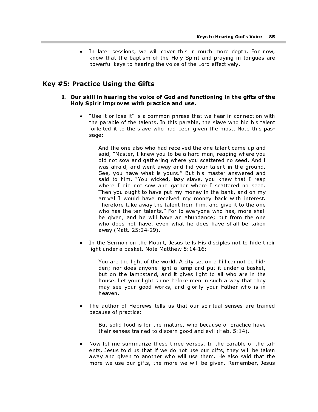In later sessions, we will cover this in much more depth. For now, know that the baptism of the Holy Spirit and praying in tongues are powerful keys to hearing the voice of the Lord effectively.

## Key #5: Practice Using the Gifts

### 1. Our skill in hearing the voice of God and functioning in the gifts of the Holy Spirit improves with practice and use.

"Use it or lose it" is a common phrase that we hear in connection with the parable of the talents. In this parable, the slave who hid his talent forfeited it to the slave who had been given the most. Note this passage:

And the one also who had received the one talent came up and said, "Master, I knew you to be a hard man, reaping where you did not sow and gathering where you scattered no seed. And I was afraid, and went away and hid your talent in the ground. See, you have what is yours." But his master answered and said to him, "You wicked, lazy slave, you knew that I reap where I did not sow and gather where I scattered no seed. Then you ought to have put my money in the bank, and on my arrival I would have received my money back with interest. Therefore take away the talent from him, and give it to the one who has the ten talents." For to everyone who has, more shall be given, and he will have an abundance; but from the one who does not have, even what he does have shall be taken away (Matt. 25:24-29).

In the Sermon on the Mount, Jesus tells His disciples not to hide their light under a basket. Note Matthew 5:14-16:

You are the light of the world. A city set on a hill cannot be hidden; nor does anyone light a lamp and put it under a basket, but on the lampstand, and it gives light to all who are in the house. Let your light shine before men in such a way that they may see your good works, and glorify your Father who is in heaven.

The author of Hebrews tells us that our spiritual senses are trained because of practice:

But solid food is for the mature, who because of practice have their senses trained to discern good and evil (Heb. 5:14).

• Now let me summarize these three verses. In the parable of the talents, Jesus told us that if we do not use our gifts, they will be taken away and given to another who will use them. He also said that the more we use our gifts, the more we will be given. Remember, Jesus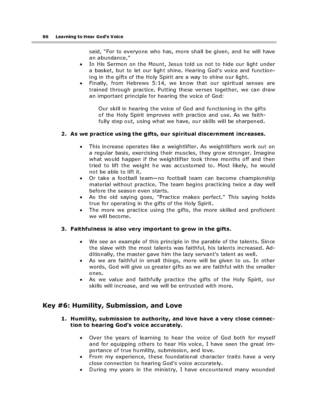said, "For to everyone who has, more shall be given, and he will have an abundance."

- In His Sermon on the Mount, Jesus told us not to hide our light under a basket, but to let our light shine. Hearing God's voice and functioning in the gifts of the Holy Spirit are a way to shine our light.
- Finally, from Hebrews 5:14, we know that our spiritual senses are trained through practice. Putting these verses together, we can draw an important principle for hearing the voice of God:

Our skill in hearing the voice of God and functioning in the gifts of the Holy Spirit improves with practice and use. As we faithfully step out, using what we have, our skills will be sharpened.

### 2. As we practice using the gifts, our spiritual discernment increases.

- This increase operates like a weightlifter. As weightlifters work out on a regular basis, exercising their muscles, they grow stronger. Imagine what would happen if the weightlifter took three months off and then tried to lift the weight he was accustomed to. Most likely, he would not be able to lift it.
- Or take a football team—no football team can become championship material without practice. The team begins practicing twice a day well before the season even starts.
- As the old saying goes, "Practice makes perfect." This saying holds true for operating in the gifts of the Holy Spirit.
- The more we practice using the gifts, the more skilled and proficient we will become.

### 3. Faithfulness is also very important to grow in the gifts.

- We see an example of this principle in the parable of the talents. Since the slave with the most talents was faithful, his talents increased. Additionally, the master gave him the lazy servant's talent as well.
- As we are faithful in small things, more will be given to us. In other words, God will give us greater gifts as we are faithful with the smaller ones.
- As we value and faithfully practice the gifts of the Holy Spirit, our skills will increase, and we will be entrusted with more.

# Key #6: Humility, Submission, and Love

### 1. Humility, submission to authority, and love have a very close connection to hearing God's voice accurately.

- Over the years of learning to hear the voice of God both for myself and for equipping others to hear His voice, I have seen the great importance of true humility, submission, and love.
- From my experience, these foundational character traits have a very close connection to hearing God's voice accurately.
- During my years in the ministry, I have encountered many wounded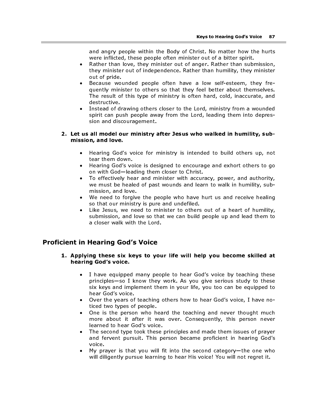and angry people within the Body of Christ. No matter how the hurts were inflicted, these people often minister out of a bitter spirit.

- Rather than love, they minister out of anger. Rather than submission, they minister out of independence. Rather than humility, they minister out of pride.
- Because wounded people often have a low self-esteem, they frequently minister to others so that they feel better about themselves. The result of this type of ministry is often hard, cold, inaccurate, and destructive.
- Instead of drawing others closer to the Lord, ministry from a wounded spirit can push people away from the Lord, leading them into depression and discouragement.

### 2. Let us all model our ministry after Jesus who walked in humility, submission, and love.

- Hearing God's voice for ministry is intended to build others up, not tear them down.
- Hearing God's voice is designed to encourage and exhort others to go on with God—leading them closer to Christ.
- To effectively hear and minister with accuracy, power, and authority, we must be healed of past wounds and learn to walk in humility, submission, and love.
- We need to forgive the people who have hurt us and receive healing so that our ministry is pure and undefiled.
- Like Jesus, we need to minister to others out of a heart of humility, submission, and love so that we can build people up and lead them to a closer walk with the Lord.

# Proficient in Hearing God's Voice

### 1. Applying these six keys to your life will help you become skilled at hearing God's voice.

- I have equipped many people to hear God's voice by teaching these principles—so I know they work. As you give serious study to these six keys and implement them in your life, you too can be equipped to hear God's voice.
- Over the years of teaching others how to hear God's voice, I have noticed two types of people.
- One is the person who heard the teaching and never thought much more about it after it was over. Consequently, this person never learned to hear God's voice.
- The second type took these principles and made them issues of prayer and fervent pursuit. This person became proficient in hearing God's voice.
- My prayer is that you will fit into the second category—the one who will diligently pursue learning to hear His voice! You will not regret it.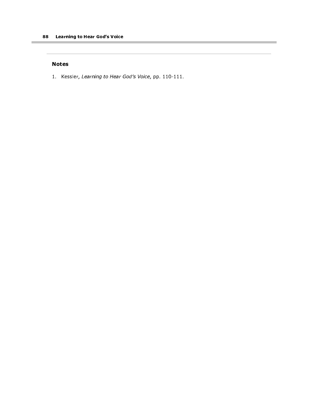### Notes

1. Kessler, Learning to Hear God's Voice, pp. 110-111.

÷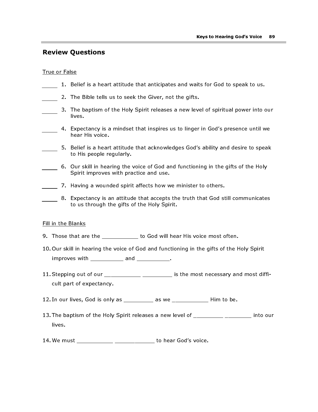# Review Questions

### True or False

×

| 1. Belief is a heart attitude that anticipates and waits for God to speak to us.                                                  |
|-----------------------------------------------------------------------------------------------------------------------------------|
| 2. The Bible tells us to seek the Giver, not the gifts.                                                                           |
| 3. The baptism of the Holy Spirit releases a new level of spiritual power into our<br>lives.                                      |
| Expectancy is a mindset that inspires us to linger in God's presence until we<br>4.<br>hear His voice.                            |
| Belief is a heart attitude that acknowledges God's ability and desire to speak<br>5.<br>to His people regularly.                  |
| 6. Our skill in hearing the voice of God and functioning in the gifts of the Holy<br>Spirit improves with practice and use.       |
| 7. Having a wounded spirit affects how we minister to others.                                                                     |
| Expectancy is an attitude that accepts the truth that God still communicates<br>8.<br>to us through the gifts of the Holy Spirit. |
| Fill in the Blanks                                                                                                                |
| 9. Those that are the ___________ to God will hear His voice most often.                                                          |
| 10. Our skill in hearing the voice of God and functioning in the gifts of the Holy Spirit                                         |
| improves with ___________ and __________.                                                                                         |
| 11. Stepping out of our ___________ ________ is the most necessary and most diffi-<br>cult part of expectancy.                    |
| 12. In our lives, God is only as _________ as we ___________ Him to be.                                                           |
|                                                                                                                                   |

- 13. The baptism of the Holy Spirit releases a new level of \_\_\_\_\_\_\_\_\_\_ \_\_\_\_\_\_\_\_\_\_ into our lives.
- 14. We must \_\_\_\_\_\_\_\_\_\_\_ \_\_\_\_\_\_\_\_\_\_\_\_ to hear God's voice.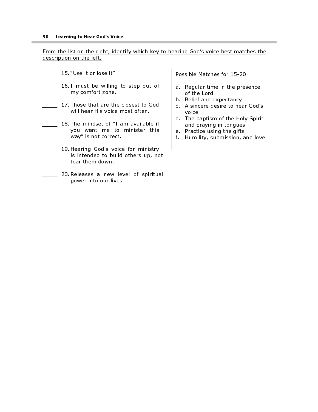From the list on the right, identify which key to hearing God's voice best matches the description on the left.

- 15. "Use it or lose it"
- 16. I must be willing to step out of my comfort zone.
	- 17. Those that are the closest to God will hear His voice most often.
- 18. The mindset of "I am available if you want me to minister this way" is not correct.
- 19. Hearing God's voice for ministry is intended to build others up, not tear them down.
	- 20. Releases a new level of spiritual power into our lives

Possible Matches for 15-20

- a. Regular time in the presence of the Lord
- b. Belief and expectancy
- c. A sincere desire to hear God's voice
- d. The baptism of the Holy Spirit and praying in tongues
- e. Practice using the gifts
- f. Humility, submission, and love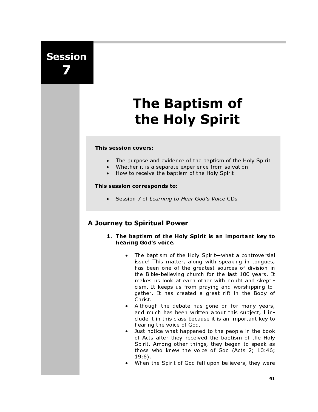# Session 7

# The Baptism of the Holy Spirit

### This session covers:

- The purpose and evidence of the baptism of the Holy Spirit
- Whether it is a separate experience from salvation<br>• How to receive the bantism of the Holy Spirit
- How to receive the baptism of the Holy Spirit

### This session corresponds to:

• Session 7 of Learning to Hear God's Voice CDs

# A Journey to Spiritual Power

- 1. The baptism of the Holy Spirit is an important key to hearing God's voice.
	- The baptism of the Holy Spirit—what a controversial issue! This matter, along with speaking in tongues, has been one of the greatest sources of division in the Bible-believing church for the last 100 years. It makes us look at each other with doubt and skepticism. It keeps us from praying and worshipping together. It has created a great rift in the Body of Christ.
	- Although the debate has gone on for many years, and much has been written about this subject, I include it in this class because it is an important key to hearing the voice of God.
	- Just notice what happened to the people in the book of Acts after they received the baptism of the Holy Spirit. Among other things, they began to speak as those who knew the voice of God (Acts 2; 10:46; 19:6).
	- When the Spirit of God fell upon believers, they were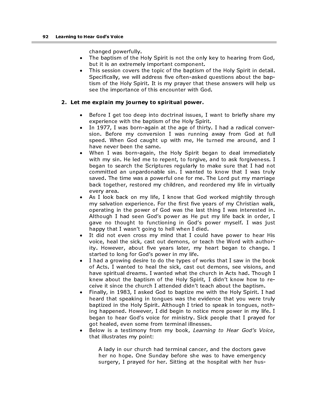changed powerfully.

- The baptism of the Holy Spirit is not the only key to hearing from God, but it is an extremely important component.
- This session covers the topic of the baptism of the Holy Spirit in detail. Specifically, we will address five often-asked questions about the baptism of the Holy Spirit. It is my prayer that these answers will help us see the importance of this encounter with God.

### 2. Let me explain my journey to spiritual power.

- Before I get too deep into doctrinal issues, I want to briefly share my experience with the baptism of the Holy Spirit.
- In 1977, I was born-again at the age of thirty. I had a radical conversion. Before my conversion I was running away from God at full speed. When God caught up with me, He turned me around, and I have never been the same.
- When I was born-again, the Holy Spirit began to deal immediately with my sin. He led me to repent, to forgive, and to ask forgiveness. I began to search the Scriptures regularly to make sure that I had not committed an unpardonable sin. I wanted to know that I was truly saved. The time was a powerful one for me. The Lord put my marriage back together, restored my children, and reordered my life in virtually every area.
- As I look back on my life, I know that God worked mightily through my salvation experience. For the first five years of my Christian walk, operating in the power of God was the last thing I was interested in. Although I had seen God's power as He put my life back in order, I gave no thought to functioning in God's power myself. I was just happy that I wasn't going to hell when I died.
- It did not even cross my mind that I could have power to hear His voice, heal the sick, cast out demons, or teach the Word with authority. However, about five years later, my heart began to change. I started to long for God's power in my life.
- I had a growing desire to do the types of works that I saw in the book of Acts. I wanted to heal the sick, cast out demons, see visions, and have spiritual dreams. I wanted what the church in Acts had. Though I knew about the baptism of the Holy Spirit, I didn't know how to receive it since the church I attended didn't teach about the baptism.
- Finally, in 1983, I asked God to baptize me with the Holy Spirit. I had heard that speaking in tongues was the evidence that you were truly baptized in the Holy Spirit. Although I tried to speak in tongues, nothing happened. However, I did begin to notice more power in my life. I began to hear God's voice for ministry. Sick people that I prayed for got healed, even some from terminal illnesses.
- Below is a testimony from my book, Learning to Hear God's Voice, that illustrates my point:

A lady in our church had terminal cancer, and the doctors gave her no hope. One Sunday before she was to have emergency surgery, I prayed for her. Sitting at the hospital with her hus-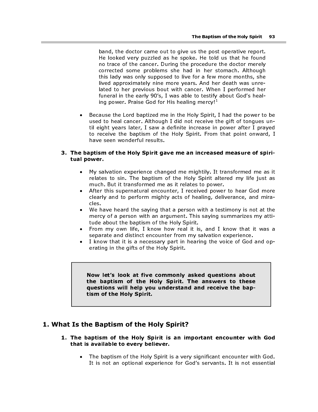band, the doctor came out to give us the post operative report. He looked very puzzled as he spoke. He told us that he found no trace of the cancer. During the procedure the doctor merely corrected some problems she had in her stomach. Although this lady was only supposed to live for a few more months, she lived approximately nine more years. And her death was unrelated to her previous bout with cancer. When I performed her funeral in the early 90's, I was able to testify about God's healing power. Praise God for His healing mercy! $^1$ The Baptism of the Holy Spirit<br>
be looked very puzzled as the spoke. He told us that he fourm<br>
the looked very puzzled as the spoke. He told us that he fourmed<br>
corrected some problems she had in her stomach. Although<br>
thi

• Because the Lord baptized me in the Holy Spirit, I had the power to be used to heal cancer. Although I did not receive the gift of tongues until eight years later, I saw a definite increase in power after I prayed to receive the baptism of the Holy Spirit. From that point onward, I have seen wonderful results.

### 3. The baptism of the Holy Spirit gave me an increased measure of spiritual power.

- My salvation experience changed me mightily. It transformed me as it relates to sin. The baptism of the Holy Spirit altered my life just as much. But it transformed me as it relates to power.
- After this supernatural encounter, I received power to hear God more clearly and to perform mighty acts of healing, deliverance, and miracles.
- We have heard the saying that a person with a testimony is not at the mercy of a person with an argument. This saying summarizes my attitude about the baptism of the Holy Spirit.
- From my own life, I know how real it is, and I know that it was a separate and distinct encounter from my salvation experience.
- I know that it is a necessary part in hearing the voice of God and operating in the gifts of the Holy Spirit.

the baptism of the Holy Spirit. The answers to these questions will help you understand and receive the baptism of the Holy Spirit.

# 1. What Is the Baptism of the Holy Spirit?

- 1. The baptism of the Holy Spirit is an important encounter with God that is available to every believer.
	- The baptism of the Holy Spirit is a very significant encounter with God. It is not an optional experience for God's servants. It is not essential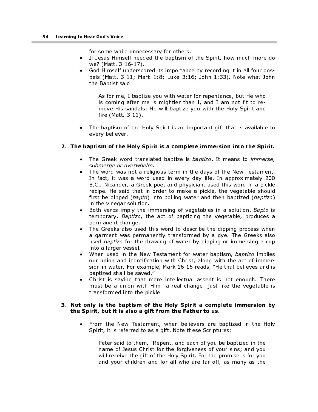for some while unnecessary for others.

- If Jesus Himself needed the baptism of the Spirit, how much more do we? (Matt. 3:16-17).
- God Himself underscored its importance by recording it in all four gospels (Matt. 3:11; Mark 1:8; Luke 3:16; John 1:33). Note what John the Baptist said:

As for me, I baptize you with water for repentance, but He who is coming after me is mightier than I, and I am not fit to remove His sandals; He will baptize you with the Holy Spirit and fire (Matt. 3:11).

• The baptism of the Holy Spirit is an important gift that is available to every believer.

### 2. The baptism of the Holy Spirit is a complete immersion into the Spirit.

- The Greek word translated baptize is *baptizo*. It means to *immerse*, submerge or overwhelm.
- The word was not a religious term in the days of the New Testament. In fact, it was a word used in every day life. In approximately 200 B.C., Nicander, a Greek poet and physician, used this word in a pickle recipe. He said that in order to make a pickle, the vegetable should first be dipped (bapto) into boiling water and then baptized (baptizo) in the vinegar solution.
- Both verbs imply the immersing of vegetables in a solution. Bapto is temporary. Baptizo, the act of baptizing the vegetable, produces a permanent change.
- The Greeks also used this word to describe the dipping process when a garment was permanently transformed by a dye. The Greeks also used *baptizo* for the drawing of water by dipping or immersing a cup into a larger vessel.
- When used in the New Testament for water baptism, baptizo implies our union and identification with Christ, along with the act of immersion in water. For example, Mark 16:16 reads, "He that believes and is baptized shall be saved."
- Christ is saying that mere intellectual assent is not enough. There must be a union with Him—a real change—just like the vegetable is transformed into the pickle!

### 3. Not only is the baptism of the Holy Spirit a complete immersion by the Spirit, but it is also a gift from the Father to us.

• From the New Testament, when believers are baptized in the Holy Spirit, it is referred to as a gift. Note these Scriptures:

Peter said to them, "Repent, and each of you be baptized in the name of Jesus Christ for the forgiveness of your sins; and you will receive the gift of the Holy Spirit. For the promise is for you and your children and for all who are far off, as many as the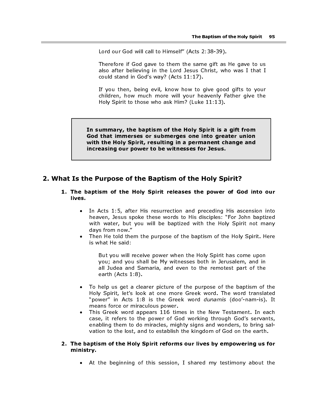Lord our God will call to Himself" (Acts 2:38-39).

Therefore if God gave to them the same gift as He gave to us also after believing in the Lord Jesus Christ, who was I that I could stand in God's way? (Acts 11:17).

If you then, being evil, know how to give good gifts to your children, how much more will your heavenly Father give the Holy Spirit to those who ask Him? (Luke 11:13).

In summary, the baptism of the Holy Spirit is a gift from God that immerses or submerges one into greater union with the Holy Spirit, resulting in a permanent change and increasing our power to be witnesses for Jesus.

# 2. What Is the Purpose of the Baptism of the Holy Spirit?

- 1. The baptism of the Holy Spirit releases the power of God into our lives.
	- In Acts 1:5, after His resurrection and preceding His ascension into heaven, Jesus spoke these words to His disciples: "For John baptized with water, but you will be baptized with the Holy Spirit not many days from now."
	- Then He told them the purpose of the baptism of the Holy Spirit. Here is what He said:

But you will receive power when the Holy Spirit has come upon you; and you shall be My witnesses both in Jerusalem, and in all Judea and Samaria, and even to the remotest part of the earth (Acts 1:8).

- To help us get a clearer picture of the purpose of the baptism of the Holy Spirit, let's look at one more Greek word. The word translated "power" in Acts 1:8 is the Greek word *dunamis* (doo'-nam-is). It means force or miraculous power.
- This Greek word appears 116 times in the New Testament. In each case, it refers to the power of God working through God's servants, enabling them to do miracles, mighty signs and wonders, to bring salvation to the lost, and to establish the kingdom of God on the earth.

### 2. The baptism of the Holy Spirit reforms our lives by empowering us for ministry.

• At the beginning of this session, I shared my testimony about the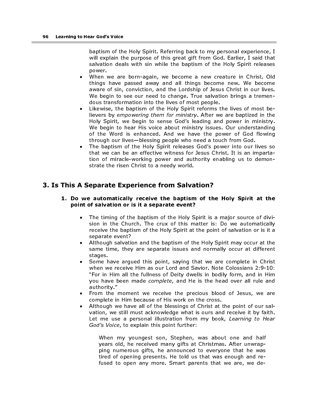baptism of the Holy Spirit. Referring back to my personal experience, I will explain the purpose of this great gift from God. Earlier, I said that salvation deals with sin while the baptism of the Holy Spirit releases power.

- When we are born-again, we become a new creature in Christ. Old things have passed away and all things become new. We become aware of sin, conviction, and the Lordship of Jesus Christ in our lives. We begin to see our need to change. True salvation brings a tremendous transformation into the lives of most people.
- Likewise, the baptism of the Holy Spirit reforms the lives of most believers by empowering them for ministry. After we are baptized in the Holy Spirit, we begin to sense God's leading and power in ministry. We begin to hear His voice about ministry issues. Our understanding of the Word is enhanced. And we have the power of God flowing through our lives—blessing people who need a touch from God.
- The baptism of the Holy Spirit releases God's power into our lives so that we can be an effective witness for Jesus Christ. It is an impartation of miracle-working power and authority enabling us to demonstrate the risen Christ to a needy world.

# 3. Is This A Separate Experience from Salvation?

### 1. Do we automatically receive the baptism of the Holy Spirit at the point of salvation or is it a separate event?

- The timing of the baptism of the Holy Spirit is a major source of division in the Church. The crux of this matter is: Do we automatically receive the baptism of the Holy Spirit at the point of salvation or is it a separate event?
- Although salvation and the baptism of the Holy Spirit may occur at the same time, they are separate issues and normally occur at different stages.
- Some have argued this point, saying that we are complete in Christ when we receive Him as our Lord and Savior. Note Colossians 2:9-10: "For in Him all the fullness of Deity dwells in bodily form, and in Him you have been made complete, and He is the head over all rule and authority."
- From the moment we receive the precious blood of Jesus, we are complete in Him because of His work on the cross.
- Although we have all of the blessings of Christ at the point of our salvation, we still must acknowledge what is ours and receive it by faith. Let me use a personal illustration from my book, Learning to Hear God's Voice, to explain this point further:

When my youngest son, Stephen, was about one and half years old, he received many gifts at Christmas. After unwrapping numerous gifts, he announced to everyone that he was tired of opening presents. He told us that was enough and refused to open any more. Smart parents that we are, we de-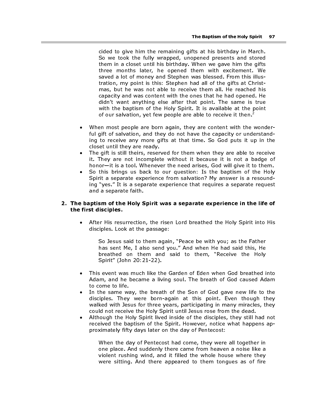cided to give him the remaining gifts at his birthday in March. So we took the fully wrapped, unopened presents and stored them in a closet until his birthday. When we gave him the gifts three months later, he opened them with excitement. We saved a lot of money and Stephen was blessed. From this illustration, my point is this: Stephen had all of the gifts at Christmas, but he was not able to receive them all. He reached his capacity and was content with the ones that he had opened. He didn't want anything else after that point. The same is true with the baptism of the Holy Spirit. It is available at the point of our salvation, yet few people are able to receive it then.<sup>2</sup>

- When most people are born again, they are content with the wonderful gift of salvation, and they do not have the capacity or understanding to receive any more gifts at that time. So God puts it up in the closet until they are ready.
- The gift is still theirs, reserved for them when they are able to receive it. They are not incomplete without it because it is not a badge of honor—it is a tool. Whenever the need arises, God will give it to them.
- So this brings us back to our question: Is the baptism of the Holy Spirit a separate experience from salvation? My answer is a resounding "yes." It is a separate experience that requires a separate request and a separate faith.

### 2. The baptism of the Holy Spirit was a separate experience in the life of the first disciples.

• After His resurrection, the risen Lord breathed the Holy Spirit into His disciples. Look at the passage:

So Jesus said to them again, "Peace be with you; as the Father has sent Me, I also send you." And when He had said this, He breathed on them and said to them, "Receive the Holy Spirit" (John 20:21-22).

- This event was much like the Garden of Eden when God breathed into Adam, and he became a living soul. The breath of God caused Adam to come to life.
- In the same way, the breath of the Son of God gave new life to the disciples. They were born-again at this point. Even though they walked with Jesus for three years, participating in many miracles, they could not receive the Holy Spirit until Jesus rose from the dead.
- Although the Holy Spirit lived inside of the disciples, they still had not received the baptism of the Spirit. However, notice what happens approximately fifty days later on the day of Pentecost:

When the day of Pentecost had come, they were all together in one place. And suddenly there came from heaven a noise like a violent rushing wind, and it filled the whole house where they were sitting. And there appeared to them tongues as of fire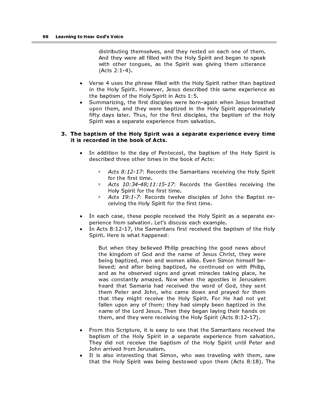distributing themselves, and they rested on each one of them. And they were all filled with the Holy Spirit and began to speak with other tongues, as the Spirit was giving them utterance (Acts 2:1-4).

- Verse 4 uses the phrase filled with the Holy Spirit rather than baptized in the Holy Spirit. However, Jesus described this same experience as the baptism of the Holy Spirit in Acts 1:5.
- Summarizing, the first disciples were born-again when Jesus breathed upon them, and they were baptized in the Holy Spirit approximately fifty days later. Thus, for the first disciples, the baptism of the Holy Spirit was a separate experience from salvation.

### 3. The baptism of the Holy Spirit was a separate experience every time it is recorded in the book of Acts.

- In addition to the day of Pentecost, the baptism of the Holy Spirit is described three other times in the book of Acts:
	- $\overline{P}$  Acts 8:12-17: Records the Samaritans receiving the Holy Spirit for the first time.
	- Acts 10:34-48;11:15-17: Records the Gentiles receiving the Holy Spirit for the first time.
	- Acts 19:1-7: Records twelve disciples of John the Baptist receiving the Holy Spirit for the first time.
- In each case, these people received the Holy Spirit as a separate experience from salvation. Let's discuss each example.
- In Acts 8:12-17, the Samaritans first received the baptism of the Holy Spirit. Here is what happened:

But when they believed Philip preaching the good news about the kingdom of God and the name of Jesus Christ, they were being baptized, men and women alike. Even Simon himself believed; and after being baptized, he continued on with Philip, and as he observed signs and great miracles taking place, he was constantly amazed. Now when the apostles in Jerusalem heard that Samaria had received the word of God, they sent them Peter and John, who came down and prayed for them that they might receive the Holy Spirit. For He had not yet fallen upon any of them; they had simply been baptized in the name of the Lord Jesus. Then they began laying their hands on them, and they were receiving the Holy Spirit (Acts 8:12-17).

- From this Scripture, it is easy to see that the Samaritans received the baptism of the Holy Spirit in a separate experience from salvation. They did not receive the baptism of the Holy Spirit until Peter and John arrived from Jerusalem.
- It is also interesting that Simon, who was traveling with them, saw that the Holy Spirit was being bestowed upon them (Acts 8:18). The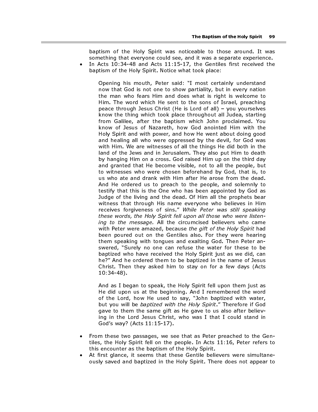baptism of the Holy Spirit was noticeable to those around. It was something that everyone could see, and it was a separate experience. • In Acts 10:34-48 and Acts 11:15-17, the Gentiles first received the

baptism of the Holy Spirit. Notice what took place:

Opening his mouth, Peter said: "I most certainly understand now that God is not one to show partiality, but in every nation the man who fears Him and does what is right is welcome to Him. The word which He sent to the sons of Israel, preaching peace through Jesus Christ (He is Lord of all) – you yourselves know the thing which took place throughout all Judea, starting from Galilee, after the baptism which John proclaimed. You know of Jesus of Nazareth, how God anointed Him with the Holy Spirit and with power, and how He went about doing good and healing all who were oppressed by the devil, for God was with Him. We are witnesses of all the things He did both in the land of the Jews and in Jerusalem. They also put Him to death by hanging Him on a cross. God raised Him up on the third day and granted that He become visible, not to all the people, but to witnesses who were chosen beforehand by God, that is, to us who ate and drank with Him after He arose from the dead. And He ordered us to preach to the people, and solemnly to testify that this is the One who has been appointed by God as Judge of the living and the dead. Of Him all the prophets bear witness that through His name everyone who believes in Him receives forgiveness of sins." While Peter was still speaking these words, the Holy Spirit fell upon all those who were listening to the message. All the circumcised believers who came with Peter were amazed, because the gift of the Holy Spirit had been poured out on the Gentiles also. For they were hearing them speaking with tongues and exalting God. Then Peter answered, "Surely no one can refuse the water for these to be baptized who have received the Holy Spirit just as we did, can he?" And he ordered them to be baptized in the name of Jesus Christ. Then they asked him to stay on for a few days (Acts 10:34-48).

And as I began to speak, the Holy Spirit fell upon them just as He did upon us at the beginning. And I remembered the word of the Lord, how He used to say, "John baptized with water, but you will be baptized with the Holy Spirit." Therefore if God gave to them the same gift as He gave to us also after believing in the Lord Jesus Christ, who was I that I could stand in God's way? (Acts 11:15-17).

- From these two passages, we see that as Peter preached to the Gentiles, the Holy Spirit fell on the people. In Acts 11:16, Peter refers to this encounter as the baptism of the Holy Spirit.
- At first glance, it seems that these Gentile believers were simultaneously saved and baptized in the Holy Spirit. There does not appear to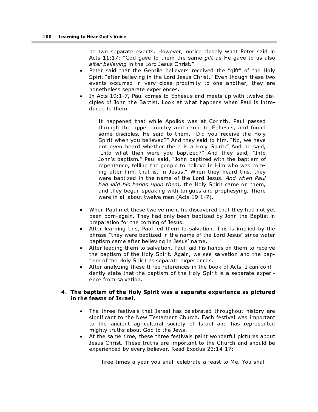be two separate events. However, notice closely what Peter said in Acts 11:17: "God gave to them the same gift as He gave to us also after believing in the Lord Jesus Christ."

- Peter said that the Gentile believers received the "gift" of the Holy Spirit "after believing in the Lord Jesus Christ." Even though these two events occurred in very close proximity to one another, they are nonetheless separate experiences.
- In Acts 19:1-7, Paul comes to Ephesus and meets up with twelve disciples of John the Baptist. Look at what happens when Paul is introduced to them:

It happened that while Apollos was at Corinth, Paul passed through the upper country and came to Ephesus, and found some disciples. He said to them, "Did you receive the Holy Spirit when you believed?" And they said to him, "No, we have not even heard whether there is a Holy Spirit." And he said, "Into what then were you baptized?" And they said, "Into John's baptism." Paul said, "John baptized with the baptism of repentance, telling the people to believe in Him who was coming after him, that is, in Jesus." When they heard this, they were baptized in the name of the Lord Jesus. And when Paul had laid his hands upon them, the Holy Spirit came on them, and they began speaking with tongues and prophesying. There were in all about twelve men (Acts 19:1-7).

- When Paul met these twelve men, he discovered that they had not yet been born-again. They had only been baptized by John the Baptist in preparation for the coming of Jesus.
- After learning this, Paul led them to salvation. This is implied by the phrase "they were baptized in the name of the Lord Jesus" since water baptism came after believing in Jesus' name.
- After leading them to salvation, Paul laid his hands on them to receive the baptism of the Holy Spirit. Again, we see salvation and the baptism of the Holy Spirit as separate experiences.
- After analyzing these three references in the book of Acts, I can confidently state that the baptism of the Holy Spirit is a separate experience from salvation.

### 4. The baptism of the Holy Spirit was a separate experience as pictured in the feasts of Israel.

- The three festivals that Israel has celebrated throughout history are significant to the New Testament Church. Each festival was important to the ancient agricultural society of Israel and has represented mighty truths about God to the Jews.
- At the same time, these three festivals paint wonderful pictures about Jesus Christ. These truths are important to the Church and should be experienced by every believer. Read Exodus 23:14-17:

Three times a year you shall celebrate a feast to Me. You shall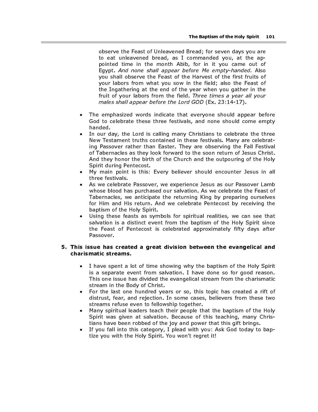observe the Feast of Unleavened Bread; for seven days you are to eat unleavened bread, as I commanded you, at the appointed time in the month Abib, for in it you came out of Egypt. And none shall appear before Me empty-handed. Also you shall observe the Feast of the Harvest of the first fruits of your labors from what you sow in the field; also the Feast of the Ingathering at the end of the year when you gather in the fruit of your labors from the field. Three times a year all your males shall appear before the Lord GOD (Ex. 23:14-17).

- The emphasized words indicate that everyone should appear before God to celebrate these three festivals, and none should come empty handed.
- In our day, the Lord is calling many Christians to celebrate the three New Testament truths contained in these festivals. Many are celebrating Passover rather than Easter. They are observing the Fall Festival of Tabernacles as they look forward to the soon return of Jesus Christ. And they honor the birth of the Church and the outpouring of the Holy Spirit during Pentecost.
- My main point is this: Every believer should encounter Jesus in all three festivals.
- As we celebrate Passover, we experience Jesus as our Passover Lamb whose blood has purchased our salvation. As we celebrate the Feast of Tabernacles, we anticipate the returning King by preparing ourselves for Him and His return. And we celebrate Pentecost by receiving the baptism of the Holy Spirit.
- Using these feasts as symbols for spiritual realities, we can see that salvation is a distinct event from the baptism of the Holy Spirit since the Feast of Pentecost is celebrated approximately fifty days after Passover.

### 5. This issue has created a great division between the evangelical and charismatic streams.

- I have spent a lot of time showing why the baptism of the Holy Spirit is a separate event from salvation. I have done so for good reason. This one issue has divided the evangelical stream from the charismatic stream in the Body of Christ.
- For the last one hundred years or so, this topic has created a rift of distrust, fear, and rejection. In some cases, believers from these two streams refuse even to fellowship together.
- Many spiritual leaders teach their people that the baptism of the Holy Spirit was given at salvation. Because of this teaching, many Christians have been robbed of the joy and power that this gift brings.
- If you fall into this category, I plead with you: Ask God today to baptize you with the Holy Spirit. You won't regret it!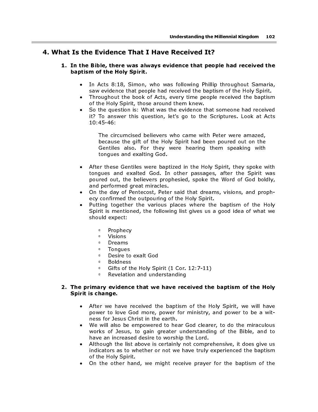# 4. What Is the Evidence That I Have Received It?

### 1. In the Bible, there was always evidence that people had received the baptism of the Holy Spirit.

- In Acts 8:18, Simon, who was following Phillip throughout Samaria, saw evidence that people had received the baptism of the Holy Spirit.
- Throughout the book of Acts, every time people received the baptism of the Holy Spirit, those around them knew.
- So the question is: What was the evidence that someone had received it? To answer this question, let's go to the Scriptures. Look at Acts 10:45-46:

The circumcised believers who came with Peter were amazed, because the gift of the Holy Spirit had been poured out on the Gentiles also. For they were hearing them speaking with tongues and exalting God.

- After these Gentiles were baptized in the Holy Spirit, they spoke with tongues and exalted God. In other passages, after the Spirit was poured out, the believers prophesied, spoke the Word of God boldly, and performed great miracles.
- On the day of Pentecost, Peter said that dreams, visions, and prophecy confirmed the outpouring of the Holy Spirit.
- Putting together the various places where the baptism of the Holy Spirit is mentioned, the following list gives us a good idea of what we should expect:
	- □ Prophecy<br>□ Visions
	- □ Visions<br>□ Dreams
	- □ Dreams<br>□ Tongues
	- Tongues<br>■ Desire to
	- Desire to exalt God
	- **Boldness**
	- Gifts of the Holy Spirit (1 Cor. 12:7-11)<br>
	Revelation and understanding
	- Revelation and understanding

### 2. The primary evidence that we have received the baptism of the Holy Spirit is change.

- After we have received the baptism of the Holy Spirit, we will have power to love God more, power for ministry, and power to be a witness for Jesus Christ in the earth.
- We will also be empowered to hear God clearer, to do the miraculous works of Jesus, to gain greater understanding of the Bible, and to have an increased desire to worship the Lord.
- Although the list above is certainly not comprehensive, it does give us indicators as to whether or not we have truly experienced the baptism of the Holy Spirit.
- On the other hand, we might receive prayer for the baptism of the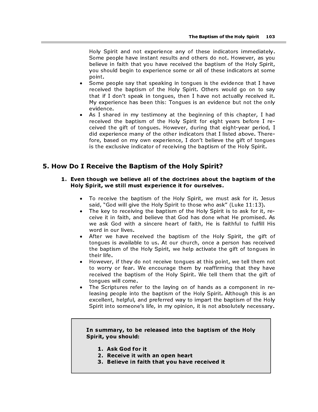Holy Spirit and not experience any of these indicators immediately. Some people have instant results and others do not. However, as you believe in faith that you have received the baptism of the Holy Spirit, you should begin to experience some or all of these indicators at some point.

- Some people say that speaking in tongues is the evidence that I have received the baptism of the Holy Spirit. Others would go on to say that if I don't speak in tongues, then I have not actually received it. My experience has been this: Tongues is an evidence but not the only evidence.
- As I shared in my testimony at the beginning of this chapter, I had received the baptism of the Holy Spirit for eight years before I received the gift of tongues. However, during that eight-year period, I did experience many of the other indicators that I listed above. Therefore, based on my own experience, I don't believe the gift of tongues is the exclusive indicator of receiving the baptism of the Holy Spirit.

# 5. How Do I Receive the Baptism of the Holy Spirit?

### 1. Even though we believe all of the doctrines about the baptism of the Holy Spirit, we still must experience it for ourselves.

- To receive the baptism of the Holy Spirit, we must ask for it. Jesus said, "God will give the Holy Spirit to those who ask" (Luke 11:13).
- The key to receiving the baptism of the Holy Spirit is to ask for it, receive it in faith, and believe that God has done what He promised. As we ask God with a sincere heart of faith, He is faithful to fulfill His word in our lives.
- After we have received the baptism of the Holy Spirit, the gift of tongues is available to us. At our church, once a person has received the baptism of the Holy Spirit, we help activate the gift of tongues in their life.
- However, if they do not receive tongues at this point, we tell them not to worry or fear. We encourage them by reaffirming that they have received the baptism of the Holy Spirit. We tell them that the gift of tongues will come.
- The Scriptures refer to the laying on of hands as a component in releasing people into the baptism of the Holy Spirit. Although this is an excellent, helpful, and preferred way to impart the baptism of the Holy Spirit into someone's life, in my opinion, it is not absolutely necessary.

### In summary, to be released into the baptism of the Holy Spirit, you should:

- 1. Ask God for it
- 2. Receive it with an open heart
- 3. Believe in faith that you have received it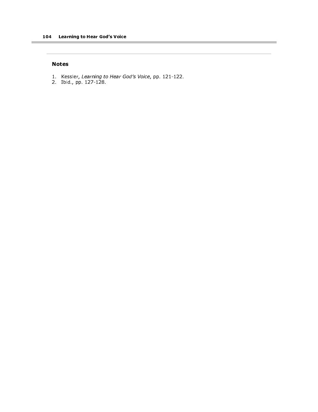### Notes

1. Kessler, Learning to Hear God's Voice, pp. 121-122.

2. Ibid., pp. 127-128.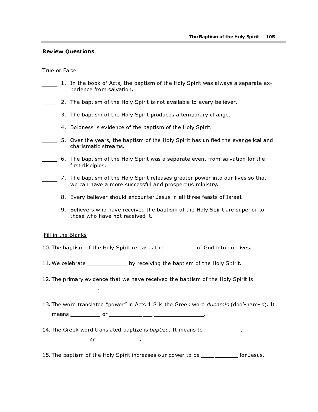### Review Questions

### True or False

- 1. In the book of Acts, the baptism of the Holy Spirit was always a separate experience from salvation.
- 2. The baptism of the Holy Spirit is not available to every believer.
- **3.** The baptism of the Holy Spirit produces a temporary change.
- **4. Boldness is evidence of the baptism of the Holy Spirit.**
- 5. Over the years, the baptism of the Holy Spirit has unified the evangelical and charismatic streams.
- 6. The baptism of the Holy Spirit was a separate event from salvation for the first disciples.
- 7. The baptism of the Holy Spirit releases greater power into our lives so that we can have a more successful and prosperous ministry.
- 8. Every believer should encounter Jesus in all three feasts of Israel.
- 9. Believers who have received the baptism of the Holy Spirit are superior to those who have not received it.

### Fill in the Blanks

\_\_\_\_\_\_\_\_\_\_\_\_\_\_.

- 10. The baptism of the Holy Spirit releases the \_\_\_\_\_\_\_\_\_ of God into our lives.
- 11. We celebrate \_\_\_\_\_\_\_\_\_\_\_\_\_ by receiving the baptism of the Holy Spirit.
- 12. The primary evidence that we have received the baptism of the Holy Spirit is
- 13. The word translated "power" in Acts 1:8 is the Greek word *dunamis* (doo'-nam-is). It means \_\_\_\_\_\_\_\_\_ or \_\_\_\_\_\_\_\_\_\_\_\_\_ \_\_\_\_\_\_\_\_\_\_\_\_\_\_\_.
- 14. The Greek word translated baptize is *baptizo*. It means to \_\_\_\_\_\_\_\_\_\_\_\_,

\_\_\_\_\_\_\_\_\_\_\_ or \_\_\_\_\_\_\_\_\_\_\_\_\_.

15. The baptism of the Holy Spirit increases our power to be entitled the states.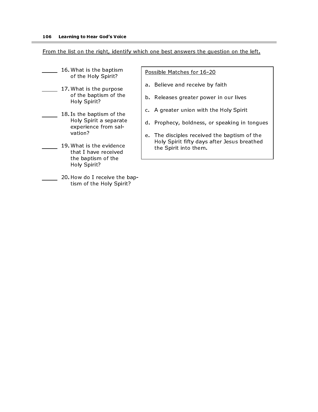### From the list on the right, identify which one best answers the question on the left.

- 16. What is the baptism of the Holy Spirit?
- 17. What is the purpose of the baptism of the Holy Spirit?
- 18. Is the baptism of the Holy Spirit a separate experience from salvation?
- 19. What is the evidence that I have received the baptism of the Holy Spirit?
	- 20. How do I receive the baptism of the Holy Spirit?

Possible Matches for 16-20

- a. Believe and receive by faith
- b. Releases greater power in our lives
- c. A greater union with the Holy Spirit
- d. Prophecy, boldness, or speaking in tongues
- e. The disciples received the baptism of the Holy Spirit fifty days after Jesus breathed the Spirit into them.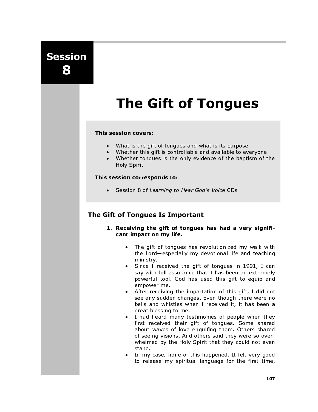Session 8

# The Gift of Tongues

### This session covers:

- What is the gift of tongues and what is its purpose
- Whether this gift is controllable and available to everyone
- Whether tongues is the only evidence of the baptism of the Holy Spirit

### This session corresponds to:

• Session 8 of Learning to Hear God's Voice CDs

# The Gift of Tongues Is Important

- 1. Receiving the gift of tongues has had a very significant impact on my life.
	- The gift of tongues has revolutionized my walk with the Lord—especially my devotional life and teaching ministry.
	- Since I received the gift of tongues in 1991, I can say with full assurance that it has been an extremely powerful tool. God has used this gift to equip and empower me.
	- After receiving the impartation of this gift, I did not see any sudden changes. Even though there were no bells and whistles when I received it, it has been a great blessing to me.
	- I had heard many testimonies of people when they first received their gift of tongues. Some shared about waves of love engulfing them. Others shared of seeing visions. And others said they were so overwhelmed by the Holy Spirit that they could not even stand.
	- In my case, none of this happened. It felt very good to release my spiritual language for the first time,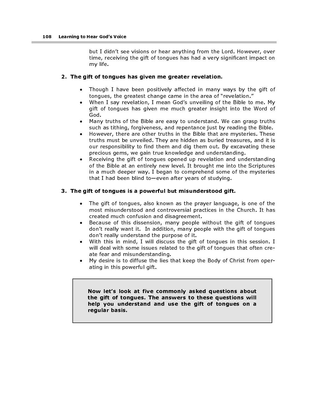but I didn't see visions or hear anything from the Lord. However, over time, receiving the gift of tongues has had a very significant impact on my life.

### 2. The gift of tongues has given me greater revelation.

- Though I have been positively affected in many ways by the gift of tongues, the greatest change came in the area of "revelation."
- When I say revelation, I mean God's unveiling of the Bible to me. My gift of tongues has given me much greater insight into the Word of God.
- Many truths of the Bible are easy to understand. We can grasp truths such as tithing, forgiveness, and repentance just by reading the Bible.
- However, there are other truths in the Bible that are mysteries. These truths must be unveiled. They are hidden as buried treasures, and it is our responsibility to find them and dig them out. By excavating these precious gems, we gain true knowledge and understanding.
- Receiving the gift of tongues opened up revelation and understanding of the Bible at an entirely new level. It brought me into the Scriptures in a much deeper way. I began to comprehend some of the mysteries that I had been blind to—even after years of studying.

### 3. The gift of tongues is a powerful but misunderstood gift.

- The gift of tongues, also known as the prayer language, is one of the most misunderstood and controversial practices in the Church. It has created much confusion and disagreement.
- Because of this dissension, many people without the gift of tongues don't really want it. In addition, many people with the gift of tongues don't really understand the purpose of it.
- With this in mind, I will discuss the gift of tongues in this session. I will deal with some issues related to the gift of tongues that often create fear and misunderstanding.
- My desire is to diffuse the lies that keep the Body of Christ from operating in this powerful gift.

Now let's look at five commonly asked questions about the gift of tongues. The answers to these questions will help you understand and use the gift of tongues on a regular basis.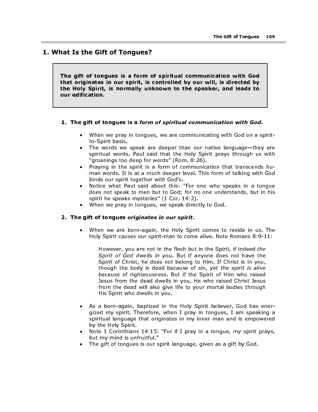## 1. What Is the Gift of Tongues?

The gift of tongues is a form of spiritual communication with God that originates in our spirit, is controlled by our will, is directed by the Holy Spirit, is normally unknown to the speaker, and leads to our edification.

#### 1. The gift of tongues is a form of spiritual communication with God.

- When we pray in tongues, we are communicating with God on a spiritto-Spirit basis.
- The words we speak are deeper than our native language—they are spiritual words. Paul said that the Holy Spirit prays through us with "groanings too deep for words" (Rom. 8:26).
- Praying in the spirit is a form of communication that transcends human words. It is at a much deeper level. This form of talking with God binds our spirit together with God's.
- Notice what Paul said about this: "For one who speaks in a tongue does not speak to men but to God; for no one understands, but in his spirit he speaks mysteries" (1 Cor. 14:2).
- When we pray in tongues, we speak directly to God.

• When we are born-again, the Holy Spirit comes to reside in us. The Holy Spirit causes our spirit-man to come alive. Note Romans 8:9-11:

1. The gift of tongues is a form of spiritual communication with God.<br>
When we pray in tongues, we are communication with God on a spiritual vortals.<br>
The words we speak are deeper than our native language-they<br>
spiritual 2. The gift of tongues originates in our spirit.<br>
• When we are born-again, the Holy Spirit-<br>
Holy Spirit causes our spirit-man to come<br>  $However, you are not in the flesh but  
\nSprint of God dwells in you. But if a  
\nSpirit of Christ, he does not belong  
\nthough the body is dead because of  
\nbecause for pitheousness. But if the  
\nless form the dead awells in you,  
\nfrom the dead will also give life to$ However, you are not in the flesh but in the Spirit, if indeed the Spirit of God dwells in you. But if anyone does not have the Spirit of Christ, he does not belong to Him. If Christ is in you, though the body is dead because of sin, yet the spirit is alive because of righteousness. But if the Spirit of Him who raised Jesus from the dead dwells in you, He who raised Christ Jesus from the dead will also give life to your mortal bodies through His Spirit who dwells in you.

- As a born-again, baptized in the Holy Spirit believer, God has energized my spirit. Therefore, when I pray in tongues, I am speaking a spiritual language that originates in my inner man and is empowered by the Holy Spirit.
- Note 1 Corinthians 14:15: "For if I pray in a tongue,  $my$  spirit prays, but my mind is unfruitful."
- The gift of tongues is our spirit language, given as a gift by God.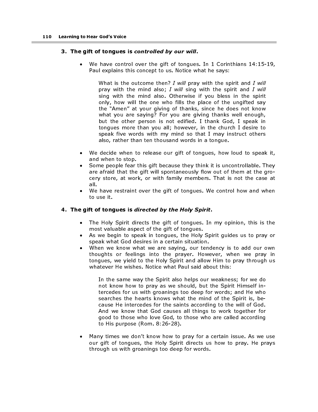## 3. The gift of tongues is controlled by our will.

We have control over the gift of tongues. In 1 Corinthians 14:15-19, Paul explains this concept to us. Notice what he says:

3. The gift of tongues is controlled by our will.<br>
Ye have control over the gift of tongues<br>
Paul explains this concept to us. Notice will<br>
year pay with the mind also, 7 will gray<br>
pray with the mind also, 7 will gray<br>
s What is the outcome then? I will pray with the spirit and I will pray with the mind also; I will sing with the spirit and I will sing with the mind also. Otherwise if you bless in the spirit only, how will the one who fills the place of the ungifted say the "Amen" at your giving of thanks, since he does not know what you are saying? For you are giving thanks well enough, but the other person is not edified. I thank God, I speak in tongues more than you all; however, in the church I desire to speak five words with my mind so that I may instruct others also, rather than ten thousand words in a tongue.

- We decide when to release our gift of tongues, how loud to speak it, and when to stop.
- Some people fear this gift because they think it is uncontrollable. They are afraid that the gift will spontaneously flow out of them at the grocery store, at work, or with family members. That is not the case at all.
- We have restraint over the gift of tongues. We control how and when to use it.

## 4. The gift of tongues is directed by the Holy Spirit.

- The Holy Spirit directs the gift of tongues. In my opinion, this is the most valuable aspect of the gift of tongues.
- As we begin to speak in tongues, the Holy Spirit guides us to pray or speak what God desires in a certain situation.
- When we know what we are saying, our tendency is to add our own thoughts or feelings into the prayer. However, when we pray in tongues, we yield to the Holy Spirit and allow Him to pray through us whatever He wishes. Notice what Paul said about this:

4. The gift of tongues is directed by the Holy Spirit.<br>
• The Holy Spirit directs the gift of tongues. In most valuable aspect of the gift of tongues.<br>
• As we begin to speak in tongues, the Holy Spi<br>
speak what God desire In the same way the Spirit also helps our weakness; for we do not know how to pray as we should, but the Spirit Himself intercedes for us with groanings too deep for words; and He who searches the hearts knows what the mind of the Spirit is, because He intercedes for the saints according to the will of God. And we know that God causes all things to work together for good to those who love God, to those who are called according to His purpose (Rom. 8:26-28).

• Many times we don't know how to pray for a certain issue. As we use our gift of tongues, the Holy Spirit directs us how to pray. He prays through us with groanings too deep for words.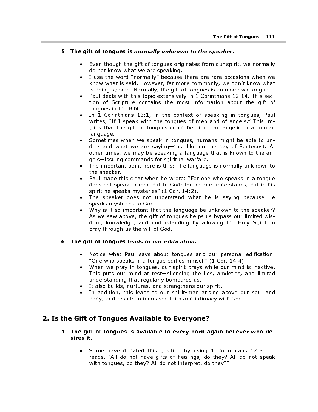## 5. The gift of tongues is normally unknown to the speaker.

- Even though the gift of tongues originates from our spirit, we normally do not know what we are speaking.
- I use the word "normally" because there are rare occasions when we know what is said. However, far more commonly, we don't know what is being spoken. Normally, the gift of tongues is an unknown tongue.
- Paul deals with this topic extensively in 1 Corinthians 12-14. This section of Scripture contains the most information about the gift of tongues in the Bible.
- In 1 Corinthians 13:1, in the context of speaking in tongues, Paul writes, "If I speak with the tongues of men and of angels." This implies that the gift of tongues could be either an angelic or a human language.
- Sometimes when we speak in tongues, humans might be able to understand what we are saying—just like on the day of Pentecost. At other times, we may be speaking a language that is known to the angels—issuing commands for spiritual warfare.
- The important point here is this: The language is normally unknown to the speaker.
- Paul made this clear when he wrote: "For one who speaks in a tongue does not speak to men but to God; for no one understands, but in his spirit he speaks mysteries" (1 Cor. 14:2).
- The speaker does not understand what he is saying because He speaks mysteries to God.
- 5. The gift of tongues is normally unknown to the speaker.<br>
teven though the gift of tongues originals from our spiritual of the word "homes" precenting, the section of the word "to the word" is shown what is all, the gif • Why is it so important that the language be unknown to the speaker? As we saw above, the gift of tongues helps us bypass our limited wisdom, knowledge, and understanding by allowing the Holy Spirit to pray through us the will of God.

## 6. The gift of tongues leads to our edification.

- Notice what Paul says about tongues and our personal edification: "One who speaks in a tongue edifies himself" (1 Cor. 14:4).
- 6. The gift of tongues *leads* to our edification.<br>
 Notice what Paul says about tongues a<br>
"One who speaks in a tongue edifies hims<br>
 When we pray in tongues, our spirit pray<br>
This puts our mind at rest—silencing the<br>
u • When we pray in tongues, our spirit prays while our mind is inactive. This puts our mind at rest—silencing the lies, anxieties, and limited understanding that regularly bombards us.
	- It also builds, nurtures, and strengthens our spirit.
	- In addition, this leads to our spirit-man arising above our soul and body, and results in increased faith and intimacy with God.

## 2. Is the Gift of Tongues Available to Everyone?

- 1. The gift of tongues is available to every born-again believer who desires it.
	- Some have debated this position by using 1 Corinthians 12:30. It reads, "All do not have gifts of healings, do they? All do not speak with tongues, do they? All do not interpret, do they?"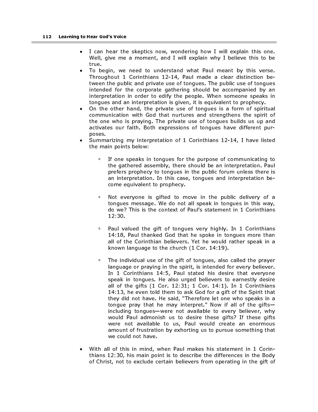- I can hear the skeptics now, wondering how I will explain this one. Well, give me a moment, and I will explain why I believe this to be true.
- To begin, we need to understand what Paul meant by this verse. Throughout 1 Corinthians 12-14, Paul made a clear distinction between the public and private use of tongues. The public use of tongues intended for the corporate gathering should be accompanied by an interpretation in order to edify the people. When someone speaks in tongues and an interpretation is given, it is equivalent to prophecy.
- On the other hand, the private use of tongues is a form of spiritual communication with God that nurtures and strengthens the spirit of the one who is praying. The private use of tongues builds us up and activates our faith. Both expressions of tongues have different purposes.
- Summarizing my interpretation of 1 Corinthians 12-14, I have listed the main points below:
	- <sup>o</sup> If one speaks in tongues for the purpose of communicating to the gathered assembly, there should be an interpretation. Paul prefers prophecy to tongues in the public forum unless there is an interpretation. In this case, tongues and interpretation become equivalent to prophecy.
	- Not everyone is gifted to move in the public delivery of a tongues message. We do not all speak in tongues in this way, do we? This is the context of Paul's statement in 1 Corinthians 12:30.
	- Paul valued the gift of tongues very highly. In 1 Corinthians 14:18, Paul thanked God that he spoke in tongues more than all of the Corinthian believers. Yet he would rather speak in a known language to the church (1 Cor. 14:19).
	- The individual use of the gift of tongues, also called the prayer language or praying in the spirit, is intended for every believer. In 1 Corinthians 14:5, Paul stated his desire that everyone speak in tongues. He also urged believers to earnestly desire all of the gifts (1 Cor. 12:31; 1 Cor. 14:1). In 1 Corinthians 14:13, he even told them to ask God for a gift of the Spirit that they did not have. He said, "Therefore let one who speaks in a tongue pray that he may interpret." Now if all of the gifts including tongues—were not available to every believer, why would Paul admonish us to desire these gifts? If these gifts were not available to us, Paul would create an enormous amount of frustration by exhorting us to pursue something that we could not have.
- With all of this in mind, when Paul makes his statement in 1 Corinthians 12:30, his main point is to describe the differences in the Body of Christ, not to exclude certain believers from operating in the gift of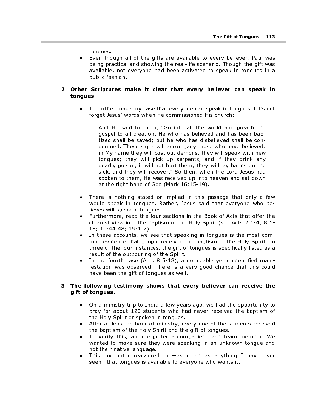tongues.

• Even though all of the gifts are available to every believer, Paul was being practical and showing the real-life scenario. Though the gift was available, not everyone had been activated to speak in tongues in a public fashion.

## 2. Other Scriptures make it clear that every believer can speak in tongues.

• To further make my case that everyone can speak in tongues, let's not forget Jesus' words when He commissioned His church:

And He said to them, "Go into all the world and preach the gospel to all creation. He who has believed and has been baptized shall be saved; but he who has disbelieved shall be condemned. These signs will accompany those who have believed: in My name they will cast out demons, they will speak with new tongues; they will pick up serpents, and if they drink any deadly poison, it will not hurt them; they will lay hands on the sick, and they will recover." So then, when the Lord Jesus had spoken to them, He was received up into heaven and sat down at the right hand of God (Mark 16:15-19).

- There is nothing stated or implied in this passage that only a few would speak in tongues. Rather, Jesus said that everyone who believes will speak in tongues.
- Furthermore, read the four sections in the Book of Acts that offer the clearest view into the baptism of the Holy Spirit (see Acts 2:1-4; 8:5- 18; 10:44-48; 19:1-7).
- In these accounts, we see that speaking in tongues is the most common evidence that people received the baptism of the Holy Spirit. In three of the four instances, the gift of tongues is specifically listed as a result of the outpouring of the Spirit.
- In the fourth case (Acts 8:5-18), a noticeable yet unidentified manifestation was observed. There is a very good chance that this could have been the gift of tongues as well.

## 3. The following testimony shows that every believer can receive the gift of tongues.

- On a ministry trip to India a few years ago, we had the opportunity to pray for about 120 students who had never received the baptism of the Holy Spirit or spoken in tongues.
- After at least an hour of ministry, every one of the students received the baptism of the Holy Spirit and the gift of tongues.
- To verify this, an interpreter accompanied each team member. We wanted to make sure they were speaking in an unknown tongue and not their native language.
- This encounter reassured me—as much as anything I have ever seen—that tongues is available to everyone who wants it.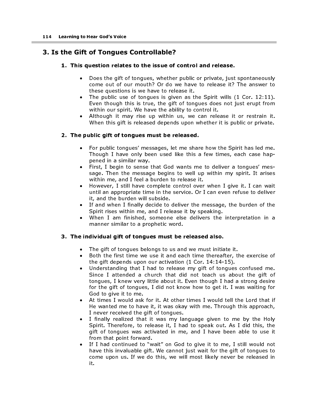# 3. Is the Gift of Tongues Controllable?

## 1. This question relates to the issue of control and release.

- Does the gift of tongues, whether public or private, just spontaneously come out of our mouth? Or do we have to release it? The answer to these questions is we have to release it.
- The public use of tongues is given as the Spirit wills (1 Cor. 12:11). Even though this is true, the gift of tongues does not just erupt from within our spirit. We have the ability to control it.
- Although it may rise up within us, we can release it or restrain it. When this gift is released depends upon whether it is public or private.

## 2. The public gift of tongues must be released.

- For public tongues' messages, let me share how the Spirit has led me. Though I have only been used like this a few times, each case happened in a similar way.
- First, I begin to sense that God wants me to deliver a tongues' message. Then the message begins to well up within my spirit. It arises within me, and I feel a burden to release it.
- However, I still have complete control over when I give it. I can wait until an appropriate time in the service. Or I can even refuse to deliver it, and the burden will subside.
- If and when I finally decide to deliver the message, the burden of the Spirit rises within me, and I release it by speaking.
- When I am finished, someone else delivers the interpretation in a manner similar to a prophetic word.

## 3. The individual gift of tongues must be released also.

- The gift of tongues belongs to us and we must initiate it.
- Both the first time we use it and each time thereafter, the exercise of the gift depends upon our activation (1 Cor. 14:14-15).
- Understanding that I had to release my gift of tongues confused me. Since I attended a church that did not teach us about the gift of tongues, I knew very little about it. Even though I had a strong desire for the gift of tongues, I did not know how to get it. I was waiting for God to give it to me.
- At times I would ask for it. At other times I would tell the Lord that if He wanted me to have it, it was okay with me. Through this approach, I never received the gift of tongues.
- I finally realized that it was my language given to me by the Holy Spirit. Therefore, to release it, I had to speak out. As I did this, the gift of tongues was activated in me, and I have been able to use it from that point forward.
- If I had continued to "wait" on God to give it to me, I still would not have this invaluable gift. We cannot just wait for the gift of tongues to come upon us. If we do this, we will most likely never be released in it.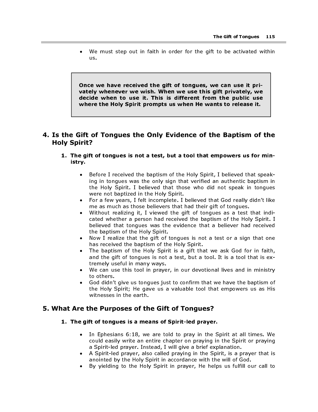We must step out in faith in order for the gift to be activated within us.

Once we have received the gift of tongues, we can use it privately whenever we wish. When we use this gift privately, we decide when to use it. This is different from the public use where the Holy Spirit prompts us when He wants to release it.

## 4. Is the Gift of Tongues the Only Evidence of the Baptism of the Holy Spirit?

- 1. The gift of tongues is not a test, but a tool that empowers us for ministry.
	- Before I received the baptism of the Holy Spirit, I believed that speaking in tongues was the only sign that verified an authentic baptism in the Holy Spirit. I believed that those who did not speak in tongues were not baptized in the Holy Spirit.
	- For a few years, I felt incomplete. I believed that God really didn't like me as much as those believers that had their gift of tongues.
	- Without realizing it, I viewed the gift of tongues as a test that indicated whether a person had received the baptism of the Holy Spirit. I believed that tongues was the evidence that a believer had received the baptism of the Holy Spirit.
	- Now I realize that the gift of tongues is not a test or a sign that one has received the baptism of the Holy Spirit.
	- The baptism of the Holy Spirit is a gift that we ask God for in faith, and the gift of tongues is not a test, but a tool. It is a tool that is extremely useful in many ways.
	- We can use this tool in prayer, in our devotional lives and in ministry to others.
	- God didn't give us tongues just to confirm that we have the baptism of the Holy Spirit; He gave us a valuable tool that empowers us as His witnesses in the earth.

## 5. What Are the Purposes of the Gift of Tongues?

#### 1. The gift of tongues is a means of Spirit-led prayer.

- In Ephesians 6:18, we are told to pray in the Spirit at all times. We could easily write an entire chapter on praying in the Spirit or praying a Spirit-led prayer. Instead, I will give a brief explanation.
- A Spirit-led prayer, also called praying in the Spirit, is a prayer that is anointed by the Holy Spirit in accordance with the will of God.
- By yielding to the Holy Spirit in prayer, He helps us fulfill our call to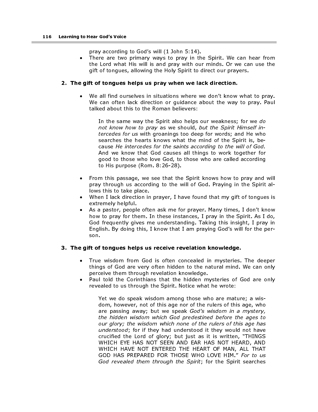pray according to God's will (1 John 5:14).

• There are two primary ways to pray in the Spirit. We can hear from the Lord what His will is and pray with our minds. Or we can use the gift of tongues, allowing the Holy Spirit to direct our prayers.

## 2. The gift of tongues helps us pray when we lack direction.

We all find ourselves in situations where we don't know what to pray. We can often lack direction or guidance about the way to pray. Paul talked about this to the Roman believers:

In the same way the Spirit also helps our weakness; for we do not know how to pray as we should, but the Spirit Himself intercedes for us with groanings too deep for words; and He who searches the hearts knows what the mind of the Spirit is, because He intercedes for the saints according to the will of God. And we know that God causes all things to work together for good to those who love God, to those who are called according to His purpose (Rom. 8:26-28).

- From this passage, we see that the Spirit knows how to pray and will pray through us according to the will of God. Praying in the Spirit allows this to take place.
- When I lack direction in prayer, I have found that my gift of tongues is extremely helpful.
- As a pastor, people often ask me for prayer. Many times, I don't know how to pray for them. In these instances, I pray in the Spirit. As I do, God frequently gives me understanding. Taking this insight, I pray in English. By doing this, I know that I am praying God's will for the person.

## 3. The gift of tongues helps us receive revelation knowledge.

- True wisdom from God is often concealed in mysteries. The deeper things of God are very often hidden to the natural mind. We can only perceive them through revelation knowledge.
- Paul told the Corinthians that the hidden mysteries of God are only revealed to us through the Spirit. Notice what he wrote:

Yet we do speak wisdom among those who are mature; a wisdom, however, not of this age nor of the rulers of this age, who are passing away; but we speak God's wisdom in a mystery, the hidden wisdom which God predestined before the ages to our glory; the wisdom which none of the rulers of this age has understood; for if they had understood it they would not have crucified the Lord of glory; but just as it is written, "THINGS WHICH EYE HAS NOT SEEN AND EAR HAS NOT HEARD, AND WHICH HAVE NOT ENTERED THE HEART OF MAN, ALL THAT GOD HAS PREPARED FOR THOSE WHO LOVE HIM." For to us God revealed them through the Spirit; for the Spirit searches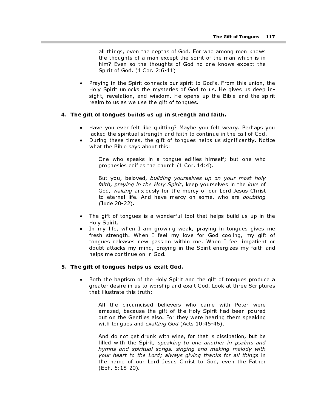all things, even the depths of God. For who among men knows the thoughts of a man except the spirit of the man which is in him? Even so the thoughts of God no one knows except the Spirit of God. (1 Cor. 2:6-11)

Praying in the Spirit connects our spirit to God's. From this union, the Holy Spirit unlocks the mysteries of God to us. He gives us deep insight, revelation, and wisdom. He opens up the Bible and the spirit realm to us as we use the gift of tongues.

## 4. The gift of tongues builds us up in strength and faith.

- Have you ever felt like quitting? Maybe you felt weary. Perhaps you lacked the spiritual strength and faith to continue in the call of God.
- During these times, the gift of tongues helps us significantly. Notice what the Bible says about this:

One who speaks in a tongue edifies himself; but one who prophesies edifies the church (1 Cor. 14:4).

But you, beloved, building yourselves up on your most holy faith, praying in the Holy Spirit, keep yourselves in the love of God, waiting anxiously for the mercy of our Lord Jesus Christ to eternal life. And have mercy on some, who are doubting (Jude 20-22).

- The gift of tongues is a wonderful tool that helps build us up in the Holy Spirit.
- In my life, when I am growing weak, praying in tongues gives me fresh strength. When I feel my love for God cooling, my gift of tongues releases new passion within me. When I feel impatient or doubt attacks my mind, praying in the Spirit energizes my faith and helps me continue on in God.

#### 5. The gift of tongues helps us exalt God.

• Both the baptism of the Holy Spirit and the gift of tongues produce a greater desire in us to worship and exalt God. Look at three Scriptures that illustrate this truth:

All the circumcised believers who came with Peter were amazed, because the gift of the Holy Spirit had been poured out on the Gentiles also. For they were hearing them speaking with tongues and exalting God (Acts 10:45-46).

And do not get drunk with wine, for that is dissipation, but be filled with the Spirit, speaking to one another in psalms and hymns and spiritual songs, singing and making melody with your heart to the Lord; always giving thanks for all things in the name of our Lord Jesus Christ to God, even the Father (Eph. 5:18-20).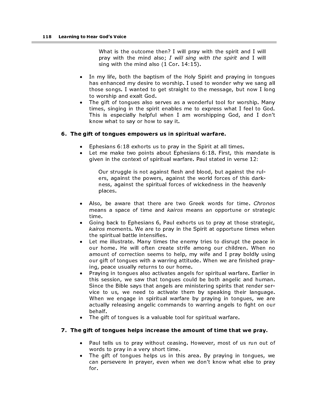What is the outcome then? I will pray with the spirit and I will pray with the mind also; I will sing with the spirit and I will sing with the mind also (1 Cor. 14:15).

- In my life, both the baptism of the Holy Spirit and praying in tongues has enhanced my desire to worship. I used to wonder why we sang all those songs. I wanted to get straight to the message, but now I long to worship and exalt God.
- The gift of tongues also serves as a wonderful tool for worship. Many times, singing in the spirit enables me to express what I feel to God. This is especially helpful when I am worshipping God, and I don't know what to say or how to say it.

#### 6. The gift of tongues empowers us in spiritual warfare.

- Ephesians 6:18 exhorts us to pray in the Spirit at all times.
- Let me make two points about Ephesians 6:18. First, this mandate is given in the context of spiritual warfare. Paul stated in verse 12:

Our struggle is not against flesh and blood, but against the rulers, against the powers, against the world forces of this darkness, against the spiritual forces of wickedness in the heavenly places.

- Also, be aware that there are two Greek words for time. Chronos means a space of time and kairos means an opportune or strategic time.
- Going back to Ephesians 6, Paul exhorts us to pray at those strategic, kairos moments. We are to pray in the Spirit at opportune times when the spiritual battle intensifies.
- Let me illustrate. Many times the enemy tries to disrupt the peace in our home. He will often create strife among our children. When no amount of correction seems to help, my wife and I pray boldly using our gift of tongues with a warring attitude. When we are finished praying, peace usually returns to our home.
- Praying in tongues also activates angels for spiritual warfare. Earlier in this session, we saw that tongues could be both angelic and human. Since the Bible says that angels are ministering spirits that render service to us, we need to activate them by speaking their language. When we engage in spiritual warfare by praying in tongues, we are actually releasing angelic commands to warring angels to fight on our behalf.
- The gift of tongues is a valuable tool for spiritual warfare.

## 7. The gift of tongues helps increase the amount of time that we pray.

- Paul tells us to pray without ceasing. However, most of us run out of words to pray in a very short time.
- The gift of tongues helps us in this area. By praying in tongues, we can persevere in prayer, even when we don't know what else to pray for.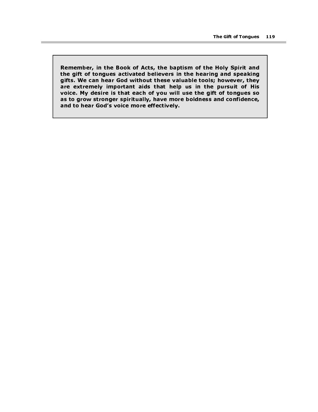Remember, in the Book of Acts, the baptism of the Holy Spirit and the gift of tongues activated believers in the hearing and speaking gifts. We can hear God without these valuable tools; however, they are extremely important aids that help us in the pursuit of His voice. My desire is that each of you will use the gift of tongues so as to grow stronger spiritually, have more boldness and confidence, and to hear God's voice more effectively.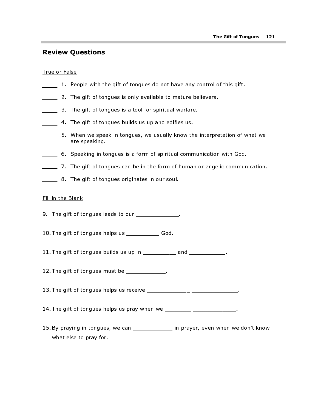# Review Questions

#### True or False

- 1. People with the gift of tongues do not have any control of this gift.
- **2. The gift of tongues is only available to mature believers.**
- 3. The gift of tongues is a tool for spiritual warfare.
- **4.** The gift of tongues builds us up and edifies us.
- 5. When we speak in tongues, we usually know the interpretation of what we are speaking.
- 6. Speaking in tongues is a form of spiritual communication with God.
- 7. The gift of tongues can be in the form of human or angelic communication.
- **8.** The gift of tongues originates in our soul.

## Fill in the Blank

- 9. The gift of tongues leads to our \_\_\_\_\_\_\_\_\_\_\_\_\_\_.
- 10. The gift of tongues helps us \_\_\_\_\_\_\_\_\_\_\_ God.
- 11. The gift of tongues builds us up in  $\frac{1}{2}$  and  $\frac{1}{2}$  and  $\frac{1}{2}$  and  $\frac{1}{2}$  and  $\frac{1}{2}$  and  $\frac{1}{2}$  and  $\frac{1}{2}$  and  $\frac{1}{2}$  and  $\frac{1}{2}$  and  $\frac{1}{2}$  and  $\frac{1}{2}$  and  $\frac{1}{2}$  and  $\frac{1}{2}$  and
- 12. The gift of tongues must be \_\_\_\_\_\_\_\_\_\_\_\_.
- 13. The gift of tongues helps us receive \_\_\_\_\_\_\_\_\_\_\_\_\_\_\_ \_\_\_\_\_\_\_\_\_\_\_\_\_\_\_\_.
- 14. The gift of tongues helps us pray when we \_\_\_\_\_\_\_\_\_ \_\_\_\_\_\_\_\_\_\_\_\_\_\_\_.
- 15. By praying in tongues, we can \_\_\_\_\_\_\_\_\_\_\_\_\_\_ in prayer, even when we don't know what else to pray for.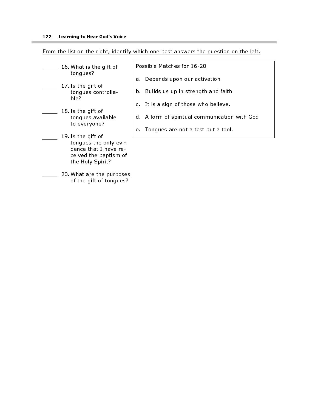m.

| From the list on the right, identify which one best answers the question on the left. |  |  |  |
|---------------------------------------------------------------------------------------|--|--|--|
|                                                                                       |  |  |  |

| 16. What is the gift of<br>tongues?                                                                               | Possible Matches for 16-20                                                 |  |  |
|-------------------------------------------------------------------------------------------------------------------|----------------------------------------------------------------------------|--|--|
| 17. Is the gift of<br>tongues controlla-<br>ble?                                                                  | Depends upon our activation<br>а.<br>b. Builds us up in strength and faith |  |  |
|                                                                                                                   | c. It is a sign of those who believe.                                      |  |  |
| 18. Is the gift of<br>tongues available<br>to everyone?                                                           | d. A form of spiritual communication with God                              |  |  |
| 19. Is the gift of<br>tongues the only evi-<br>dence that I have re-<br>ceived the baptism of<br>the Holy Spirit? | e. Tongues are not a test but a tool.                                      |  |  |
| 20. What are the purposes<br>of the gift of tongues?                                                              |                                                                            |  |  |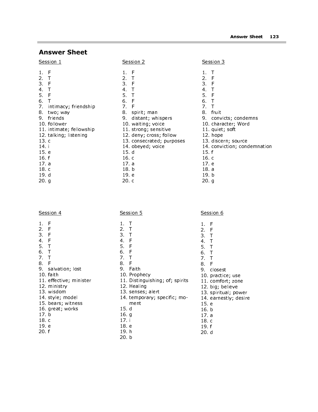# Answer Sheet

| Session 1       |                         |                 | Session 2                |                | Session 3                   |
|-----------------|-------------------------|-----------------|--------------------------|----------------|-----------------------------|
| F<br>1.         |                         | $1$ .           | -F                       | 1              |                             |
| $\mathbf{2}$ .  |                         | 2.              | $\top$                   | $2 -$          | -F                          |
| F<br>З.         |                         | 3.              | -F                       | 3 <sup>1</sup> | - F                         |
| 4.              |                         | 4.              | $\top$                   | 4.             |                             |
| F<br>5.         |                         | 5.              | $\top$                   | 5.             | -F                          |
| 6.              |                         | 6.              | - F                      | 6.             |                             |
| 7.              | intimacy; friendship    | 7.              | F                        | 7.             |                             |
| 8.              | two; way                | 8.              | spirit; man              | 8.             | fruit                       |
| friends<br>9.   |                         | 9.              | distant; whispers        | 9.             | convicts; condemns          |
| 10. follower    |                         |                 | 10 waiting; voice        |                | 10 character; Word          |
|                 | 11 intimate; fellowship |                 | 11 strong; sensitive     |                | 11 quiet; soft              |
|                 | 12. talking; listening  |                 | 12. deny; cross; follow  |                | 12. hope                    |
| 13 <sub>c</sub> |                         |                 | 13 consecrated; purposes |                | 13. discern; source         |
| 14 i            |                         |                 | 14 obeyed; voice         |                | 14 conviction; condemnation |
| 15 e            |                         | 15 <sub>d</sub> |                          | 15 f           |                             |
| 16 f            |                         | 16 с            |                          | 16 c           |                             |
| 17a             |                         | 17a             |                          | 17e            |                             |
| 18 c            |                         | 18 b            |                          | 18 a           |                             |
| 19 d            |                         | 19 e            |                          | 19 b           |                             |
| 20. g           |                         | 20c             |                          | 20. q          |                             |

Session 6

1. F 2. F 3. T 4. T 5. T  $6<sub>1</sub>$ 7. T 8. F 9. closest 10. practice; use 11. comfort; zone 12. big; believe 13. spiritual; power 14. earnestly; desire

15. e 16. b 17. a 18. c 19. f 20. d

|                | <b>Session 4</b>       |                | <u>Session 5</u>                |
|----------------|------------------------|----------------|---------------------------------|
| 1.             | F                      | 1.             | Τ                               |
| $2 -$          | - F                    | 2T             |                                 |
| 3 F            |                        | 3 T            |                                 |
| 4 <sup>1</sup> | - F                    | 4 F            |                                 |
| 5.             | $\top$                 | 5 F            |                                 |
| 6 T            |                        | 6. F           |                                 |
| 7.             | ा                      | 7 <sub>7</sub> |                                 |
| 8.             | - F                    | 8 F            |                                 |
|                | 9 salvation; lost      |                | 9 Faith                         |
|                | 10 faith               |                | 10 Prophecy                     |
|                | 11 effective; minister |                | 11. Distinguishing; of; spirits |
|                | 12 ministry            |                | 12. Healing                     |
|                | 13 wisdom              |                | 13. senses; alert               |
|                | 14 style; model        |                | 14. temporary; specific; mo-    |
|                | 15. bears; witness     |                | ment                            |
|                | 16. great; works       | 15 d           |                                 |
| 17 b           |                        | 16 g           |                                 |
| 18 c           |                        | 17 i           |                                 |
| 19 e           |                        | 18 e           |                                 |
| 20 f           |                        | 19 h           |                                 |

20. b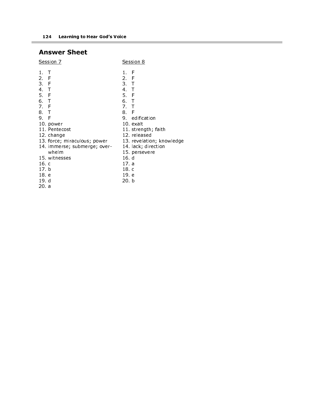# Answer Sheet

Ē.

| <u>Session 7</u>                                                                                                                                                                                                                                          | <u>Session 8</u>                                                                                                                                                                                                                                       |
|-----------------------------------------------------------------------------------------------------------------------------------------------------------------------------------------------------------------------------------------------------------|--------------------------------------------------------------------------------------------------------------------------------------------------------------------------------------------------------------------------------------------------------|
| T<br>1.<br>2.<br>- F<br>3 F<br>4.<br>ा<br>5.<br>- F<br>6 T<br>7.<br>- F<br>8 T<br>9. F<br>10 power<br>11 Pentecost<br>12. change<br>13. force; miraculous; power<br>14. immerse; submerge; over-<br>whelm<br>15 witnesses<br>16 с<br>17 b<br>18 e<br>19 d | F<br>1<br>2 F<br>3. T<br>4 T<br>5 F<br>6. T<br>7 <sub>1</sub><br>F<br>8.<br>9 edification<br>10 exalt<br>11. strength; faith<br>12 released<br>13. revelation; knowledge<br>14 lack; direction<br>15 persevere<br>16 d<br>17 a<br>18 c<br>19 e<br>20 b |
| 20 a                                                                                                                                                                                                                                                      |                                                                                                                                                                                                                                                        |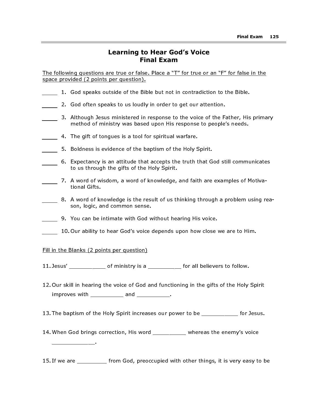## Learning to Hear God's Voice Final Exam

The following questions are true or false. Place a "T" for true or an "F" for false in the space provided (2 points per question).

- 1. God speaks outside of the Bible but not in contradiction to the Bible.
- 2. God often speaks to us loudly in order to get our attention.
- 3. Although Jesus ministered in response to the voice of the Father, His primary method of ministry was based upon His response to people's needs.
- 4. The gift of tongues is a tool for spiritual warfare.
- 5. Boldness is evidence of the baptism of the Holy Spirit.
- 6. Expectancy is an attitude that accepts the truth that God still communicates to us through the gifts of the Holy Spirit.
- 7. A word of wisdom, a word of knowledge, and faith are examples of Motivational Gifts.
- 8. A word of knowledge is the result of us thinking through a problem using reason, logic, and common sense.
- 9. You can be intimate with God without hearing His voice.
- 10. Our ability to hear God's voice depends upon how close we are to Him.

## Fill in the Blanks (2 points per question)

\_\_\_\_\_\_\_\_\_\_\_\_\_.

- 11. Jesus' \_\_\_\_\_\_\_\_\_\_\_\_\_ of ministry is a \_\_\_\_\_\_\_\_\_\_\_ for all believers to follow.
- 12. Our skill in hearing the voice of God and functioning in the gifts of the Holy Spirit improves with \_\_\_\_\_\_\_\_\_\_\_ and \_\_\_\_\_\_\_\_\_\_\_.
- 13. The baptism of the Holy Spirit increases our power to be \_\_\_\_\_\_\_\_\_\_\_\_ for Jesus.
- 14. When God brings correction, His word \_\_\_\_\_\_\_\_\_ whereas the enemy's voice
- 15. If we are \_\_\_\_\_\_\_\_\_\_ from God, preoccupied with other things, it is very easy to be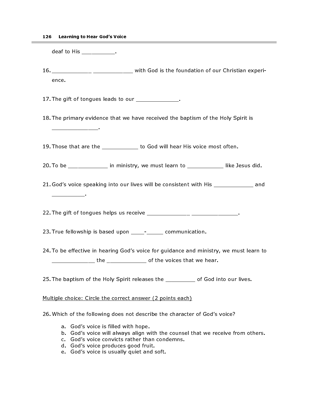deaf to His \_\_\_\_\_\_\_\_\_\_\_.

\_\_\_\_\_\_\_\_\_\_\_\_\_\_.

\_\_\_\_\_\_\_\_\_\_.

16. \_\_\_\_\_\_\_\_\_\_\_\_\_ \_\_\_\_\_\_\_\_\_\_\_\_\_ with God is the foundation of our Christian experience.

17. The gift of tongues leads to our \_\_\_\_\_\_\_\_\_\_\_\_\_\_.

18. The primary evidence that we have received the baptism of the Holy Spirit is

19. Those that are the the the to God will hear His voice most often.

20. To be \_\_\_\_\_\_\_\_\_\_\_\_\_\_ in ministry, we must learn to \_\_\_\_\_\_\_\_\_\_\_\_\_\_ like Jesus did.

21. God's voice speaking into our lives will be consistent with His \_\_\_\_\_\_\_\_\_\_\_\_ and

22. The gift of tongues helps us receive \_\_\_\_\_\_\_\_\_\_\_\_\_\_\_ \_\_\_\_\_\_\_\_\_\_\_\_\_\_\_\_.

23. True fellowship is based upon \_\_\_\_- \_\_\_\_\_ communication.

24. To be effective in hearing God's voice for guidance and ministry, we must learn to \_\_\_\_\_\_\_\_\_\_\_\_\_ the \_\_\_\_\_\_\_\_\_\_\_\_\_\_\_ of the voices that we hear.

25. The baptism of the Holy Spirit releases the \_\_\_\_\_\_\_\_\_ of God into our lives.

## Multiple choice: Circle the correct answer (2 points each)

26. Which of the following does not describe the character of God's voice?

- a. God's voice is filled with hope.
- b. God's voice will always align with the counsel that we receive from others.
- c. God's voice convicts rather than condemns.
- d. God's voice produces good fruit.
- e. God's voice is usually quiet and soft.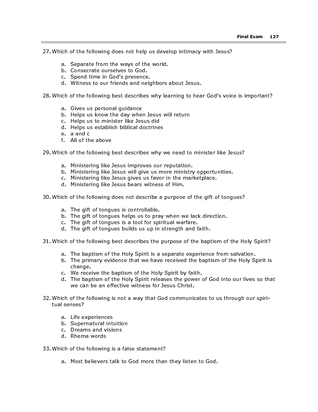27. Which of the following does not help us develop intimacy with Jesus?

- a. Separate from the ways of the world.
- b. Consecrate ourselves to God.
- c. Spend time in God's presence.
- d. Witness to our friends and neighbors about Jesus.

28. Which of the following best describes why learning to hear God's voice is important?

- a. Gives us personal guidance
- b. Helps us know the day when Jesus will return
- c. Helps us to minister like Jesus did
- d. Helps us establish biblical doctrines
- e. a and c
- f. All of the above
- 29. Which of the following best describes why we need to minister like Jesus?
	- a. Ministering like Jesus improves our reputation.
	- b. Ministering like Jesus will give us more ministry opportunities.
	- c. Ministering like Jesus gives us favor in the marketplace.
	- d. Ministering like Jesus bears witness of Him.
- 30. Which of the following does not describe a purpose of the gift of tongues?
	- a. The gift of tongues is controllable.
	- b. The gift of tongues helps us to pray when we lack direction.
	- c. The gift of tongues is a tool for spiritual warfare.
	- d. The gift of tongues builds us up in strength and faith.
- 31. Which of the following best describes the purpose of the baptism of the Holy Spirit?
	- a. The baptism of the Holy Spirit is a separate experience from salvation.
	- b. The primary evidence that we have received the baptism of the Holy Spirit is change.
	- c. We receive the baptism of the Holy Spirit by faith.
	- d. The baptism of the Holy Spirit releases the power of God into our lives so that we can be an effective witness for Jesus Christ.
- 32. Which of the following is not a way that God communicates to us through our spiritual senses?
	- a. Life experiences
	- b. Supernatural intuition
	- c. Dreams and visions
	- d. Rhema words
- 33. Which of the following is a false statement?
	- a. Most believers talk to God more than they listen to God.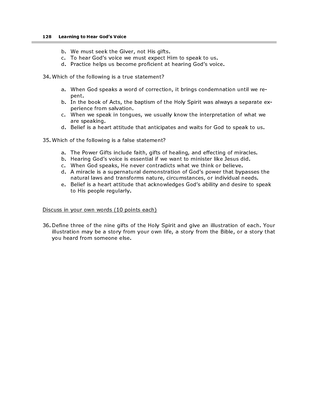- b. We must seek the Giver, not His gifts.
- c. To hear God's voice we must expect Him to speak to us.
- d. Practice helps us become proficient at hearing God's voice.
- 34. Which of the following is a true statement?
	- a. When God speaks a word of correction, it brings condemnation until we repent.
	- b. In the book of Acts, the baptism of the Holy Spirit was always a separate experience from salvation.
	- c. When we speak in tongues, we usually know the interpretation of what we are speaking.
	- d. Belief is a heart attitude that anticipates and waits for God to speak to us.
- 35. Which of the following is a false statement?
	- a. The Power Gifts include faith, gifts of healing, and effecting of miracles.
	- b. Hearing God's voice is essential if we want to minister like Jesus did.
	- c. When God speaks, He never contradicts what we think or believe.
	- d. A miracle is a supernatural demonstration of God's power that bypasses the natural laws and transforms nature, circumstances, or individual needs.
	- e. Belief is a heart attitude that acknowledges God's ability and desire to speak to His people regularly.

#### Discuss in your own words (10 points each)

36. Define three of the nine gifts of the Holy Spirit and give an illustration of each. Your illustration may be a story from your own life, a story from the Bible, or a story that you heard from someone else.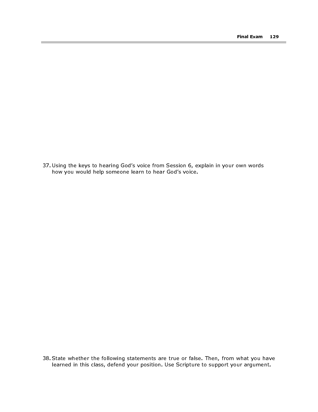37. Using the keys to hearing God's voice from Session 6, explain in your own words how you would help someone learn to hear God's voice.

38. State whether the following statements are true or false. Then, from what you have learned in this class, defend your position. Use Scripture to support your argument.